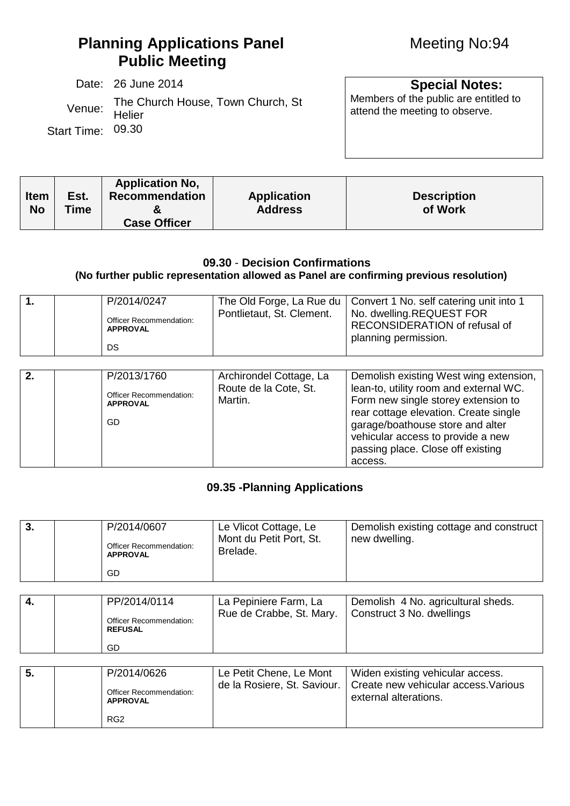Date: 26 June 2014<br>The Church House Town Church St Members of the public are entitled to Venue: The Church House, Town Church, St Members of the public are entitled to Venue: Helier Helier Start Time: 09.30

|             |      | <b>Application No.</b> |                    |                    |
|-------------|------|------------------------|--------------------|--------------------|
| <b>Item</b> | Est. | <b>Recommendation</b>  | <b>Application</b> | <b>Description</b> |
| <b>No</b>   | Time |                        | <b>Address</b>     | of Work            |
|             |      | <b>Case Officer</b>    |                    |                    |

## **09.30** - **Decision Confirmations**

## **(No further public representation allowed as Panel are confirming previous resolution)**

| 1. | P/2014/0247<br>Officer Recommendation:<br><b>APPROVAL</b><br>DS.       | The Old Forge, La Rue du<br>Pontlietaut, St. Clement.       | Convert 1 No. self catering unit into 1<br>No. dwelling.REQUEST FOR<br>RECONSIDERATION of refusal of<br>planning permission.                                                                                                                                                              |
|----|------------------------------------------------------------------------|-------------------------------------------------------------|-------------------------------------------------------------------------------------------------------------------------------------------------------------------------------------------------------------------------------------------------------------------------------------------|
| 2. | P/2013/1760<br>Officer Recommendation:<br><b>APPROVAL</b><br><b>GD</b> | Archirondel Cottage, La<br>Route de la Cote, St.<br>Martin. | Demolish existing West wing extension,<br>lean-to, utility room and external WC.<br>Form new single storey extension to<br>rear cottage elevation. Create single<br>garage/boathouse store and alter<br>vehicular access to provide a new<br>passing place. Close off existing<br>access. |

## **09.35 -Planning Applications**

| 3.               | P/2014/0607<br>Officer Recommendation:<br><b>APPROVAL</b>        | Le Vlicot Cottage, Le<br>Mont du Petit Port, St.<br>Brelade. | Demolish existing cottage and construct<br>new dwelling.                                          |
|------------------|------------------------------------------------------------------|--------------------------------------------------------------|---------------------------------------------------------------------------------------------------|
|                  | GD.                                                              |                                                              |                                                                                                   |
|                  |                                                                  |                                                              |                                                                                                   |
| $\overline{4}$ . | PP/2014/0114<br>Officer Recommendation:<br><b>REFUSAL</b><br>GD. | La Pepiniere Farm, La<br>Rue de Crabbe, St. Mary.            | Demolish 4 No. agricultural sheds.<br>Construct 3 No. dwellings                                   |
|                  |                                                                  |                                                              |                                                                                                   |
| 5.               | P/2014/0626<br>Officer Recommendation:<br><b>APPROVAL</b>        | Le Petit Chene, Le Mont<br>de la Rosiere, St. Saviour.       | Widen existing vehicular access.<br>Create new vehicular access. Various<br>external alterations. |
|                  | RG <sub>2</sub>                                                  |                                                              |                                                                                                   |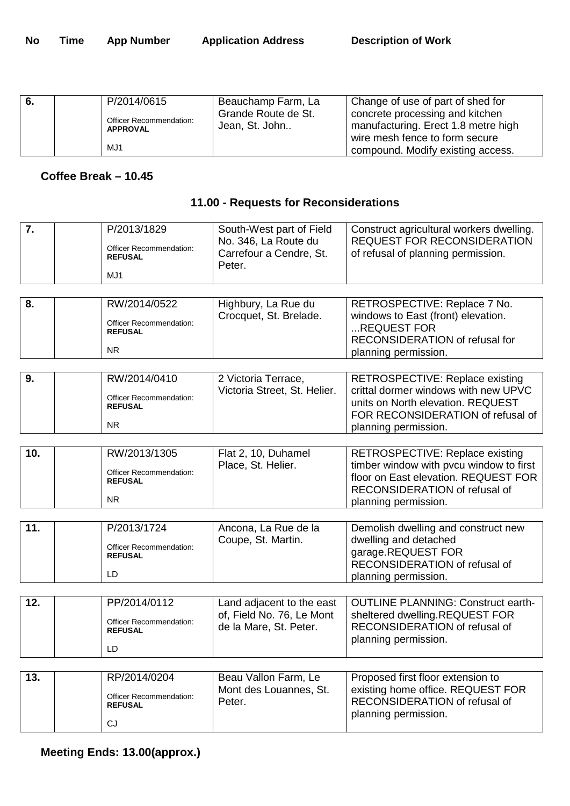| - 6. |                 | P/2014/0615                    | Beauchamp Farm, La                  | Change of use of part of shed for |
|------|-----------------|--------------------------------|-------------------------------------|-----------------------------------|
|      |                 | <b>Officer Recommendation:</b> | Grande Route de St.                 | concrete processing and kitchen   |
|      | <b>APPROVAL</b> | Jean, St. John                 | manufacturing. Erect 1.8 metre high |                                   |
|      |                 |                                |                                     | wire mesh fence to form secure    |
|      |                 | MJ1                            |                                     | compound. Modify existing access. |

## **Coffee Break – 10.45**

## **11.00 - Requests for Reconsiderations**

| 7.  | P/2013/1829<br>Officer Recommendation:<br><b>REFUSAL</b><br>MJ1        | South-West part of Field<br>No. 346, La Route du<br>Carrefour a Cendre, St.<br>Peter. | Construct agricultural workers dwelling.<br><b>REQUEST FOR RECONSIDERATION</b><br>of refusal of planning permission.                                                        |
|-----|------------------------------------------------------------------------|---------------------------------------------------------------------------------------|-----------------------------------------------------------------------------------------------------------------------------------------------------------------------------|
|     |                                                                        |                                                                                       |                                                                                                                                                                             |
| 8.  | RW/2014/0522<br>Officer Recommendation:<br><b>REFUSAL</b><br><b>NR</b> | Highbury, La Rue du<br>Crocquet, St. Brelade.                                         | RETROSPECTIVE: Replace 7 No.<br>windows to East (front) elevation.<br>REQUEST FOR<br>RECONSIDERATION of refusal for<br>planning permission.                                 |
| 9.  | RW/2014/0410<br>Officer Recommendation:<br><b>REFUSAL</b><br>NR.       | 2 Victoria Terrace,<br>Victoria Street, St. Helier.                                   | RETROSPECTIVE: Replace existing<br>crittal dormer windows with new UPVC<br>units on North elevation. REQUEST<br>FOR RECONSIDERATION of refusal of<br>planning permission.   |
| 10. | RW/2013/1305<br>Officer Recommendation:<br><b>REFUSAL</b><br><b>NR</b> | Flat 2, 10, Duhamel<br>Place, St. Helier.                                             | RETROSPECTIVE: Replace existing<br>timber window with pvcu window to first<br>floor on East elevation. REQUEST FOR<br>RECONSIDERATION of refusal of<br>planning permission. |
| 11. | P/2013/1724<br>Officer Recommendation:<br><b>REFUSAL</b><br>LD         | Ancona, La Rue de la<br>Coupe, St. Martin.                                            | Demolish dwelling and construct new<br>dwelling and detached<br>garage.REQUEST FOR<br>RECONSIDERATION of refusal of<br>planning permission.                                 |
| 12. | PP/2014/0112<br>Officer Recommendation:<br><b>REFUSAL</b><br>LD        | Land adjacent to the east<br>of, Field No. 76, Le Mont<br>de la Mare, St. Peter.      | <b>OUTLINE PLANNING: Construct earth-</b><br>sheltered dwelling.REQUEST FOR<br>RECONSIDERATION of refusal of<br>planning permission.                                        |
| 13. | RP/2014/0204<br>Officer Recommendation:<br><b>REFUSAL</b><br>CJ        | Beau Vallon Farm, Le<br>Mont des Louannes, St.<br>Peter.                              | Proposed first floor extension to<br>existing home office. REQUEST FOR<br>RECONSIDERATION of refusal of<br>planning permission.                                             |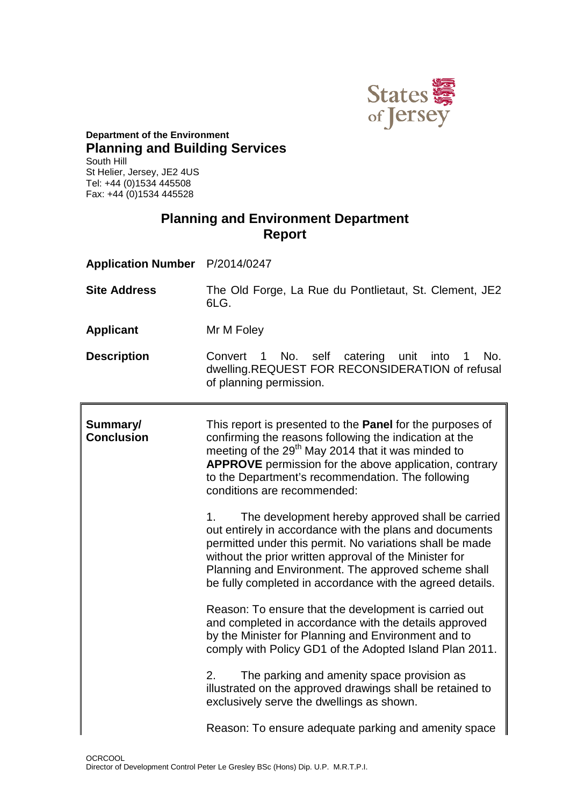

#### **Department of the Environment Planning and Building Services** South Hill St Helier, Jersey, JE2 4US Tel: +44 (0)1534 445508 Fax: +44 (0)1534 445528

## **Planning and Environment Department Report**

| Application Number P/2014/0247 |                                                                                                                                                                                                                                                                                                                                                                                                                                                                                                                                    |  |
|--------------------------------|------------------------------------------------------------------------------------------------------------------------------------------------------------------------------------------------------------------------------------------------------------------------------------------------------------------------------------------------------------------------------------------------------------------------------------------------------------------------------------------------------------------------------------|--|
| <b>Site Address</b>            | The Old Forge, La Rue du Pontlietaut, St. Clement, JE2<br>6LG.                                                                                                                                                                                                                                                                                                                                                                                                                                                                     |  |
| <b>Applicant</b>               | Mr M Foley                                                                                                                                                                                                                                                                                                                                                                                                                                                                                                                         |  |
| <b>Description</b>             | No. self catering unit into 1<br>Convert 1<br>No.<br>dwelling.REQUEST FOR RECONSIDERATION of refusal<br>of planning permission.                                                                                                                                                                                                                                                                                                                                                                                                    |  |
| Summary/<br><b>Conclusion</b>  | This report is presented to the <b>Panel</b> for the purposes of<br>confirming the reasons following the indication at the<br>meeting of the 29 <sup>th</sup> May 2014 that it was minded to<br><b>APPROVE</b> permission for the above application, contrary<br>to the Department's recommendation. The following<br>conditions are recommended:<br>The development hereby approved shall be carried<br>1.<br>out entirely in accordance with the plans and documents<br>permitted under this permit. No variations shall be made |  |

without the prior written approval of the Minister for Planning and Environment. The approved scheme shall be fully completed in accordance with the agreed details.

Reason: To ensure that the development is carried out and completed in accordance with the details approved by the Minister for Planning and Environment and to comply with Policy GD1 of the Adopted Island Plan 2011.

2. The parking and amenity space provision as illustrated on the approved drawings shall be retained to

Reason: To ensure adequate parking and amenity space

exclusively serve the dwellings as shown.

**OCRCOOL** Director of Development Control Peter Le Gresley BSc (Hons) Dip. U.P. M.R.T.P.I.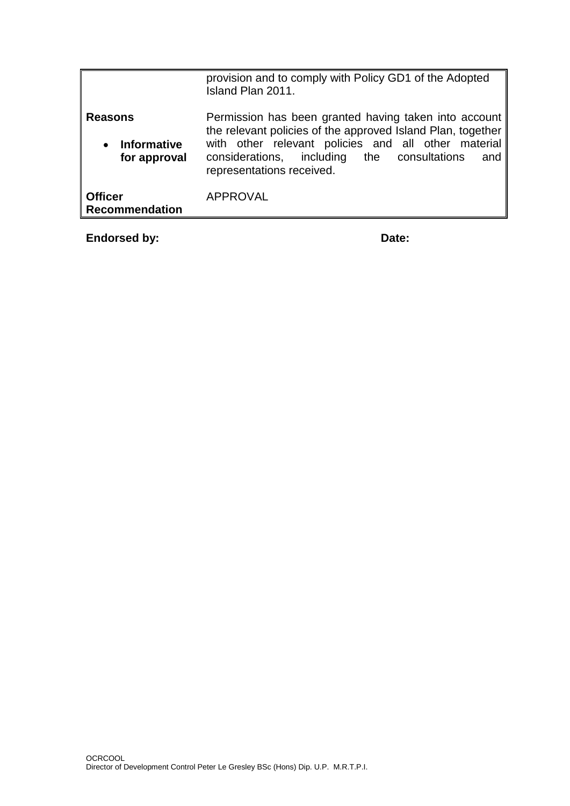|                                                                   | provision and to comply with Policy GD1 of the Adopted<br>Island Plan 2011.                                                                                                                                                                                    |
|-------------------------------------------------------------------|----------------------------------------------------------------------------------------------------------------------------------------------------------------------------------------------------------------------------------------------------------------|
| <b>Reasons</b><br><b>Informative</b><br>$\bullet$<br>for approval | Permission has been granted having taken into account<br>the relevant policies of the approved Island Plan, together<br>with other relevant policies and all other material<br>considerations, including the consultations<br>and<br>representations received. |
| <b>Officer</b><br><b>Recommendation</b>                           | <b>APPROVAL</b>                                                                                                                                                                                                                                                |

**Endorsed by:** Date: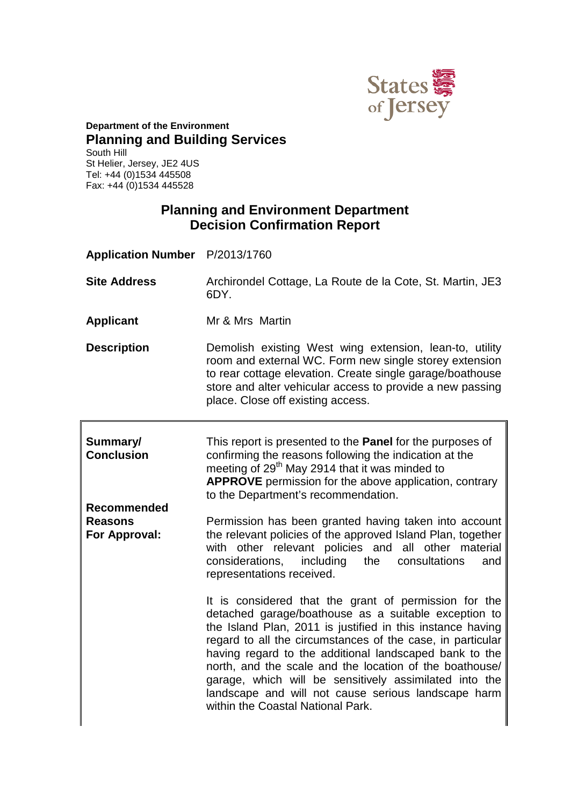

## **Department of the Environment Planning and Building Services**

South Hill St Helier, Jersey, JE2 4US Tel: +44 (0)1534 445508 Fax: +44 (0)1534 445528

## **Planning and Environment Department Decision Confirmation Report**

**Application Number** P/2013/1760 **Site Address** Archirondel Cottage, La Route de la Cote, St. Martin, JE3 6DY. **Applicant** Mr & Mrs Martin **Description** Demolish existing West wing extension, lean-to, utility room and external WC. Form new single storey extension to rear cottage elevation. Create single garage/boathouse store and alter vehicular access to provide a new passing place. Close off existing access.

| Summary/<br><b>Conclusion</b>                         | This report is presented to the <b>Panel</b> for the purposes of<br>confirming the reasons following the indication at the<br>meeting of 29 <sup>th</sup> May 2914 that it was minded to<br><b>APPROVE</b> permission for the above application, contrary<br>to the Department's recommendation.                                                                                                                                                                                                                     |
|-------------------------------------------------------|----------------------------------------------------------------------------------------------------------------------------------------------------------------------------------------------------------------------------------------------------------------------------------------------------------------------------------------------------------------------------------------------------------------------------------------------------------------------------------------------------------------------|
| <b>Recommended</b><br><b>Reasons</b><br>For Approval: | Permission has been granted having taken into account<br>the relevant policies of the approved Island Plan, together<br>with other relevant policies and all other material<br>considerations, including the consultations<br>and<br>representations received.                                                                                                                                                                                                                                                       |
|                                                       | It is considered that the grant of permission for the<br>detached garage/boathouse as a suitable exception to<br>the Island Plan, 2011 is justified in this instance having<br>regard to all the circumstances of the case, in particular<br>having regard to the additional landscaped bank to the<br>north, and the scale and the location of the boathouse/<br>garage, which will be sensitively assimilated into the<br>landscape and will not cause serious landscape harm<br>within the Coastal National Park. |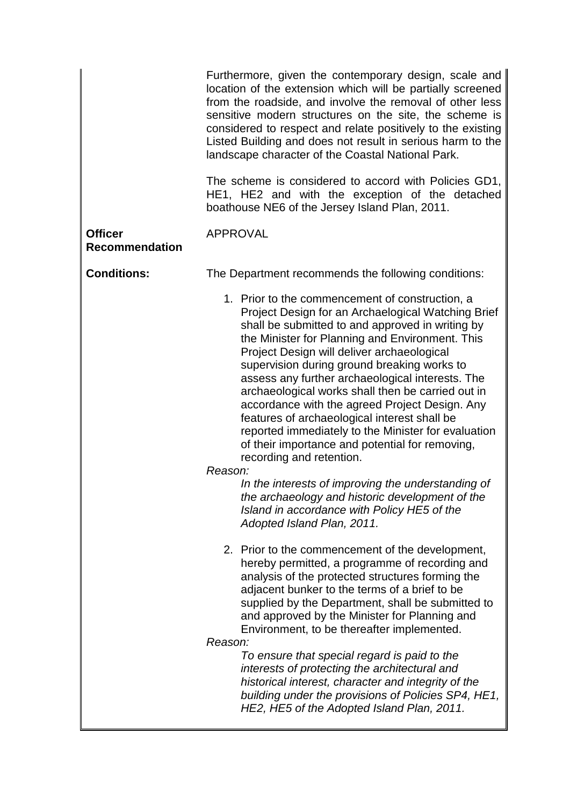|                                         | Furthermore, given the contemporary design, scale and<br>location of the extension which will be partially screened<br>from the roadside, and involve the removal of other less<br>sensitive modern structures on the site, the scheme is<br>considered to respect and relate positively to the existing<br>Listed Building and does not result in serious harm to the<br>landscape character of the Coastal National Park.<br>The scheme is considered to accord with Policies GD1,<br>HE1, HE2 and with the exception of the detached<br>boathouse NE6 of the Jersey Island Plan, 2011.                                                                                                                                                                                                                                                                   |
|-----------------------------------------|-------------------------------------------------------------------------------------------------------------------------------------------------------------------------------------------------------------------------------------------------------------------------------------------------------------------------------------------------------------------------------------------------------------------------------------------------------------------------------------------------------------------------------------------------------------------------------------------------------------------------------------------------------------------------------------------------------------------------------------------------------------------------------------------------------------------------------------------------------------|
| <b>Officer</b><br><b>Recommendation</b> | <b>APPROVAL</b>                                                                                                                                                                                                                                                                                                                                                                                                                                                                                                                                                                                                                                                                                                                                                                                                                                             |
| <b>Conditions:</b>                      | The Department recommends the following conditions:                                                                                                                                                                                                                                                                                                                                                                                                                                                                                                                                                                                                                                                                                                                                                                                                         |
|                                         | 1. Prior to the commencement of construction, a<br>Project Design for an Archaelogical Watching Brief<br>shall be submitted to and approved in writing by<br>the Minister for Planning and Environment. This<br>Project Design will deliver archaeological<br>supervision during ground breaking works to<br>assess any further archaeological interests. The<br>archaeological works shall then be carried out in<br>accordance with the agreed Project Design. Any<br>features of archaeological interest shall be<br>reported immediately to the Minister for evaluation<br>of their importance and potential for removing,<br>recording and retention.<br>Reason:<br>In the interests of improving the understanding of<br>the archaeology and historic development of the<br>Island in accordance with Policy HE5 of the<br>Adopted Island Plan, 2011. |
|                                         | 2. Prior to the commencement of the development,<br>hereby permitted, a programme of recording and<br>analysis of the protected structures forming the<br>adjacent bunker to the terms of a brief to be<br>supplied by the Department, shall be submitted to<br>and approved by the Minister for Planning and<br>Environment, to be thereafter implemented.<br>Reason:                                                                                                                                                                                                                                                                                                                                                                                                                                                                                      |
|                                         | To ensure that special regard is paid to the<br>interests of protecting the architectural and<br>historical interest, character and integrity of the<br>building under the provisions of Policies SP4, HE1,<br>HE2, HE5 of the Adopted Island Plan, 2011.                                                                                                                                                                                                                                                                                                                                                                                                                                                                                                                                                                                                   |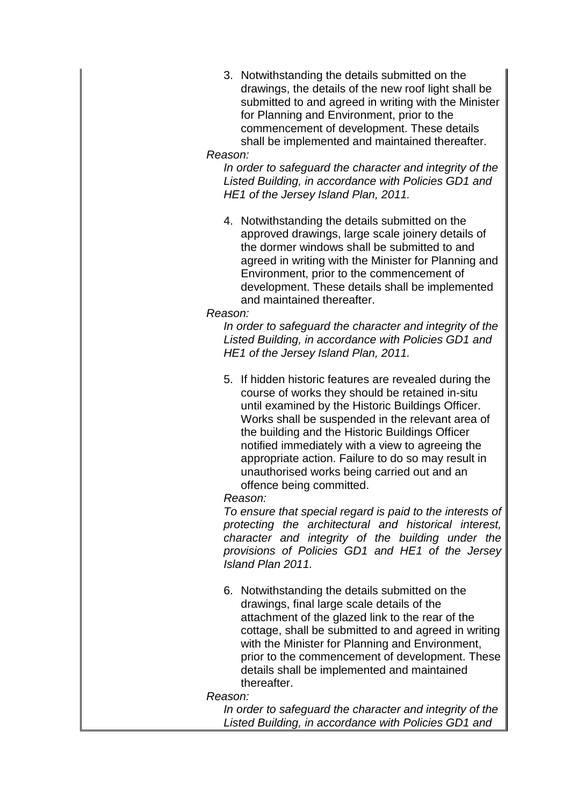3. Notwithstanding the details submitted on the drawings, the details of the new roof light shall be submitted to and agreed in writing with the Minister for Planning and Environment, prior to the commencement of development. These details shall be implemented and maintained thereafter.

#### *Reason:*

*In order to safeguard the character and integrity of the Listed Building, in accordance with Policies GD1 and HE1 of the Jersey Island Plan, 2011.*

4. Notwithstanding the details submitted on the approved drawings, large scale joinery details of the dormer windows shall be submitted to and agreed in writing with the Minister for Planning and Environment, prior to the commencement of development. These details shall be implemented and maintained thereafter.

#### *Reason:*

*In order to safeguard the character and integrity of the Listed Building, in accordance with Policies GD1 and HE1 of the Jersey Island Plan, 2011.*

5. If hidden historic features are revealed during the course of works they should be retained in-situ until examined by the Historic Buildings Officer. Works shall be suspended in the relevant area of the building and the Historic Buildings Officer notified immediately with a view to agreeing the appropriate action. Failure to do so may result in unauthorised works being carried out and an offence being committed.

*Reason:*

*To ensure that special regard is paid to the interests of protecting the architectural and historical interest, character and integrity of the building under the provisions of Policies GD1 and HE1 of the Jersey Island Plan 2011.*

6. Notwithstanding the details submitted on the drawings, final large scale details of the attachment of the glazed link to the rear of the cottage, shall be submitted to and agreed in writing with the Minister for Planning and Environment, prior to the commencement of development. These details shall be implemented and maintained thereafter.

#### *Reason:*

*In order to safeguard the character and integrity of the Listed Building, in accordance with Policies GD1 and*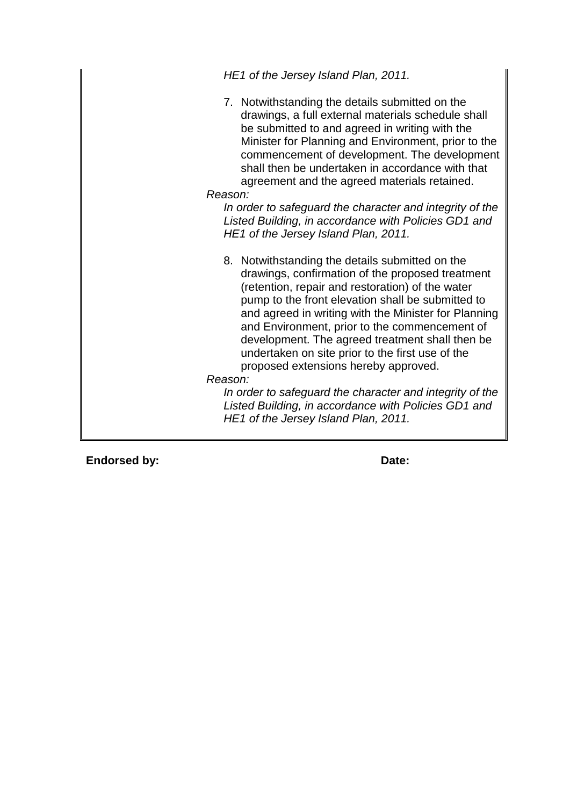*HE1 of the Jersey Island Plan, 2011.*

7. Notwithstanding the details submitted on the drawings, a full external materials schedule shall be submitted to and agreed in writing with the Minister for Planning and Environment, prior to the commencement of development. The development shall then be undertaken in accordance with that agreement and the agreed materials retained.

*Reason:*

*In order to safeguard the character and integrity of the Listed Building, in accordance with Policies GD1 and HE1 of the Jersey Island Plan, 2011.*

8. Notwithstanding the details submitted on the drawings, confirmation of the proposed treatment (retention, repair and restoration) of the water pump to the front elevation shall be submitted to and agreed in writing with the Minister for Planning and Environment, prior to the commencement of development. The agreed treatment shall then be undertaken on site prior to the first use of the proposed extensions hereby approved.

*Reason:*

*In order to safeguard the character and integrity of the Listed Building, in accordance with Policies GD1 and HE1 of the Jersey Island Plan, 2011.*

**Endorsed by:** Date: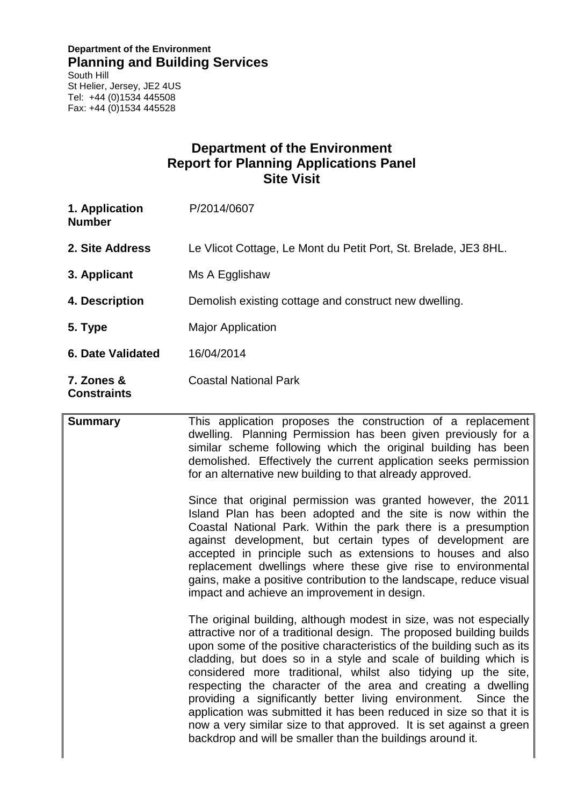#### **Department of the Environment Planning and Building Services**

South Hill St Helier, Jersey, JE2 4US Tel: +44 (0)1534 445508 Fax: +44 (0)1534 445528

## **Department of the Environment Report for Planning Applications Panel Site Visit**

| 1. Application<br><b>Number</b>  | P/2014/0607                                                     |
|----------------------------------|-----------------------------------------------------------------|
| 2. Site Address                  | Le Vlicot Cottage, Le Mont du Petit Port, St. Brelade, JE3 8HL. |
| 3. Applicant                     | Ms A Egglishaw                                                  |
| 4. Description                   | Demolish existing cottage and construct new dwelling.           |
| 5. Type                          | Major Application                                               |
| <b>6. Date Validated</b>         | 16/04/2014                                                      |
| 7. Zones &<br><b>Constraints</b> | <b>Coastal National Park</b>                                    |

**Summary** This application proposes the construction of a replacement dwelling. Planning Permission has been given previously for a similar scheme following which the original building has been demolished. Effectively the current application seeks permission for an alternative new building to that already approved.

> Since that original permission was granted however, the 2011 Island Plan has been adopted and the site is now within the Coastal National Park. Within the park there is a presumption against development, but certain types of development are accepted in principle such as extensions to houses and also replacement dwellings where these give rise to environmental gains, make a positive contribution to the landscape, reduce visual impact and achieve an improvement in design.

> The original building, although modest in size, was not especially attractive nor of a traditional design. The proposed building builds upon some of the positive characteristics of the building such as its cladding, but does so in a style and scale of building which is considered more traditional, whilst also tidying up the site, respecting the character of the area and creating a dwelling providing a significantly better living environment. Since the application was submitted it has been reduced in size so that it is now a very similar size to that approved. It is set against a green backdrop and will be smaller than the buildings around it.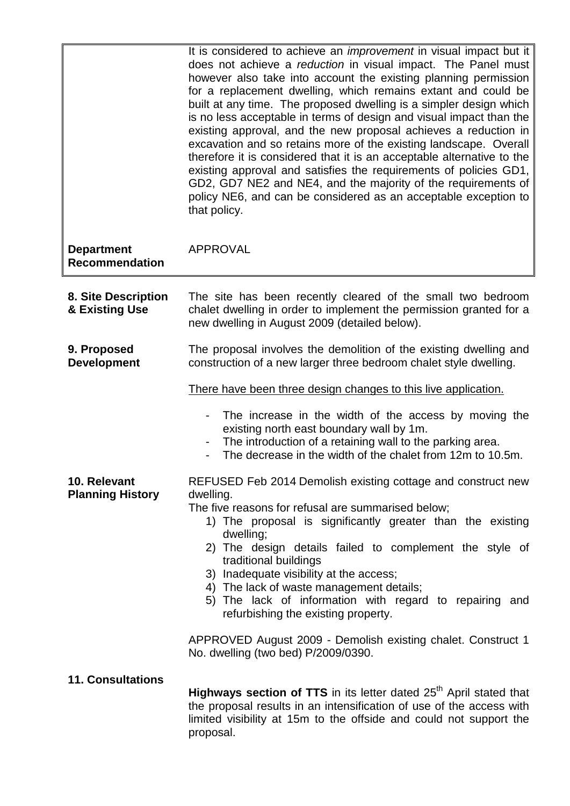|                                            | It is considered to achieve an <i>improvement</i> in visual impact but it<br>does not achieve a reduction in visual impact. The Panel must<br>however also take into account the existing planning permission<br>for a replacement dwelling, which remains extant and could be<br>built at any time. The proposed dwelling is a simpler design which<br>is no less acceptable in terms of design and visual impact than the<br>existing approval, and the new proposal achieves a reduction in<br>excavation and so retains more of the existing landscape. Overall<br>therefore it is considered that it is an acceptable alternative to the<br>existing approval and satisfies the requirements of policies GD1,<br>GD2, GD7 NE2 and NE4, and the majority of the requirements of<br>policy NE6, and can be considered as an acceptable exception to<br>that policy. |
|--------------------------------------------|------------------------------------------------------------------------------------------------------------------------------------------------------------------------------------------------------------------------------------------------------------------------------------------------------------------------------------------------------------------------------------------------------------------------------------------------------------------------------------------------------------------------------------------------------------------------------------------------------------------------------------------------------------------------------------------------------------------------------------------------------------------------------------------------------------------------------------------------------------------------|
| <b>Department</b><br><b>Recommendation</b> | <b>APPROVAL</b>                                                                                                                                                                                                                                                                                                                                                                                                                                                                                                                                                                                                                                                                                                                                                                                                                                                        |
| 8. Site Description<br>& Existing Use      | The site has been recently cleared of the small two bedroom<br>chalet dwelling in order to implement the permission granted for a<br>new dwelling in August 2009 (detailed below).                                                                                                                                                                                                                                                                                                                                                                                                                                                                                                                                                                                                                                                                                     |
| 9. Proposed<br><b>Development</b>          | The proposal involves the demolition of the existing dwelling and<br>construction of a new larger three bedroom chalet style dwelling.                                                                                                                                                                                                                                                                                                                                                                                                                                                                                                                                                                                                                                                                                                                                 |
| 10. Relevant<br><b>Planning History</b>    | There have been three design changes to this live application.<br>The increase in the width of the access by moving the<br>existing north east boundary wall by 1m.<br>The introduction of a retaining wall to the parking area.<br>-<br>The decrease in the width of the chalet from 12m to 10.5m.<br>REFUSED Feb 2014 Demolish existing cottage and construct new<br>dwelling.<br>The five reasons for refusal are summarised below;<br>1) The proposal is significantly greater than the existing<br>dwelling;<br>2) The design details failed to complement the style of<br>traditional buildings<br>3) Inadequate visibility at the access;<br>4) The lack of waste management details;<br>5) The lack of information with regard to repairing and<br>refurbishing the existing property.                                                                         |
| <b>11. Consultations</b>                   | APPROVED August 2009 - Demolish existing chalet. Construct 1<br>No. dwelling (two bed) P/2009/0390.<br>Highways section of TTS in its letter dated 25 <sup>th</sup> April stated that<br>the proposal results in an intensification of use of the access with<br>limited visibility at 15m to the offside and could not support the<br>proposal.                                                                                                                                                                                                                                                                                                                                                                                                                                                                                                                       |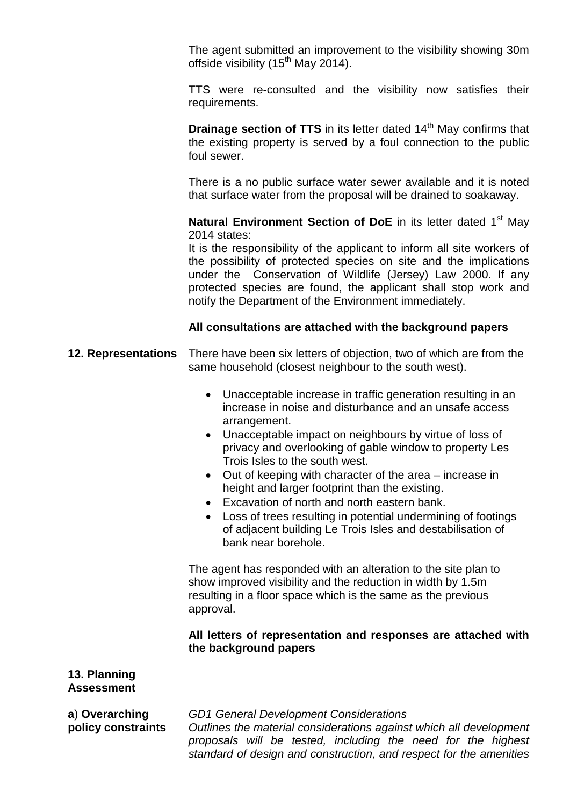The agent submitted an improvement to the visibility showing 30m offside visibility  $(15<sup>th</sup>$  May 2014).

TTS were re-consulted and the visibility now satisfies their requirements.

**Drainage section of TTS** in its letter dated 14<sup>th</sup> May confirms that the existing property is served by a foul connection to the public foul sewer.

There is a no public surface water sewer available and it is noted that surface water from the proposal will be drained to soakaway.

**Natural Environment Section of DoE** in its letter dated 1<sup>st</sup> May 2014 states:

It is the responsibility of the applicant to inform all site workers of the possibility of protected species on site and the implications under the Conservation of Wildlife (Jersey) Law 2000. If any protected species are found, the applicant shall stop work and notify the Department of the Environment immediately.

#### **All consultations are attached with the background papers**

- **12. Representations** There have been six letters of objection, two of which are from the same household (closest neighbour to the south west).
	- Unacceptable increase in traffic generation resulting in an increase in noise and disturbance and an unsafe access arrangement.
	- Unacceptable impact on neighbours by virtue of loss of privacy and overlooking of gable window to property Les Trois Isles to the south west.
	- Out of keeping with character of the area increase in height and larger footprint than the existing.
	- Excavation of north and north eastern bank.
	- Loss of trees resulting in potential undermining of footings of adjacent building Le Trois Isles and destabilisation of bank near borehole.

The agent has responded with an alteration to the site plan to show improved visibility and the reduction in width by 1.5m resulting in a floor space which is the same as the previous approval.

#### **All letters of representation and responses are attached with the background papers**

#### **13. Planning Assessment**

**a**) **Overarching policy constraints** *GD1 General Development Considerations Outlines the material considerations against which all development proposals will be tested, including the need for the highest standard of design and construction, and respect for the amenities*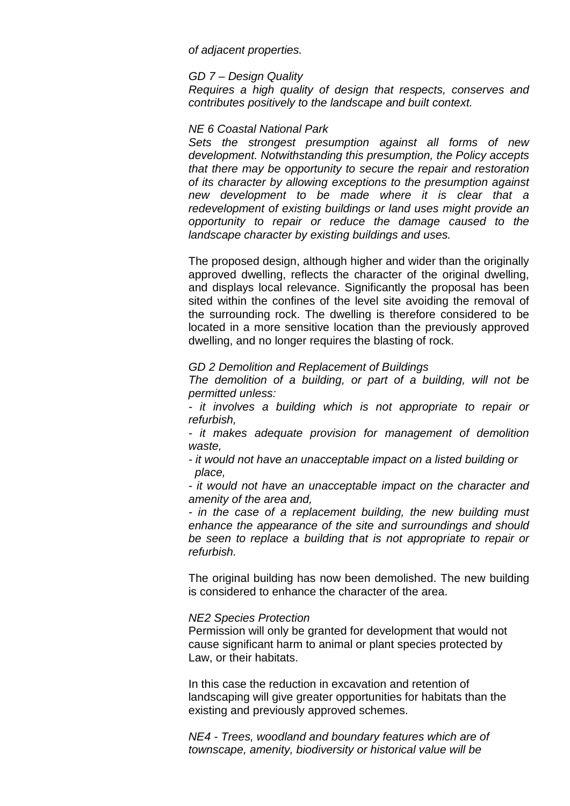*of adjacent properties.*

#### *GD 7 – Design Quality*

*Requires a high quality of design that respects, conserves and contributes positively to the landscape and built context.* 

#### *NE 6 Coastal National Park*

*Sets the strongest presumption against all forms of new development. Notwithstanding this presumption, the Policy accepts that there may be opportunity to secure the repair and restoration of its character by allowing exceptions to the presumption against new development to be made where it is clear that a redevelopment of existing buildings or land uses might provide an opportunity to repair or reduce the damage caused to the landscape character by existing buildings and uses.* 

The proposed design, although higher and wider than the originally approved dwelling, reflects the character of the original dwelling, and displays local relevance. Significantly the proposal has been sited within the confines of the level site avoiding the removal of the surrounding rock. The dwelling is therefore considered to be located in a more sensitive location than the previously approved dwelling, and no longer requires the blasting of rock.

#### *GD 2 Demolition and Replacement of Buildings*

*The demolition of a building, or part of a building, will not be permitted unless:*

*- it involves a building which is not appropriate to repair or refurbish,*

*- it makes adequate provision for management of demolition waste,*

*- it would not have an unacceptable impact on a listed building or place,*

*- it would not have an unacceptable impact on the character and amenity of the area and,* 

*- in the case of a replacement building, the new building must enhance the appearance of the site and surroundings and should be seen to replace a building that is not appropriate to repair or refurbish.*

The original building has now been demolished. The new building is considered to enhance the character of the area.

#### *NE2 Species Protection*

Permission will only be granted for development that would not cause significant harm to animal or plant species protected by Law, or their habitats.

In this case the reduction in excavation and retention of landscaping will give greater opportunities for habitats than the existing and previously approved schemes.

*NE4 - Trees, woodland and boundary features which are of townscape, amenity, biodiversity or historical value will be*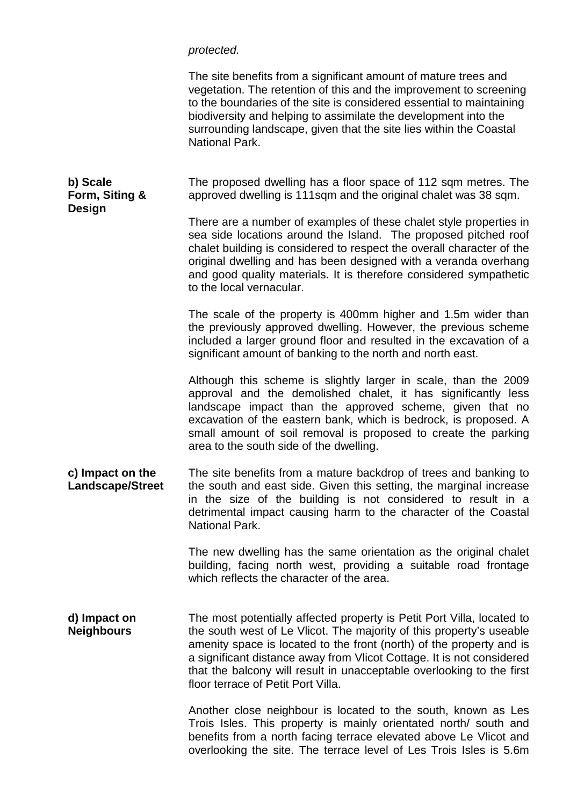*protected.*

|                                             | The site benefits from a significant amount of mature trees and<br>vegetation. The retention of this and the improvement to screening<br>to the boundaries of the site is considered essential to maintaining<br>biodiversity and helping to assimilate the development into the<br>surrounding landscape, given that the site lies within the Coastal<br>National Park.                                       |
|---------------------------------------------|----------------------------------------------------------------------------------------------------------------------------------------------------------------------------------------------------------------------------------------------------------------------------------------------------------------------------------------------------------------------------------------------------------------|
| b) Scale<br>Form, Siting &<br><b>Design</b> | The proposed dwelling has a floor space of 112 sqm metres. The<br>approved dwelling is 111sqm and the original chalet was 38 sqm.                                                                                                                                                                                                                                                                              |
|                                             | There are a number of examples of these chalet style properties in<br>sea side locations around the Island. The proposed pitched roof<br>chalet building is considered to respect the overall character of the<br>original dwelling and has been designed with a veranda overhang<br>and good quality materials. It is therefore considered sympathetic<br>to the local vernacular.                            |
|                                             | The scale of the property is 400mm higher and 1.5m wider than<br>the previously approved dwelling. However, the previous scheme<br>included a larger ground floor and resulted in the excavation of a<br>significant amount of banking to the north and north east.                                                                                                                                            |
|                                             | Although this scheme is slightly larger in scale, than the 2009<br>approval and the demolished chalet, it has significantly less<br>landscape impact than the approved scheme, given that no<br>excavation of the eastern bank, which is bedrock, is proposed. A<br>small amount of soil removal is proposed to create the parking<br>area to the south side of the dwelling.                                  |
| c) Impact on the<br><b>Landscape/Street</b> | The site benefits from a mature backdrop of trees and banking to<br>the south and east side. Given this setting, the marginal increase<br>in the size of the building is not considered to result in a<br>detrimental impact causing harm to the character of the Coastal<br>National Park.                                                                                                                    |
|                                             | The new dwelling has the same orientation as the original chalet<br>building, facing north west, providing a suitable road frontage<br>which reflects the character of the area.                                                                                                                                                                                                                               |
| d) Impact on<br><b>Neighbours</b>           | The most potentially affected property is Petit Port Villa, located to<br>the south west of Le Vlicot. The majority of this property's useable<br>amenity space is located to the front (north) of the property and is<br>a significant distance away from Vlicot Cottage. It is not considered<br>that the balcony will result in unacceptable overlooking to the first<br>floor terrace of Petit Port Villa. |
|                                             | Another close neighbour is located to the south, known as Les<br>Trois Isles. This property is mainly orientated north/ south and<br>benefits from a north facing terrace elevated above Le Vlicot and<br>overlooking the site. The terrace level of Les Trois Isles is 5.6m                                                                                                                                   |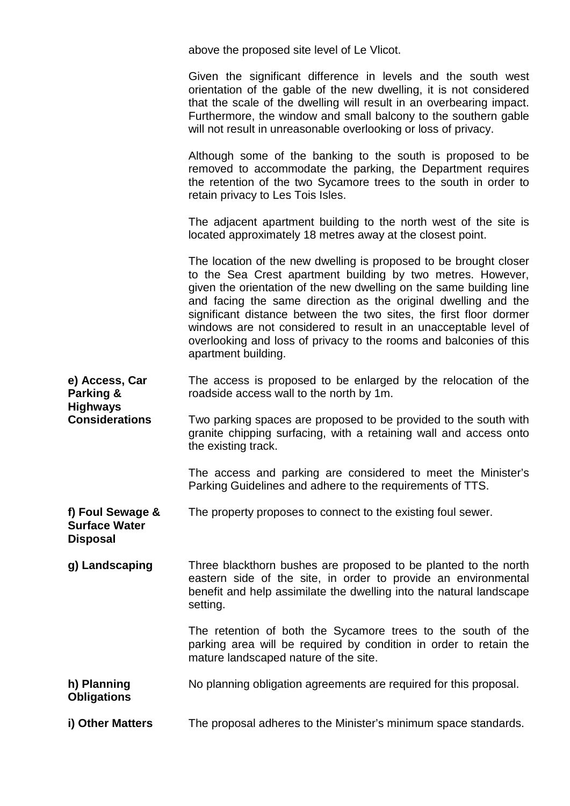|                                                             | above the proposed site level of Le Vlicot.                                                                                                                                                                                                                                                                                                                                                                                                                                                                      |
|-------------------------------------------------------------|------------------------------------------------------------------------------------------------------------------------------------------------------------------------------------------------------------------------------------------------------------------------------------------------------------------------------------------------------------------------------------------------------------------------------------------------------------------------------------------------------------------|
|                                                             | Given the significant difference in levels and the south west<br>orientation of the gable of the new dwelling, it is not considered<br>that the scale of the dwelling will result in an overbearing impact.<br>Furthermore, the window and small balcony to the southern gable<br>will not result in unreasonable overlooking or loss of privacy.                                                                                                                                                                |
|                                                             | Although some of the banking to the south is proposed to be<br>removed to accommodate the parking, the Department requires<br>the retention of the two Sycamore trees to the south in order to<br>retain privacy to Les Tois Isles.                                                                                                                                                                                                                                                                              |
|                                                             | The adjacent apartment building to the north west of the site is<br>located approximately 18 metres away at the closest point.                                                                                                                                                                                                                                                                                                                                                                                   |
|                                                             | The location of the new dwelling is proposed to be brought closer<br>to the Sea Crest apartment building by two metres. However,<br>given the orientation of the new dwelling on the same building line<br>and facing the same direction as the original dwelling and the<br>significant distance between the two sites, the first floor dormer<br>windows are not considered to result in an unacceptable level of<br>overlooking and loss of privacy to the rooms and balconies of this<br>apartment building. |
| e) Access, Car<br>Parking &                                 | The access is proposed to be enlarged by the relocation of the<br>roadside access wall to the north by 1m.                                                                                                                                                                                                                                                                                                                                                                                                       |
| <b>Highways</b><br><b>Considerations</b>                    | Two parking spaces are proposed to be provided to the south with<br>granite chipping surfacing, with a retaining wall and access onto<br>the existing track.                                                                                                                                                                                                                                                                                                                                                     |
|                                                             | The access and parking are considered to meet the Minister's<br>Parking Guidelines and adhere to the requirements of TTS.                                                                                                                                                                                                                                                                                                                                                                                        |
| f) Foul Sewage &<br><b>Surface Water</b><br><b>Disposal</b> | The property proposes to connect to the existing foul sewer.                                                                                                                                                                                                                                                                                                                                                                                                                                                     |
| g) Landscaping                                              | Three blackthorn bushes are proposed to be planted to the north<br>eastern side of the site, in order to provide an environmental<br>benefit and help assimilate the dwelling into the natural landscape<br>setting.                                                                                                                                                                                                                                                                                             |
|                                                             | The retention of both the Sycamore trees to the south of the<br>parking area will be required by condition in order to retain the<br>mature landscaped nature of the site.                                                                                                                                                                                                                                                                                                                                       |
| h) Planning<br><b>Obligations</b>                           | No planning obligation agreements are required for this proposal.                                                                                                                                                                                                                                                                                                                                                                                                                                                |
| i) Other Matters                                            | The proposal adheres to the Minister's minimum space standards.                                                                                                                                                                                                                                                                                                                                                                                                                                                  |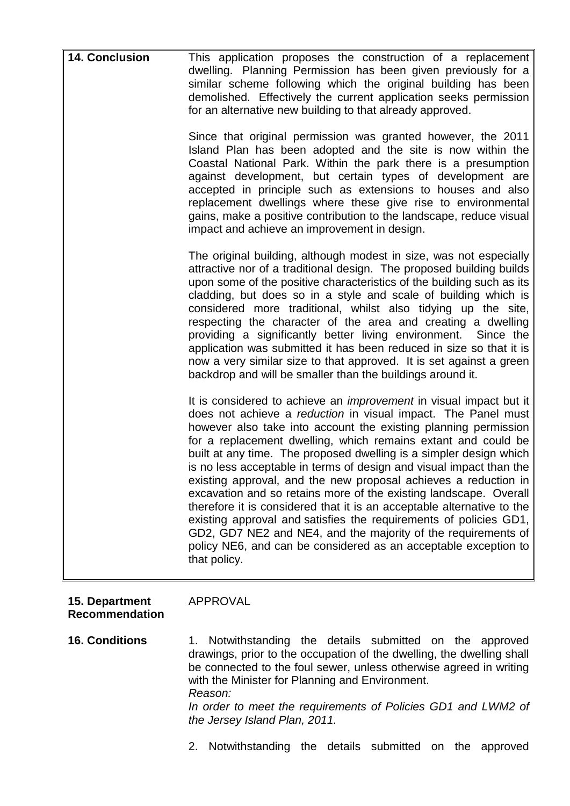| <b>14. Conclusion</b> | This application proposes the construction of a replacement<br>dwelling. Planning Permission has been given previously for a<br>similar scheme following which the original building has been<br>demolished. Effectively the current application seeks permission<br>for an alternative new building to that already approved.                                                                                                                                                                                                                                                                                                                                                                                                                                                                                                                                         |
|-----------------------|------------------------------------------------------------------------------------------------------------------------------------------------------------------------------------------------------------------------------------------------------------------------------------------------------------------------------------------------------------------------------------------------------------------------------------------------------------------------------------------------------------------------------------------------------------------------------------------------------------------------------------------------------------------------------------------------------------------------------------------------------------------------------------------------------------------------------------------------------------------------|
|                       | Since that original permission was granted however, the 2011<br>Island Plan has been adopted and the site is now within the<br>Coastal National Park. Within the park there is a presumption<br>against development, but certain types of development are<br>accepted in principle such as extensions to houses and also<br>replacement dwellings where these give rise to environmental<br>gains, make a positive contribution to the landscape, reduce visual<br>impact and achieve an improvement in design.                                                                                                                                                                                                                                                                                                                                                        |
|                       | The original building, although modest in size, was not especially<br>attractive nor of a traditional design. The proposed building builds<br>upon some of the positive characteristics of the building such as its<br>cladding, but does so in a style and scale of building which is<br>considered more traditional, whilst also tidying up the site,<br>respecting the character of the area and creating a dwelling<br>providing a significantly better living environment. Since the<br>application was submitted it has been reduced in size so that it is<br>now a very similar size to that approved. It is set against a green<br>backdrop and will be smaller than the buildings around it.                                                                                                                                                                  |
|                       | It is considered to achieve an <i>improvement</i> in visual impact but it<br>does not achieve a reduction in visual impact. The Panel must<br>however also take into account the existing planning permission<br>for a replacement dwelling, which remains extant and could be<br>built at any time. The proposed dwelling is a simpler design which<br>is no less acceptable in terms of design and visual impact than the<br>existing approval, and the new proposal achieves a reduction in<br>excavation and so retains more of the existing landscape. Overall<br>therefore it is considered that it is an acceptable alternative to the<br>existing approval and satisfies the requirements of policies GD1,<br>GD2, GD7 NE2 and NE4, and the majority of the requirements of<br>policy NE6, and can be considered as an acceptable exception to<br>that policy. |

#### **15. Department Recommendation** APPROVAL

**16. Conditions** 1. Notwithstanding the details submitted on the approved drawings, prior to the occupation of the dwelling, the dwelling shall be connected to the foul sewer, unless otherwise agreed in writing with the Minister for Planning and Environment. *Reason: In order to meet the requirements of Policies GD1 and LWM2 of the Jersey Island Plan, 2011.*

2. Notwithstanding the details submitted on the approved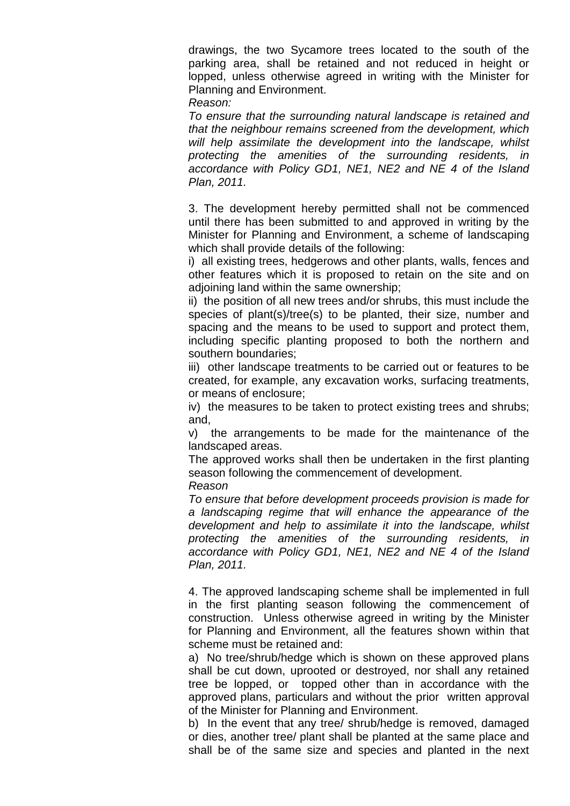drawings, the two Sycamore trees located to the south of the parking area, shall be retained and not reduced in height or lopped, unless otherwise agreed in writing with the Minister for Planning and Environment.

*Reason:*

*To ensure that the surrounding natural landscape is retained and that the neighbour remains screened from the development, which will help assimilate the development into the landscape, whilst protecting the amenities of the surrounding residents, in accordance with Policy GD1, NE1, NE2 and NE 4 of the Island Plan, 2011.*

3. The development hereby permitted shall not be commenced until there has been submitted to and approved in writing by the Minister for Planning and Environment, a scheme of landscaping which shall provide details of the following:

i) all existing trees, hedgerows and other plants, walls, fences and other features which it is proposed to retain on the site and on adjoining land within the same ownership;

ii) the position of all new trees and/or shrubs, this must include the species of plant(s)/tree(s) to be planted, their size, number and spacing and the means to be used to support and protect them, including specific planting proposed to both the northern and southern boundaries;

iii) other landscape treatments to be carried out or features to be created, for example, any excavation works, surfacing treatments, or means of enclosure;

iv) the measures to be taken to protect existing trees and shrubs; and,

v) the arrangements to be made for the maintenance of the landscaped areas.

The approved works shall then be undertaken in the first planting season following the commencement of development.

*Reason*

*To ensure that before development proceeds provision is made for a landscaping regime that will enhance the appearance of the development and help to assimilate it into the landscape, whilst protecting the amenities of the surrounding residents, in accordance with Policy GD1, NE1, NE2 and NE 4 of the Island Plan, 2011.*

4. The approved landscaping scheme shall be implemented in full in the first planting season following the commencement of construction. Unless otherwise agreed in writing by the Minister for Planning and Environment, all the features shown within that scheme must be retained and:

a) No tree/shrub/hedge which is shown on these approved plans shall be cut down, uprooted or destroyed, nor shall any retained tree be lopped, or topped other than in accordance with the approved plans, particulars and without the prior written approval of the Minister for Planning and Environment.

b) In the event that any tree/ shrub/hedge is removed, damaged or dies, another tree/ plant shall be planted at the same place and shall be of the same size and species and planted in the next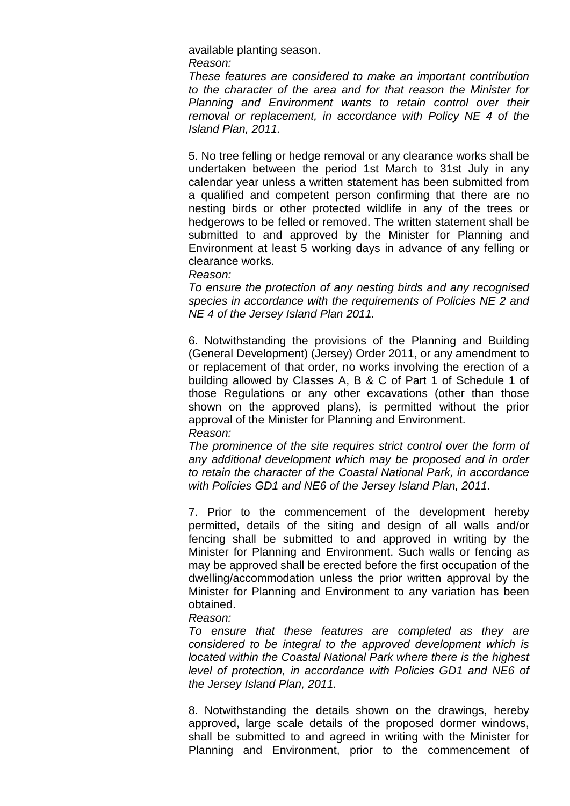available planting season. *Reason:*

*These features are considered to make an important contribution to the character of the area and for that reason the Minister for Planning and Environment wants to retain control over their removal or replacement, in accordance with Policy NE 4 of the Island Plan, 2011.*

5. No tree felling or hedge removal or any clearance works shall be undertaken between the period 1st March to 31st July in any calendar year unless a written statement has been submitted from a qualified and competent person confirming that there are no nesting birds or other protected wildlife in any of the trees or hedgerows to be felled or removed. The written statement shall be submitted to and approved by the Minister for Planning and Environment at least 5 working days in advance of any felling or clearance works.

*Reason:*

*To ensure the protection of any nesting birds and any recognised species in accordance with the requirements of Policies NE 2 and NE 4 of the Jersey Island Plan 2011.*

6. Notwithstanding the provisions of the Planning and Building (General Development) (Jersey) Order 2011, or any amendment to or replacement of that order, no works involving the erection of a building allowed by Classes A, B & C of Part 1 of Schedule 1 of those Regulations or any other excavations (other than those shown on the approved plans), is permitted without the prior approval of the Minister for Planning and Environment. *Reason:*

*The prominence of the site requires strict control over the form of any additional development which may be proposed and in order to retain the character of the Coastal National Park, in accordance with Policies GD1 and NE6 of the Jersey Island Plan, 2011.*

7. Prior to the commencement of the development hereby permitted, details of the siting and design of all walls and/or fencing shall be submitted to and approved in writing by the Minister for Planning and Environment. Such walls or fencing as may be approved shall be erected before the first occupation of the dwelling/accommodation unless the prior written approval by the Minister for Planning and Environment to any variation has been obtained.

*Reason:*

*To ensure that these features are completed as they are considered to be integral to the approved development which is located within the Coastal National Park where there is the highest level of protection, in accordance with Policies GD1 and NE6 of the Jersey Island Plan, 2011.*

8. Notwithstanding the details shown on the drawings, hereby approved, large scale details of the proposed dormer windows, shall be submitted to and agreed in writing with the Minister for Planning and Environment, prior to the commencement of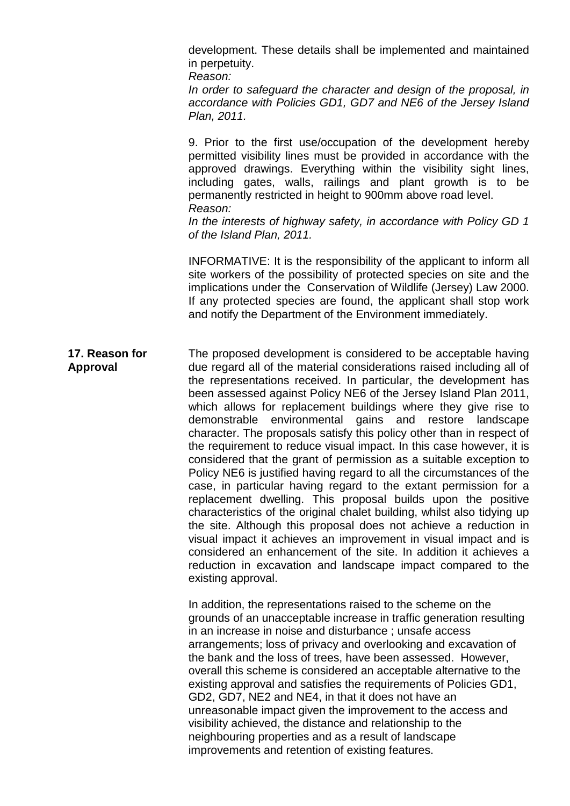development. These details shall be implemented and maintained in perpetuity.

*Reason: In order to safeguard the character and design of the proposal, in accordance with Policies GD1, GD7 and NE6 of the Jersey Island Plan, 2011.*

9. Prior to the first use/occupation of the development hereby permitted visibility lines must be provided in accordance with the approved drawings. Everything within the visibility sight lines, including gates, walls, railings and plant growth is to be permanently restricted in height to 900mm above road level. *Reason:*

*In the interests of highway safety, in accordance with Policy GD 1 of the Island Plan, 2011.*

INFORMATIVE: It is the responsibility of the applicant to inform all site workers of the possibility of protected species on site and the implications under the Conservation of Wildlife (Jersey) Law 2000. If any protected species are found, the applicant shall stop work and notify the Department of the Environment immediately.

#### **17. Reason for Approval** The proposed development is considered to be acceptable having due regard all of the material considerations raised including all of the representations received. In particular, the development has been assessed against Policy NE6 of the Jersey Island Plan 2011, which allows for replacement buildings where they give rise to demonstrable environmental gains and restore landscape character. The proposals satisfy this policy other than in respect of the requirement to reduce visual impact. In this case however, it is considered that the grant of permission as a suitable exception to Policy NE6 is justified having regard to all the circumstances of the case, in particular having regard to the extant permission for a replacement dwelling. This proposal builds upon the positive characteristics of the original chalet building, whilst also tidying up the site. Although this proposal does not achieve a reduction in visual impact it achieves an improvement in visual impact and is considered an enhancement of the site. In addition it achieves a reduction in excavation and landscape impact compared to the existing approval.

In addition, the representations raised to the scheme on the grounds of an unacceptable increase in traffic generation resulting in an increase in noise and disturbance ; unsafe access arrangements; loss of privacy and overlooking and excavation of the bank and the loss of trees, have been assessed. However, overall this scheme is considered an acceptable alternative to the existing approval and satisfies the requirements of Policies GD1, GD2, GD7, NE2 and NE4, in that it does not have an unreasonable impact given the improvement to the access and visibility achieved, the distance and relationship to the neighbouring properties and as a result of landscape improvements and retention of existing features.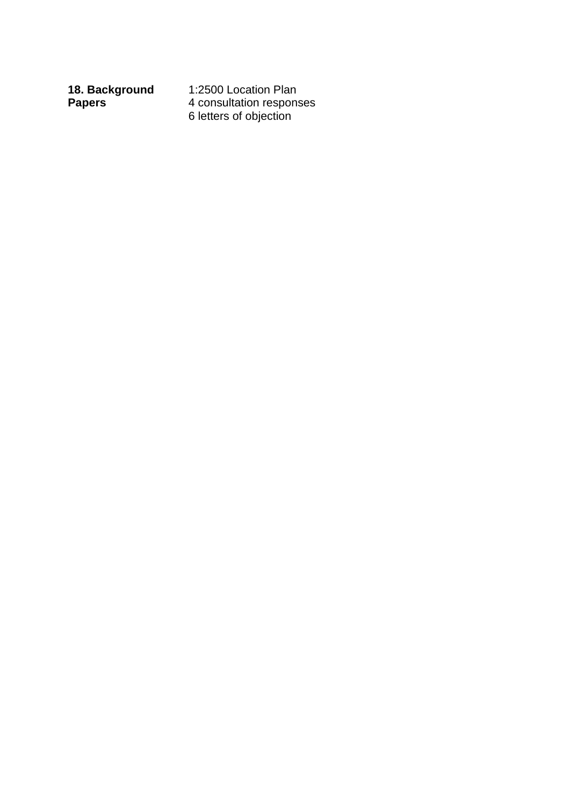**18. Background Papers** 

1:2500 Location Plan 4 consultation responses 6 letters of objection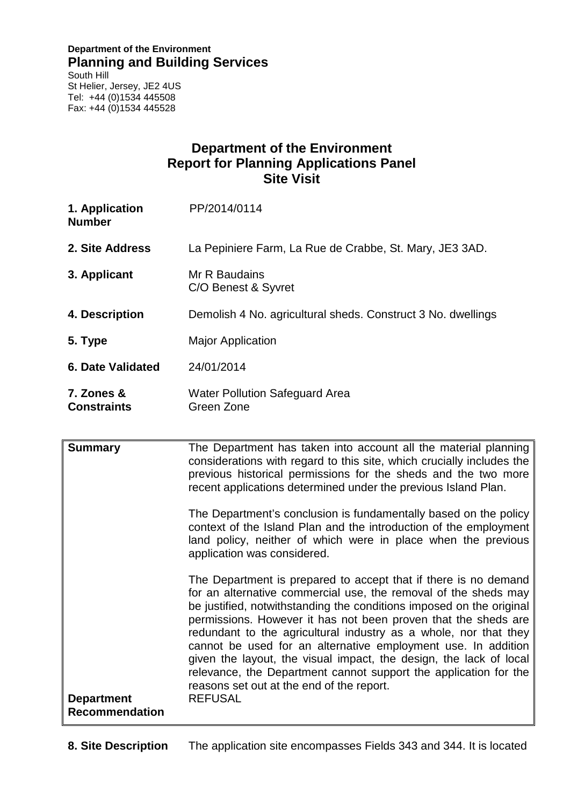#### **Department of the Environment Planning and Building Services**

South Hill St Helier, Jersey, JE2 4US Tel: +44 (0)1534 445508 Fax: +44 (0)1534 445528

## **Department of the Environment Report for Planning Applications Panel Site Visit**

| 1. Application<br><b>Number</b>  | PP/2014/0114                                                 |
|----------------------------------|--------------------------------------------------------------|
| 2. Site Address                  | La Pepiniere Farm, La Rue de Crabbe, St. Mary, JE3 3AD.      |
| 3. Applicant                     | Mr R Baudains<br>C/O Benest & Syvret                         |
| 4. Description                   | Demolish 4 No. agricultural sheds. Construct 3 No. dwellings |
| 5. Type                          | <b>Major Application</b>                                     |
| <b>6. Date Validated</b>         | 24/01/2014                                                   |
| 7. Zones &<br><b>Constraints</b> | <b>Water Pollution Safeguard Area</b><br>Green Zone          |

| <b>Summary</b>                             | The Department has taken into account all the material planning<br>considerations with regard to this site, which crucially includes the<br>previous historical permissions for the sheds and the two more<br>recent applications determined under the previous Island Plan.                                                                                                                                                                                                                                                                                                                                               |
|--------------------------------------------|----------------------------------------------------------------------------------------------------------------------------------------------------------------------------------------------------------------------------------------------------------------------------------------------------------------------------------------------------------------------------------------------------------------------------------------------------------------------------------------------------------------------------------------------------------------------------------------------------------------------------|
|                                            | The Department's conclusion is fundamentally based on the policy<br>context of the Island Plan and the introduction of the employment<br>land policy, neither of which were in place when the previous<br>application was considered.                                                                                                                                                                                                                                                                                                                                                                                      |
| <b>Department</b><br><b>Recommendation</b> | The Department is prepared to accept that if there is no demand<br>for an alternative commercial use, the removal of the sheds may<br>be justified, notwithstanding the conditions imposed on the original<br>permissions. However it has not been proven that the sheds are<br>redundant to the agricultural industry as a whole, nor that they<br>cannot be used for an alternative employment use. In addition<br>given the layout, the visual impact, the design, the lack of local<br>relevance, the Department cannot support the application for the<br>reasons set out at the end of the report.<br><b>REFUSAL</b> |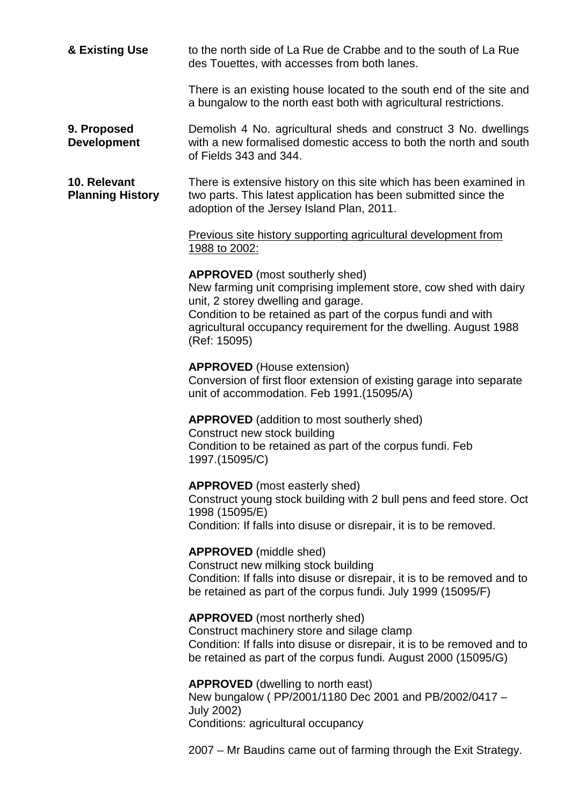| & Existing Use                          | to the north side of La Rue de Crabbe and to the south of La Rue<br>des Touettes, with accesses from both lanes.                                                                                                                                                                                      |
|-----------------------------------------|-------------------------------------------------------------------------------------------------------------------------------------------------------------------------------------------------------------------------------------------------------------------------------------------------------|
|                                         | There is an existing house located to the south end of the site and<br>a bungalow to the north east both with agricultural restrictions.                                                                                                                                                              |
| 9. Proposed<br><b>Development</b>       | Demolish 4 No. agricultural sheds and construct 3 No. dwellings<br>with a new formalised domestic access to both the north and south<br>of Fields 343 and 344.                                                                                                                                        |
| 10. Relevant<br><b>Planning History</b> | There is extensive history on this site which has been examined in<br>two parts. This latest application has been submitted since the<br>adoption of the Jersey Island Plan, 2011.                                                                                                                    |
|                                         | Previous site history supporting agricultural development from<br>1988 to 2002:                                                                                                                                                                                                                       |
|                                         | <b>APPROVED</b> (most southerly shed)<br>New farming unit comprising implement store, cow shed with dairy<br>unit, 2 storey dwelling and garage.<br>Condition to be retained as part of the corpus fundi and with<br>agricultural occupancy requirement for the dwelling. August 1988<br>(Ref: 15095) |
|                                         | <b>APPROVED</b> (House extension)<br>Conversion of first floor extension of existing garage into separate<br>unit of accommodation. Feb 1991.(15095/A)                                                                                                                                                |
|                                         | <b>APPROVED</b> (addition to most southerly shed)<br>Construct new stock building<br>Condition to be retained as part of the corpus fundi. Feb<br>1997.(15095/C)                                                                                                                                      |
|                                         | <b>APPROVED</b> (most easterly shed)<br>Construct young stock building with 2 bull pens and feed store. Oct<br>1998 (15095/E)<br>Condition: If falls into disuse or disrepair, it is to be removed.                                                                                                   |
|                                         | <b>APPROVED</b> (middle shed)<br>Construct new milking stock building<br>Condition: If falls into disuse or disrepair, it is to be removed and to<br>be retained as part of the corpus fundi. July 1999 (15095/F)                                                                                     |
|                                         | <b>APPROVED</b> (most northerly shed)<br>Construct machinery store and silage clamp<br>Condition: If falls into disuse or disrepair, it is to be removed and to<br>be retained as part of the corpus fundi. August 2000 (15095/G)                                                                     |
|                                         | <b>APPROVED</b> (dwelling to north east)<br>New bungalow (PP/2001/1180 Dec 2001 and PB/2002/0417 -<br><b>July 2002)</b><br>Conditions: agricultural occupancy                                                                                                                                         |

2007 – Mr Baudins came out of farming through the Exit Strategy.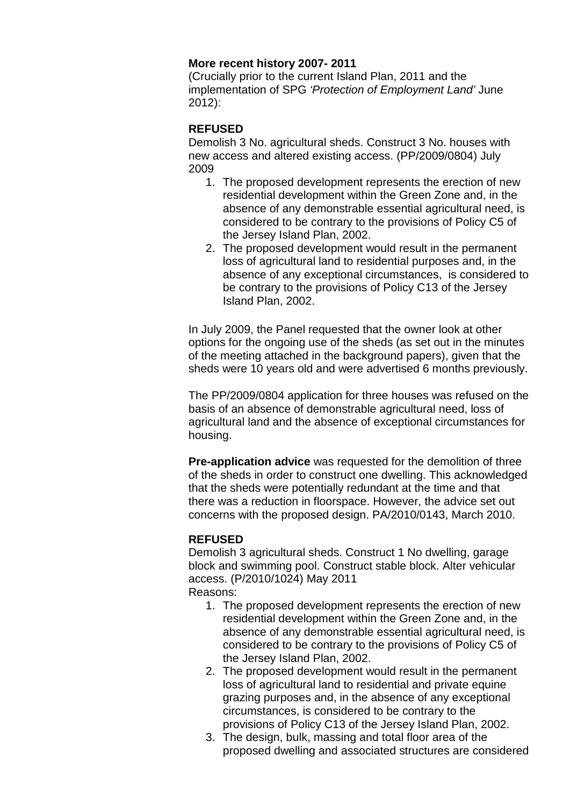#### **More recent history 2007- 2011**

(Crucially prior to the current Island Plan, 2011 and the implementation of SPG *'Protection of Employment Land'* June 2012):

#### **REFUSED**

Demolish 3 No. agricultural sheds. Construct 3 No. houses with new access and altered existing access. (PP/2009/0804) July 2009

- 1. The proposed development represents the erection of new residential development within the Green Zone and, in the absence of any demonstrable essential agricultural need, is considered to be contrary to the provisions of Policy C5 of the Jersey Island Plan, 2002.
- 2. The proposed development would result in the permanent loss of agricultural land to residential purposes and, in the absence of any exceptional circumstances, is considered to be contrary to the provisions of Policy C13 of the Jersey Island Plan, 2002.

In July 2009, the Panel requested that the owner look at other options for the ongoing use of the sheds (as set out in the minutes of the meeting attached in the background papers), given that the sheds were 10 years old and were advertised 6 months previously.

The PP/2009/0804 application for three houses was refused on the basis of an absence of demonstrable agricultural need, loss of agricultural land and the absence of exceptional circumstances for housing.

**Pre-application advice** was requested for the demolition of three of the sheds in order to construct one dwelling. This acknowledged that the sheds were potentially redundant at the time and that there was a reduction in floorspace. However, the advice set out concerns with the proposed design. PA/2010/0143, March 2010.

#### **REFUSED**

Demolish 3 agricultural sheds. Construct 1 No dwelling, garage block and swimming pool. Construct stable block. Alter vehicular access. (P/2010/1024) May 2011

Reasons:

- 1. The proposed development represents the erection of new residential development within the Green Zone and, in the absence of any demonstrable essential agricultural need, is considered to be contrary to the provisions of Policy C5 of the Jersey Island Plan, 2002.
- 2. The proposed development would result in the permanent loss of agricultural land to residential and private equine grazing purposes and, in the absence of any exceptional circumstances, is considered to be contrary to the provisions of Policy C13 of the Jersey Island Plan, 2002.
- 3. The design, bulk, massing and total floor area of the proposed dwelling and associated structures are considered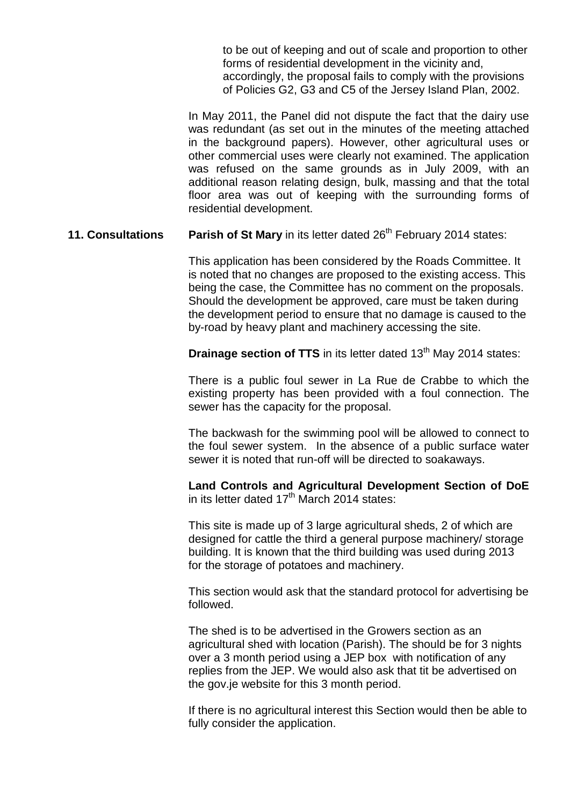to be out of keeping and out of scale and proportion to other forms of residential development in the vicinity and, accordingly, the proposal fails to comply with the provisions of Policies G2, G3 and C5 of the Jersey Island Plan, 2002.

In May 2011, the Panel did not dispute the fact that the dairy use was redundant (as set out in the minutes of the meeting attached in the background papers). However, other agricultural uses or other commercial uses were clearly not examined. The application was refused on the same grounds as in July 2009, with an additional reason relating design, bulk, massing and that the total floor area was out of keeping with the surrounding forms of residential development.

**11. Consultations Parish of St Mary** in its letter dated 26<sup>th</sup> February 2014 states:

This application has been considered by the Roads Committee. It is noted that no changes are proposed to the existing access. This being the case, the Committee has no comment on the proposals. Should the development be approved, care must be taken during the development period to ensure that no damage is caused to the by-road by heavy plant and machinery accessing the site.

**Drainage section of TTS** in its letter dated 13<sup>th</sup> May 2014 states:

There is a public foul sewer in La Rue de Crabbe to which the existing property has been provided with a foul connection. The sewer has the capacity for the proposal.

The backwash for the swimming pool will be allowed to connect to the foul sewer system. In the absence of a public surface water sewer it is noted that run-off will be directed to soakaways.

**Land Controls and Agricultural Development Section of DoE** in its letter dated  $17<sup>th</sup>$  March 2014 states:

This site is made up of 3 large agricultural sheds, 2 of which are designed for cattle the third a general purpose machinery/ storage building. It is known that the third building was used during 2013 for the storage of potatoes and machinery.

This section would ask that the standard protocol for advertising be followed.

The shed is to be advertised in the Growers section as an agricultural shed with location (Parish). The should be for 3 nights over a 3 month period using a JEP box with notification of any replies from the JEP. We would also ask that tit be advertised on the gov.je website for this 3 month period.

If there is no agricultural interest this Section would then be able to fully consider the application.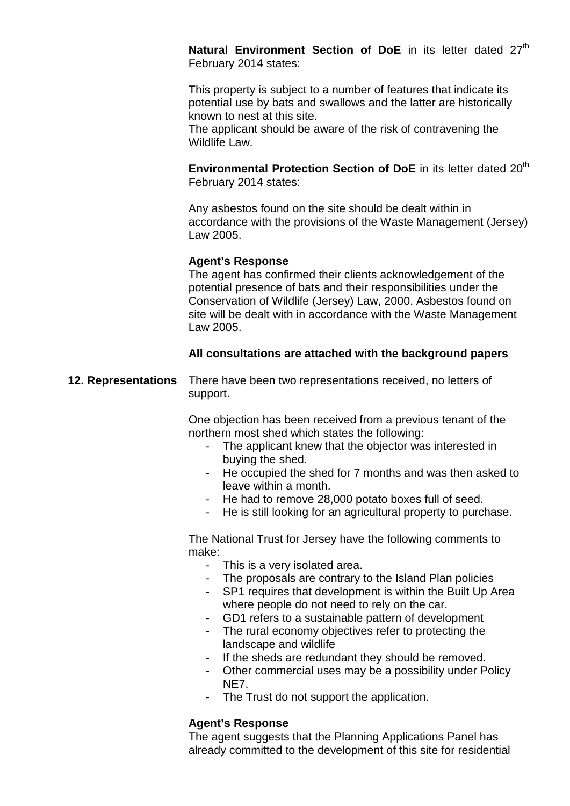Natural Environment Section of DoE in its letter dated 27<sup>th</sup> February 2014 states:

This property is subject to a number of features that indicate its potential use by bats and swallows and the latter are historically known to nest at this site.

The applicant should be aware of the risk of contravening the Wildlife Law.

**Environmental Protection Section of DoE** in its letter dated 20<sup>th</sup> February 2014 states:

Any asbestos found on the site should be dealt within in accordance with the provisions of the Waste Management (Jersey) Law 2005.

#### **Agent's Response**

The agent has confirmed their clients acknowledgement of the potential presence of bats and their responsibilities under the Conservation of Wildlife (Jersey) Law, 2000. Asbestos found on site will be dealt with in accordance with the Waste Management Law 2005.

#### **All consultations are attached with the background papers**

**12. Representations** There have been two representations received, no letters of support.

> One objection has been received from a previous tenant of the northern most shed which states the following:

- The applicant knew that the objector was interested in buying the shed.
- He occupied the shed for 7 months and was then asked to leave within a month.
- He had to remove 28,000 potato boxes full of seed.
- He is still looking for an agricultural property to purchase.

The National Trust for Jersey have the following comments to make:

- This is a very isolated area.
- The proposals are contrary to the Island Plan policies
- SP1 requires that development is within the Built Up Area where people do not need to rely on the car.
- GD1 refers to a sustainable pattern of development
- The rural economy objectives refer to protecting the landscape and wildlife
- If the sheds are redundant they should be removed.
- Other commercial uses may be a possibility under Policy NE7.
- The Trust do not support the application.

#### **Agent's Response**

The agent suggests that the Planning Applications Panel has already committed to the development of this site for residential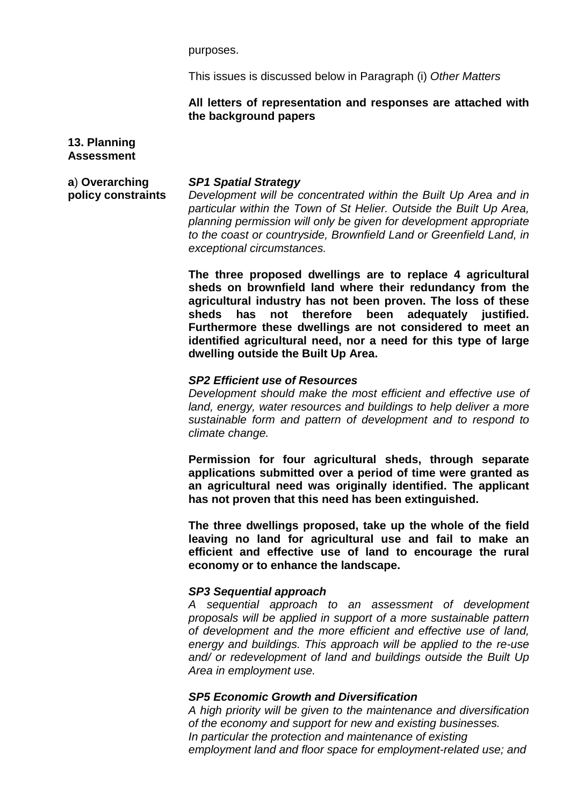purposes.

This issues is discussed below in Paragraph (i) *Other Matters*

#### **All letters of representation and responses are attached with the background papers**

#### **13. Planning Assessment**

**a**) **Overarching policy constraints**

#### *SP1 Spatial Strategy*

*Development will be concentrated within the Built Up Area and in particular within the Town of St Helier. Outside the Built Up Area, planning permission will only be given for development appropriate to the coast or countryside, Brownfield Land or Greenfield Land, in exceptional circumstances.* 

**The three proposed dwellings are to replace 4 agricultural sheds on brownfield land where their redundancy from the agricultural industry has not been proven. The loss of these sheds has not therefore been adequately justified. Furthermore these dwellings are not considered to meet an identified agricultural need, nor a need for this type of large dwelling outside the Built Up Area.**

#### *SP2 Efficient use of Resources*

*Development should make the most efficient and effective use of land, energy, water resources and buildings to help deliver a more sustainable form and pattern of development and to respond to climate change.* 

**Permission for four agricultural sheds, through separate applications submitted over a period of time were granted as an agricultural need was originally identified. The applicant has not proven that this need has been extinguished.**

**The three dwellings proposed, take up the whole of the field leaving no land for agricultural use and fail to make an efficient and effective use of land to encourage the rural economy or to enhance the landscape.** 

#### *SP3 Sequential approach*

*A sequential approach to an assessment of development proposals will be applied in support of a more sustainable pattern of development and the more efficient and effective use of land, energy and buildings. This approach will be applied to the re-use and/ or redevelopment of land and buildings outside the Built Up Area in employment use.*

#### *SP5 Economic Growth and Diversification*

*A high priority will be given to the maintenance and diversification of the economy and support for new and existing businesses. In particular the protection and maintenance of existing employment land and floor space for employment-related use; and*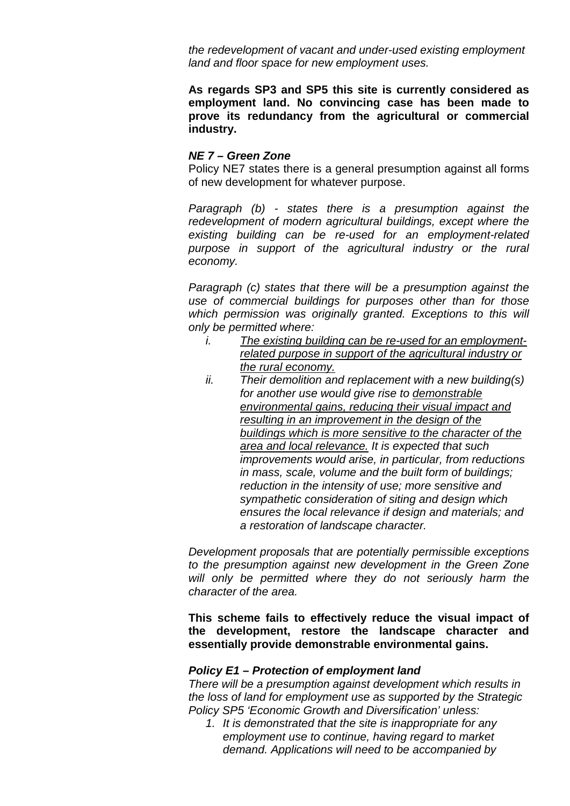*the redevelopment of vacant and under-used existing employment land and floor space for new employment uses.*

**As regards SP3 and SP5 this site is currently considered as employment land. No convincing case has been made to prove its redundancy from the agricultural or commercial industry.**

#### *NE 7 – Green Zone*

Policy NE7 states there is a general presumption against all forms of new development for whatever purpose.

*Paragraph (b) - states there is a presumption against the*  redevelopment of modern agricultural buildings, except where the *existing building can be re-used for an employment-related purpose in support of the agricultural industry or the rural economy.*

*Paragraph (c) states that there will be a presumption against the use of commercial buildings for purposes other than for those which permission was originally granted. Exceptions to this will only be permitted where:*

- *i. The existing building can be re-used for an employmentrelated purpose in support of the agricultural industry or the rural economy.*
- *ii. Their demolition and replacement with a new building(s) for another use would give rise to demonstrable environmental gains, reducing their visual impact and resulting in an improvement in the design of the buildings which is more sensitive to the character of the area and local relevance. It is expected that such improvements would arise, in particular, from reductions in mass, scale, volume and the built form of buildings; reduction in the intensity of use; more sensitive and sympathetic consideration of siting and design which ensures the local relevance if design and materials; and a restoration of landscape character.*

*Development proposals that are potentially permissible exceptions to the presumption against new development in the Green Zone will only be permitted where they do not seriously harm the character of the area.* 

**This scheme fails to effectively reduce the visual impact of the development, restore the landscape character and essentially provide demonstrable environmental gains.**

#### *Policy E1 – Protection of employment land*

*There will be a presumption against development which results in the loss of land for employment use as supported by the Strategic Policy SP5 'Economic Growth and Diversification' unless:*

*1. It is demonstrated that the site is inappropriate for any employment use to continue, having regard to market demand. Applications will need to be accompanied by*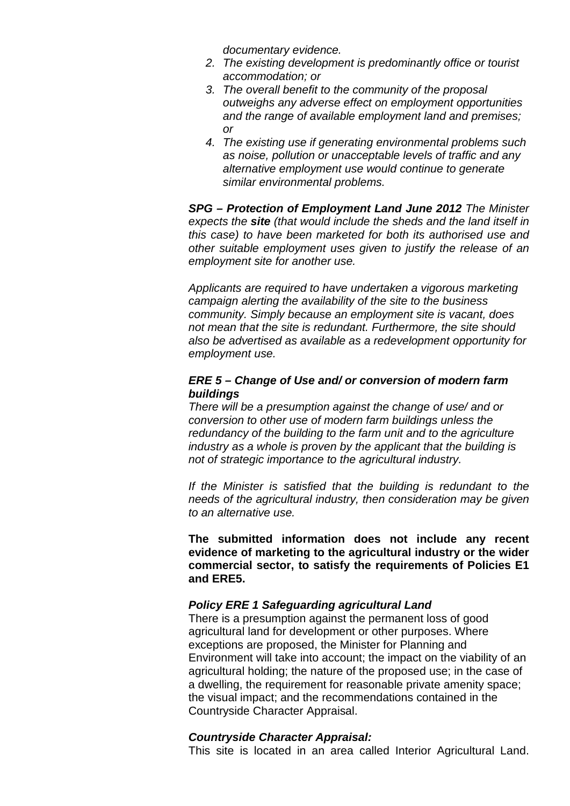*documentary evidence.*

- *2. The existing development is predominantly office or tourist accommodation; or*
- *3. The overall benefit to the community of the proposal outweighs any adverse effect on employment opportunities and the range of available employment land and premises; or*
- *4. The existing use if generating environmental problems such as noise, pollution or unacceptable levels of traffic and any alternative employment use would continue to generate similar environmental problems.*

*SPG – Protection of Employment Land June 2012 The Minister expects the site (that would include the sheds and the land itself in this case) to have been marketed for both its authorised use and other suitable employment uses given to justify the release of an employment site for another use.* 

*Applicants are required to have undertaken a vigorous marketing campaign alerting the availability of the site to the business community. Simply because an employment site is vacant, does not mean that the site is redundant. Furthermore, the site should also be advertised as available as a redevelopment opportunity for employment use.*

#### *ERE 5 – Change of Use and/ or conversion of modern farm buildings*

*There will be a presumption against the change of use/ and or conversion to other use of modern farm buildings unless the redundancy of the building to the farm unit and to the agriculture industry as a whole is proven by the applicant that the building is not of strategic importance to the agricultural industry.*

*If the Minister is satisfied that the building is redundant to the needs of the agricultural industry, then consideration may be given to an alternative use.*

**The submitted information does not include any recent evidence of marketing to the agricultural industry or the wider commercial sector, to satisfy the requirements of Policies E1 and ERE5.**

#### *Policy ERE 1 Safeguarding agricultural Land*

There is a presumption against the permanent loss of good agricultural land for development or other purposes. Where exceptions are proposed, the Minister for Planning and Environment will take into account; the impact on the viability of an agricultural holding; the nature of the proposed use; in the case of a dwelling, the requirement for reasonable private amenity space; the visual impact; and the recommendations contained in the Countryside Character Appraisal.

#### *Countryside Character Appraisal:*

This site is located in an area called Interior Agricultural Land.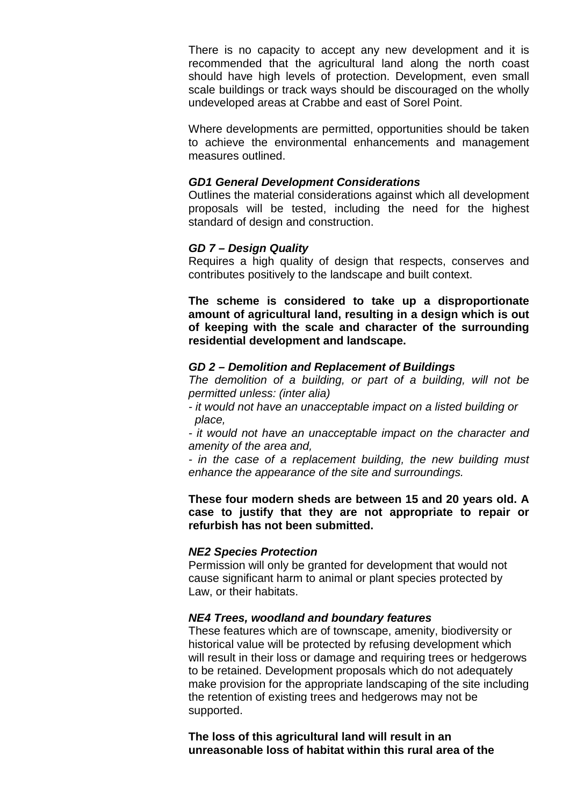There is no capacity to accept any new development and it is recommended that the agricultural land along the north coast should have high levels of protection. Development, even small scale buildings or track ways should be discouraged on the wholly undeveloped areas at Crabbe and east of Sorel Point.

Where developments are permitted, opportunities should be taken to achieve the environmental enhancements and management measures outlined.

#### *GD1 General Development Considerations*

Outlines the material considerations against which all development proposals will be tested, including the need for the highest standard of design and construction.

#### *GD 7 – Design Quality*

Requires a high quality of design that respects, conserves and contributes positively to the landscape and built context.

**The scheme is considered to take up a disproportionate amount of agricultural land, resulting in a design which is out of keeping with the scale and character of the surrounding residential development and landscape.**

#### *GD 2 – Demolition and Replacement of Buildings*

*The demolition of a building, or part of a building, will not be permitted unless: (inter alia)*

*- it would not have an unacceptable impact on a listed building or place,*

*- it would not have an unacceptable impact on the character and amenity of the area and,* 

*- in the case of a replacement building, the new building must enhance the appearance of the site and surroundings.*

**These four modern sheds are between 15 and 20 years old. A case to justify that they are not appropriate to repair or refurbish has not been submitted.** 

#### *NE2 Species Protection*

Permission will only be granted for development that would not cause significant harm to animal or plant species protected by Law, or their habitats.

#### *NE4 Trees, woodland and boundary features*

These features which are of townscape, amenity, biodiversity or historical value will be protected by refusing development which will result in their loss or damage and requiring trees or hedgerows to be retained. Development proposals which do not adequately make provision for the appropriate landscaping of the site including the retention of existing trees and hedgerows may not be supported.

**The loss of this agricultural land will result in an unreasonable loss of habitat within this rural area of the**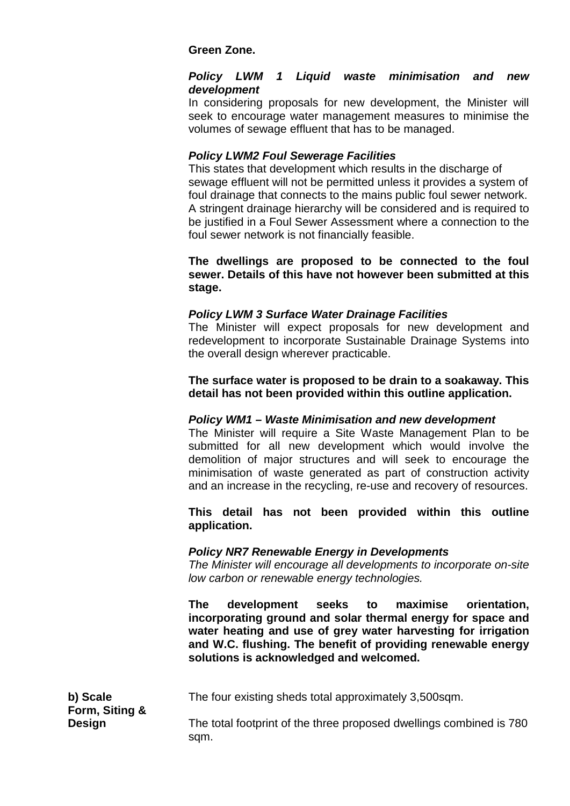## **Green Zone.**

#### *Policy LWM 1 Liquid waste minimisation and new development*

In considering proposals for new development, the Minister will seek to encourage water management measures to minimise the volumes of sewage effluent that has to be managed.

## *Policy LWM2 Foul Sewerage Facilities*

This states that development which results in the discharge of sewage effluent will not be permitted unless it provides a system of foul drainage that connects to the mains public foul sewer network. A stringent drainage hierarchy will be considered and is required to be justified in a Foul Sewer Assessment where a connection to the foul sewer network is not financially feasible.

#### **The dwellings are proposed to be connected to the foul sewer. Details of this have not however been submitted at this stage.**

#### *Policy LWM 3 Surface Water Drainage Facilities*

The Minister will expect proposals for new development and redevelopment to incorporate Sustainable Drainage Systems into the overall design wherever practicable.

**The surface water is proposed to be drain to a soakaway. This detail has not been provided within this outline application.**

#### *Policy WM1 – Waste Minimisation and new development*

The Minister will require a Site Waste Management Plan to be submitted for all new development which would involve the demolition of major structures and will seek to encourage the minimisation of waste generated as part of construction activity and an increase in the recycling, re-use and recovery of resources.

#### **This detail has not been provided within this outline application.**

#### *Policy NR7 Renewable Energy in Developments*

*The Minister will encourage all developments to incorporate on-site low carbon or renewable energy technologies.*

**The development seeks to maximise orientation, incorporating ground and solar thermal energy for space and water heating and use of grey water harvesting for irrigation and W.C. flushing. The benefit of providing renewable energy solutions is acknowledged and welcomed.**

The four existing sheds total approximately 3,500sqm.

The total footprint of the three proposed dwellings combined is 780 sqm.

**b) Scale Form, Siting & Design**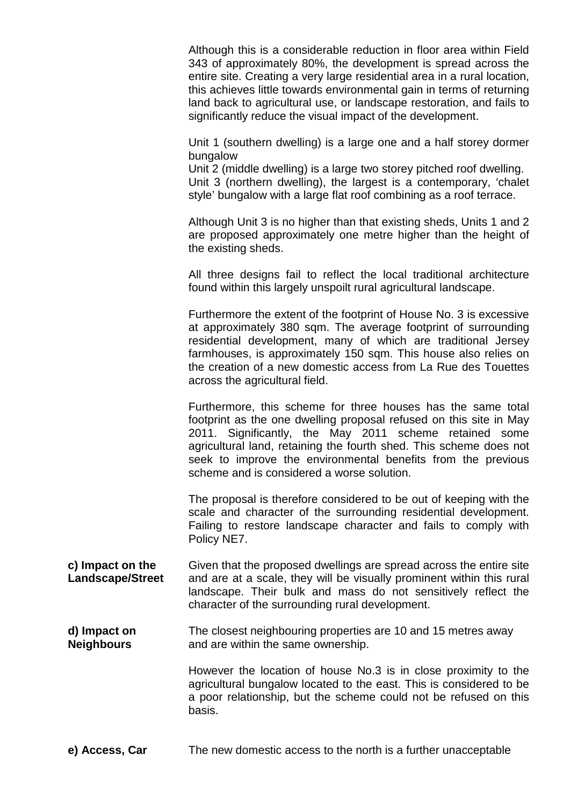Although this is a considerable reduction in floor area within Field 343 of approximately 80%, the development is spread across the entire site. Creating a very large residential area in a rural location, this achieves little towards environmental gain in terms of returning land back to agricultural use, or landscape restoration, and fails to significantly reduce the visual impact of the development.

Unit 1 (southern dwelling) is a large one and a half storey dormer bungalow

Unit 2 (middle dwelling) is a large two storey pitched roof dwelling. Unit 3 (northern dwelling), the largest is a contemporary, 'chalet style' bungalow with a large flat roof combining as a roof terrace.

Although Unit 3 is no higher than that existing sheds, Units 1 and 2 are proposed approximately one metre higher than the height of the existing sheds.

All three designs fail to reflect the local traditional architecture found within this largely unspoilt rural agricultural landscape.

Furthermore the extent of the footprint of House No. 3 is excessive at approximately 380 sqm. The average footprint of surrounding residential development, many of which are traditional Jersey farmhouses, is approximately 150 sqm. This house also relies on the creation of a new domestic access from La Rue des Touettes across the agricultural field.

Furthermore, this scheme for three houses has the same total footprint as the one dwelling proposal refused on this site in May 2011. Significantly, the May 2011 scheme retained some agricultural land, retaining the fourth shed. This scheme does not seek to improve the environmental benefits from the previous scheme and is considered a worse solution.

The proposal is therefore considered to be out of keeping with the scale and character of the surrounding residential development. Failing to restore landscape character and fails to comply with Policy NE7.

**c) Impact on the Landscape/Street** Given that the proposed dwellings are spread across the entire site and are at a scale, they will be visually prominent within this rural landscape. Their bulk and mass do not sensitively reflect the character of the surrounding rural development.

**d) Impact on Neighbours** The closest neighbouring properties are 10 and 15 metres away and are within the same ownership.

> However the location of house No.3 is in close proximity to the agricultural bungalow located to the east. This is considered to be a poor relationship, but the scheme could not be refused on this basis.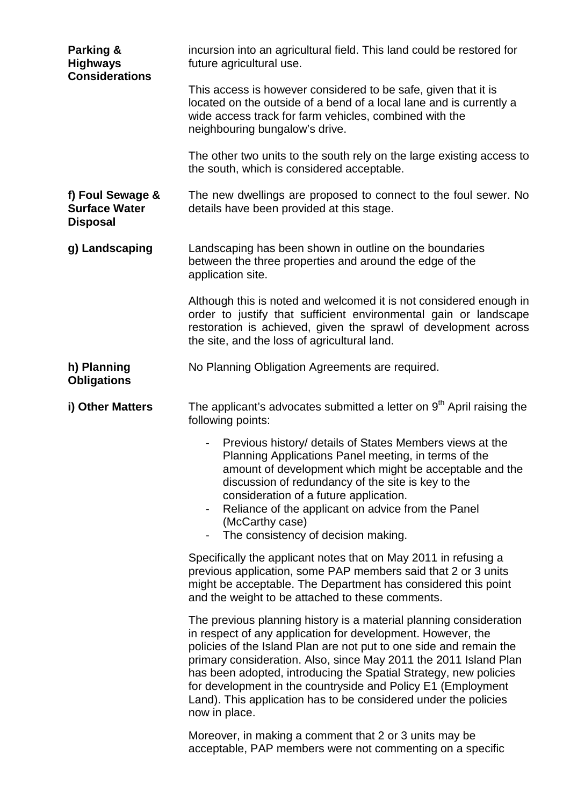| Parking &<br><b>Highways</b><br><b>Considerations</b>       | incursion into an agricultural field. This land could be restored for<br>future agricultural use.                                                                                                                                                                                                                                                                                                                                                                                                   |
|-------------------------------------------------------------|-----------------------------------------------------------------------------------------------------------------------------------------------------------------------------------------------------------------------------------------------------------------------------------------------------------------------------------------------------------------------------------------------------------------------------------------------------------------------------------------------------|
|                                                             | This access is however considered to be safe, given that it is<br>located on the outside of a bend of a local lane and is currently a<br>wide access track for farm vehicles, combined with the<br>neighbouring bungalow's drive.                                                                                                                                                                                                                                                                   |
|                                                             | The other two units to the south rely on the large existing access to<br>the south, which is considered acceptable.                                                                                                                                                                                                                                                                                                                                                                                 |
| f) Foul Sewage &<br><b>Surface Water</b><br><b>Disposal</b> | The new dwellings are proposed to connect to the foul sewer. No<br>details have been provided at this stage.                                                                                                                                                                                                                                                                                                                                                                                        |
| g) Landscaping                                              | Landscaping has been shown in outline on the boundaries<br>between the three properties and around the edge of the<br>application site.                                                                                                                                                                                                                                                                                                                                                             |
|                                                             | Although this is noted and welcomed it is not considered enough in<br>order to justify that sufficient environmental gain or landscape<br>restoration is achieved, given the sprawl of development across<br>the site, and the loss of agricultural land.                                                                                                                                                                                                                                           |
| h) Planning<br><b>Obligations</b>                           | No Planning Obligation Agreements are required.                                                                                                                                                                                                                                                                                                                                                                                                                                                     |
| i) Other Matters                                            | The applicant's advocates submitted a letter on 9 <sup>th</sup> April raising the<br>following points:                                                                                                                                                                                                                                                                                                                                                                                              |
|                                                             | Previous history/ details of States Members views at the<br>Planning Applications Panel meeting, in terms of the<br>amount of development which might be acceptable and the<br>discussion of redundancy of the site is key to the<br>consideration of a future application.<br>Reliance of the applicant on advice from the Panel<br>(McCarthy case)<br>The consistency of decision making.                                                                                                         |
|                                                             | Specifically the applicant notes that on May 2011 in refusing a<br>previous application, some PAP members said that 2 or 3 units<br>might be acceptable. The Department has considered this point<br>and the weight to be attached to these comments.                                                                                                                                                                                                                                               |
|                                                             | The previous planning history is a material planning consideration<br>in respect of any application for development. However, the<br>policies of the Island Plan are not put to one side and remain the<br>primary consideration. Also, since May 2011 the 2011 Island Plan<br>has been adopted, introducing the Spatial Strategy, new policies<br>for development in the countryside and Policy E1 (Employment<br>Land). This application has to be considered under the policies<br>now in place. |
|                                                             | Moreover, in making a comment that 2 or 3 units may be<br>acceptable, PAP members were not commenting on a specific                                                                                                                                                                                                                                                                                                                                                                                 |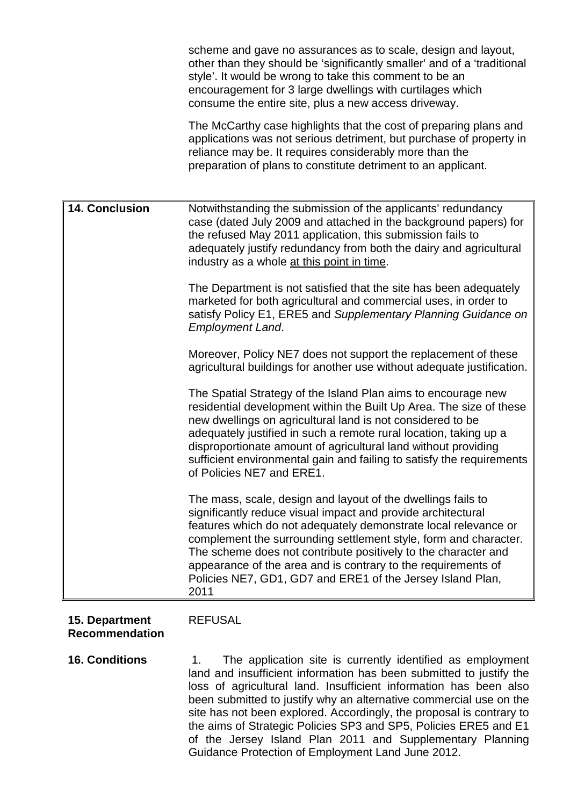scheme and gave no assurances as to scale, design and layout, other than they should be 'significantly smaller' and of a 'traditional style'. It would be wrong to take this comment to be an encouragement for 3 large dwellings with curtilages which consume the entire site, plus a new access driveway.

The McCarthy case highlights that the cost of preparing plans and applications was not serious detriment, but purchase of property in reliance may be. It requires considerably more than the preparation of plans to constitute detriment to an applicant.

**14. Conclusion** Notwithstanding the submission of the applicants' redundancy case (dated July 2009 and attached in the background papers) for the refused May 2011 application, this submission fails to adequately justify redundancy from both the dairy and agricultural industry as a whole at this point in time. The Department is not satisfied that the site has been adequately marketed for both agricultural and commercial uses, in order to satisfy Policy E1, ERE5 and *Supplementary Planning Guidance on Employment Land*. Moreover, Policy NE7 does not support the replacement of these agricultural buildings for another use without adequate justification. The Spatial Strategy of the Island Plan aims to encourage new residential development within the Built Up Area. The size of these new dwellings on agricultural land is not considered to be adequately justified in such a remote rural location, taking up a disproportionate amount of agricultural land without providing sufficient environmental gain and failing to satisfy the requirements of Policies NE7 and ERE1. The mass, scale, design and layout of the dwellings fails to significantly reduce visual impact and provide architectural features which do not adequately demonstrate local relevance or complement the surrounding settlement style, form and character. The scheme does not contribute positively to the character and appearance of the area and is contrary to the requirements of Policies NE7, GD1, GD7 and ERE1 of the Jersey Island Plan, 2011

#### **15. Department Recommendation**

## REFUSAL

**16. Conditions** 1. The application site is currently identified as employment land and insufficient information has been submitted to justify the loss of agricultural land. Insufficient information has been also been submitted to justify why an alternative commercial use on the site has not been explored. Accordingly, the proposal is contrary to the aims of Strategic Policies SP3 and SP5, Policies ERE5 and E1 of the Jersey Island Plan 2011 and Supplementary Planning Guidance Protection of Employment Land June 2012.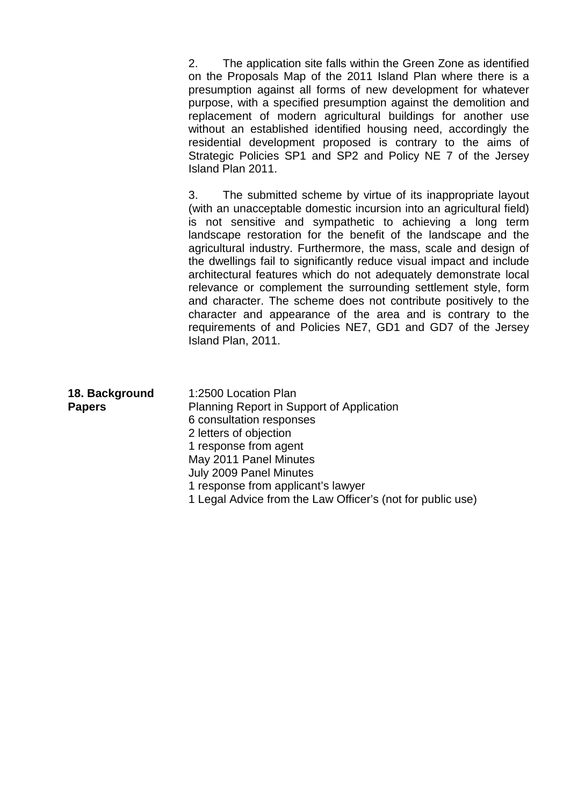2. The application site falls within the Green Zone as identified on the Proposals Map of the 2011 Island Plan where there is a presumption against all forms of new development for whatever purpose, with a specified presumption against the demolition and replacement of modern agricultural buildings for another use without an established identified housing need, accordingly the residential development proposed is contrary to the aims of Strategic Policies SP1 and SP2 and Policy NE 7 of the Jersey Island Plan 2011.

3. The submitted scheme by virtue of its inappropriate layout (with an unacceptable domestic incursion into an agricultural field) is not sensitive and sympathetic to achieving a long term landscape restoration for the benefit of the landscape and the agricultural industry. Furthermore, the mass, scale and design of the dwellings fail to significantly reduce visual impact and include architectural features which do not adequately demonstrate local relevance or complement the surrounding settlement style, form and character. The scheme does not contribute positively to the character and appearance of the area and is contrary to the requirements of and Policies NE7, GD1 and GD7 of the Jersey Island Plan, 2011.

| 18. Background | 1:2500 Location Plan                      |
|----------------|-------------------------------------------|
| <b>Papers</b>  | Planning Report in Support of Application |
|                | 6 consultation responses                  |
|                | 2 letters of objection                    |
|                | 1 response from agent                     |
|                | May 2011 Panel Minutes                    |
|                | July 2009 Panel Minutes                   |
|                | 1 response from applicant's lawyer        |
|                |                                           |

1 Legal Advice from the Law Officer's (not for public use)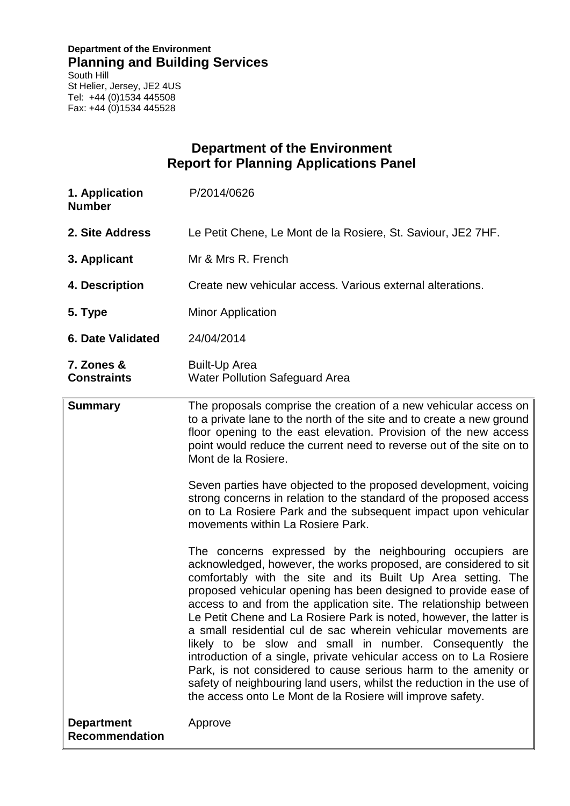## **Department of the Environment Planning and Building Services**

South Hill St Helier, Jersey, JE2 4US Tel: +44 (0)1534 445508 Fax: +44 (0)1534 445528

# **Department of the Environment Report for Planning Applications Panel**

| 1. Application<br><b>Number</b>            | P/2014/0626                                                                                                                                                                                                                                                                                                                                                                                                                                                                                                                                                                                                                                                                                                                                                                                                                                                                                                                                                                                                                                                                                                                                                                                                                                                                                                                                                                                |
|--------------------------------------------|--------------------------------------------------------------------------------------------------------------------------------------------------------------------------------------------------------------------------------------------------------------------------------------------------------------------------------------------------------------------------------------------------------------------------------------------------------------------------------------------------------------------------------------------------------------------------------------------------------------------------------------------------------------------------------------------------------------------------------------------------------------------------------------------------------------------------------------------------------------------------------------------------------------------------------------------------------------------------------------------------------------------------------------------------------------------------------------------------------------------------------------------------------------------------------------------------------------------------------------------------------------------------------------------------------------------------------------------------------------------------------------------|
| 2. Site Address                            | Le Petit Chene, Le Mont de la Rosiere, St. Saviour, JE2 7HF.                                                                                                                                                                                                                                                                                                                                                                                                                                                                                                                                                                                                                                                                                                                                                                                                                                                                                                                                                                                                                                                                                                                                                                                                                                                                                                                               |
| 3. Applicant                               | Mr & Mrs R. French                                                                                                                                                                                                                                                                                                                                                                                                                                                                                                                                                                                                                                                                                                                                                                                                                                                                                                                                                                                                                                                                                                                                                                                                                                                                                                                                                                         |
| 4. Description                             | Create new vehicular access. Various external alterations.                                                                                                                                                                                                                                                                                                                                                                                                                                                                                                                                                                                                                                                                                                                                                                                                                                                                                                                                                                                                                                                                                                                                                                                                                                                                                                                                 |
| 5. Type                                    | <b>Minor Application</b>                                                                                                                                                                                                                                                                                                                                                                                                                                                                                                                                                                                                                                                                                                                                                                                                                                                                                                                                                                                                                                                                                                                                                                                                                                                                                                                                                                   |
| <b>6. Date Validated</b>                   | 24/04/2014                                                                                                                                                                                                                                                                                                                                                                                                                                                                                                                                                                                                                                                                                                                                                                                                                                                                                                                                                                                                                                                                                                                                                                                                                                                                                                                                                                                 |
| 7. Zones &<br><b>Constraints</b>           | <b>Built-Up Area</b><br><b>Water Pollution Safeguard Area</b>                                                                                                                                                                                                                                                                                                                                                                                                                                                                                                                                                                                                                                                                                                                                                                                                                                                                                                                                                                                                                                                                                                                                                                                                                                                                                                                              |
| <b>Summary</b>                             | The proposals comprise the creation of a new vehicular access on<br>to a private lane to the north of the site and to create a new ground<br>floor opening to the east elevation. Provision of the new access<br>point would reduce the current need to reverse out of the site on to<br>Mont de la Rosiere.<br>Seven parties have objected to the proposed development, voicing<br>strong concerns in relation to the standard of the proposed access<br>on to La Rosiere Park and the subsequent impact upon vehicular<br>movements within La Rosiere Park.<br>The concerns expressed by the neighbouring occupiers are<br>acknowledged, however, the works proposed, are considered to sit<br>comfortably with the site and its Built Up Area setting. The<br>proposed vehicular opening has been designed to provide ease of<br>access to and from the application site. The relationship between<br>Le Petit Chene and La Rosiere Park is noted, however, the latter is<br>a small residential cul de sac wherein vehicular movements are<br>likely to be slow and small in number. Consequently the<br>introduction of a single, private vehicular access on to La Rosiere<br>Park, is not considered to cause serious harm to the amenity or<br>safety of neighbouring land users, whilst the reduction in the use of<br>the access onto Le Mont de la Rosiere will improve safety. |
| <b>Department</b><br><b>Recommendation</b> | Approve                                                                                                                                                                                                                                                                                                                                                                                                                                                                                                                                                                                                                                                                                                                                                                                                                                                                                                                                                                                                                                                                                                                                                                                                                                                                                                                                                                                    |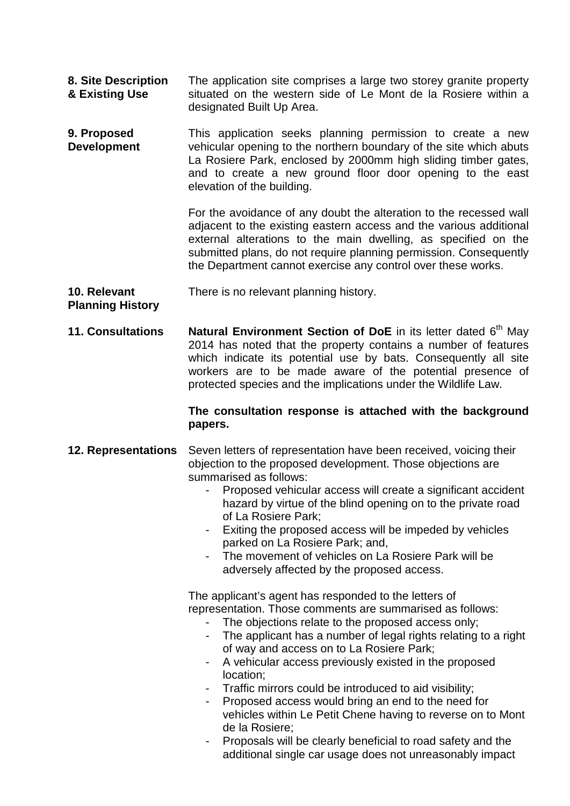- **8. Site Description & Existing Use** The application site comprises a large two storey granite property situated on the western side of Le Mont de la Rosiere within a designated Built Up Area.
- **9. Proposed Development** This application seeks planning permission to create a new vehicular opening to the northern boundary of the site which abuts La Rosiere Park, enclosed by 2000mm high sliding timber gates, and to create a new ground floor door opening to the east elevation of the building.

For the avoidance of any doubt the alteration to the recessed wall adjacent to the existing eastern access and the various additional external alterations to the main dwelling, as specified on the submitted plans, do not require planning permission. Consequently the Department cannot exercise any control over these works.

**10. Relevant**  There is no relevant planning history.

## **Planning History**

**11. Consultations Natural Environment Section of DoE** in its letter dated 6<sup>th</sup> May 2014 has noted that the property contains a number of features which indicate its potential use by bats. Consequently all site workers are to be made aware of the potential presence of protected species and the implications under the Wildlife Law.

## **The consultation response is attached with the background papers.**

#### **12. Representations** Seven letters of representation have been received, voicing their objection to the proposed development. Those objections are summarised as follows:

- Proposed vehicular access will create a significant accident hazard by virtue of the blind opening on to the private road of La Rosiere Park;
- Exiting the proposed access will be impeded by vehicles parked on La Rosiere Park; and,
- The movement of vehicles on La Rosiere Park will be adversely affected by the proposed access.

The applicant's agent has responded to the letters of representation. Those comments are summarised as follows:

- The objections relate to the proposed access only;
- The applicant has a number of legal rights relating to a right of way and access on to La Rosiere Park;
- A vehicular access previously existed in the proposed location;
- Traffic mirrors could be introduced to aid visibility;
- Proposed access would bring an end to the need for vehicles within Le Petit Chene having to reverse on to Mont de la Rosiere;
- Proposals will be clearly beneficial to road safety and the additional single car usage does not unreasonably impact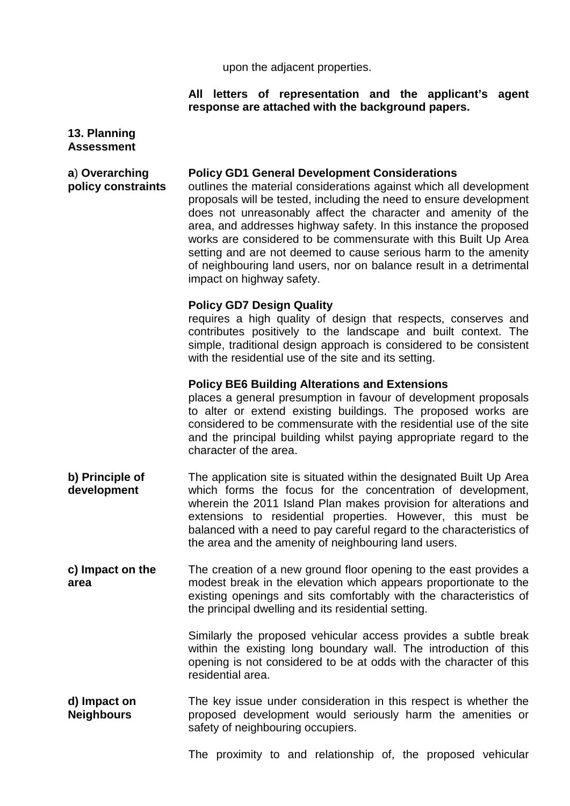upon the adjacent properties.

## **All letters of representation and the applicant's agent response are attached with the background papers.**

| 13. Planning<br><b>Assessment</b>    |                                                                                                                                                                                                                                                                                                                                                                                                                                                                                                                                                                                 |
|--------------------------------------|---------------------------------------------------------------------------------------------------------------------------------------------------------------------------------------------------------------------------------------------------------------------------------------------------------------------------------------------------------------------------------------------------------------------------------------------------------------------------------------------------------------------------------------------------------------------------------|
| a) Overarching<br>policy constraints | <b>Policy GD1 General Development Considerations</b><br>outlines the material considerations against which all development<br>proposals will be tested, including the need to ensure development<br>does not unreasonably affect the character and amenity of the<br>area, and addresses highway safety. In this instance the proposed<br>works are considered to be commensurate with this Built Up Area<br>setting and are not deemed to cause serious harm to the amenity<br>of neighbouring land users, nor on balance result in a detrimental<br>impact on highway safety. |
|                                      | <b>Policy GD7 Design Quality</b><br>requires a high quality of design that respects, conserves and<br>contributes positively to the landscape and built context. The<br>simple, traditional design approach is considered to be consistent<br>with the residential use of the site and its setting.                                                                                                                                                                                                                                                                             |
|                                      | <b>Policy BE6 Building Alterations and Extensions</b><br>places a general presumption in favour of development proposals<br>to alter or extend existing buildings. The proposed works are<br>considered to be commensurate with the residential use of the site<br>and the principal building whilst paying appropriate regard to the<br>character of the area.                                                                                                                                                                                                                 |
| b) Principle of<br>development       | The application site is situated within the designated Built Up Area<br>which forms the focus for the concentration of development,<br>wherein the 2011 Island Plan makes provision for alterations and<br>extensions to residential properties. However, this must be<br>balanced with a need to pay careful regard to the characteristics of<br>the area and the amenity of neighbouring land users.                                                                                                                                                                          |
| c) Impact on the<br>area             | The creation of a new ground floor opening to the east provides a<br>modest break in the elevation which appears proportionate to the<br>existing openings and sits comfortably with the characteristics of<br>the principal dwelling and its residential setting.                                                                                                                                                                                                                                                                                                              |
|                                      | Similarly the proposed vehicular access provides a subtle break<br>within the existing long boundary wall. The introduction of this<br>opening is not considered to be at odds with the character of this<br>residential area.                                                                                                                                                                                                                                                                                                                                                  |
| d) Impact on<br><b>Neighbours</b>    | The key issue under consideration in this respect is whether the<br>proposed development would seriously harm the amenities or<br>safety of neighbouring occupiers.                                                                                                                                                                                                                                                                                                                                                                                                             |
|                                      | The proximity to and relationship of, the proposed vehicular                                                                                                                                                                                                                                                                                                                                                                                                                                                                                                                    |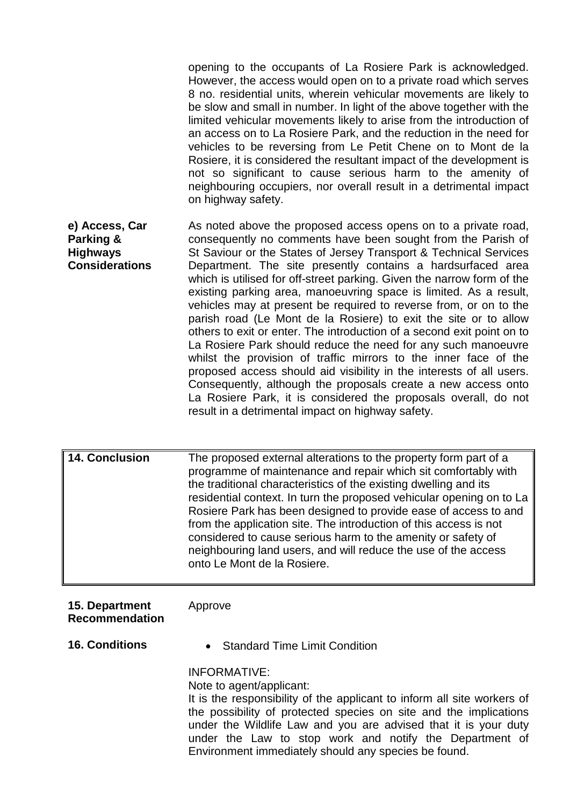opening to the occupants of La Rosiere Park is acknowledged. However, the access would open on to a private road which serves 8 no. residential units, wherein vehicular movements are likely to be slow and small in number. In light of the above together with the limited vehicular movements likely to arise from the introduction of an access on to La Rosiere Park, and the reduction in the need for vehicles to be reversing from Le Petit Chene on to Mont de la Rosiere, it is considered the resultant impact of the development is not so significant to cause serious harm to the amenity of neighbouring occupiers, nor overall result in a detrimental impact on highway safety.

**e) Access, Car Parking & Highways Considerations** As noted above the proposed access opens on to a private road, consequently no comments have been sought from the Parish of St Saviour or the States of Jersey Transport & Technical Services Department. The site presently contains a hardsurfaced area which is utilised for off-street parking. Given the narrow form of the existing parking area, manoeuvring space is limited. As a result, vehicles may at present be required to reverse from, or on to the parish road (Le Mont de la Rosiere) to exit the site or to allow others to exit or enter. The introduction of a second exit point on to La Rosiere Park should reduce the need for any such manoeuvre whilst the provision of traffic mirrors to the inner face of the proposed access should aid visibility in the interests of all users. Consequently, although the proposals create a new access onto La Rosiere Park, it is considered the proposals overall, do not result in a detrimental impact on highway safety.

**14. Conclusion** The proposed external alterations to the property form part of a programme of maintenance and repair which sit comfortably with the traditional characteristics of the existing dwelling and its residential context. In turn the proposed vehicular opening on to La Rosiere Park has been designed to provide ease of access to and from the application site. The introduction of this access is not considered to cause serious harm to the amenity or safety of neighbouring land users, and will reduce the use of the access onto Le Mont de la Rosiere.

### **15. Department Recommendation**

Approve

- 
- **16. Conditions** Standard Time Limit Condition

INFORMATIVE:

Note to agent/applicant:

It is the responsibility of the applicant to inform all site workers of the possibility of protected species on site and the implications under the Wildlife Law and you are advised that it is your duty under the Law to stop work and notify the Department of Environment immediately should any species be found.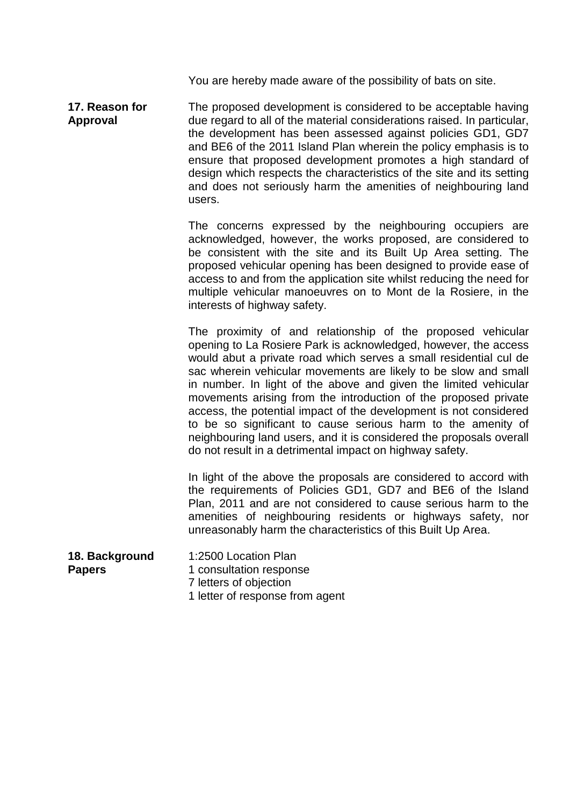You are hereby made aware of the possibility of bats on site.

**17. Reason for Approval** The proposed development is considered to be acceptable having due regard to all of the material considerations raised. In particular, the development has been assessed against policies GD1, GD7 and BE6 of the 2011 Island Plan wherein the policy emphasis is to ensure that proposed development promotes a high standard of design which respects the characteristics of the site and its setting and does not seriously harm the amenities of neighbouring land users.

> The concerns expressed by the neighbouring occupiers are acknowledged, however, the works proposed, are considered to be consistent with the site and its Built Up Area setting. The proposed vehicular opening has been designed to provide ease of access to and from the application site whilst reducing the need for multiple vehicular manoeuvres on to Mont de la Rosiere, in the interests of highway safety.

> The proximity of and relationship of the proposed vehicular opening to La Rosiere Park is acknowledged, however, the access would abut a private road which serves a small residential cul de sac wherein vehicular movements are likely to be slow and small in number. In light of the above and given the limited vehicular movements arising from the introduction of the proposed private access, the potential impact of the development is not considered to be so significant to cause serious harm to the amenity of neighbouring land users, and it is considered the proposals overall do not result in a detrimental impact on highway safety.

> In light of the above the proposals are considered to accord with the requirements of Policies GD1, GD7 and BE6 of the Island Plan, 2011 and are not considered to cause serious harm to the amenities of neighbouring residents or highways safety, nor unreasonably harm the characteristics of this Built Up Area.

- **18. Background Papers**  1:2500 Location Plan 1 consultation response
	- 7 letters of objection
	- 1 letter of response from agent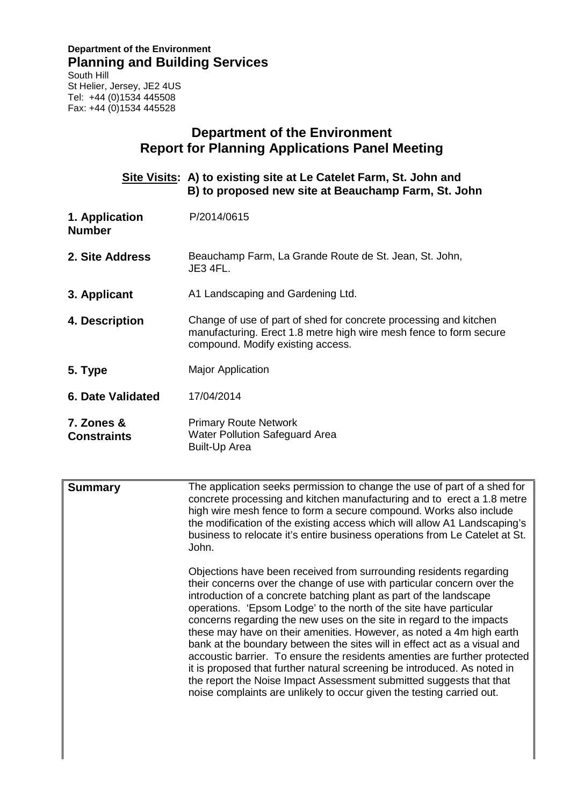# **Department of the Environment Planning and Building Services**

South Hill St Helier, Jersey, JE2 4US Tel: +44 (0)1534 445508 Fax: +44 (0)1534 445528

# **Department of the Environment Report for Planning Applications Panel Meeting Site Visits: A) to existing site at Le Catelet Farm, St. John and B) to proposed new site at Beauchamp Farm, St. John 1. Application Number** P/2014/0615 **2. Site Address** Beauchamp Farm, La Grande Route de St. Jean, St. John, JE3 4FL. **3. Applicant** A1 Landscaping and Gardening Ltd. **4. Description** Change of use of part of shed for concrete processing and kitchen manufacturing. Erect 1.8 metre high wire mesh fence to form secure compound. Modify existing access. **5. Type** Major Application **6. Date Validated** 17/04/2014 **7. Zones & Constraints** Primary Route Network Water Pollution Safeguard Area Built-Up Area **Summary** The application seeks permission to change the use of part of a shed for concrete processing and kitchen manufacturing and to erect a 1.8 metre high wire mesh fence to form a secure compound. Works also include the modification of the existing access which will allow A1 Landscaping's business to relocate it's entire business operations from Le Catelet at St. John. Objections have been received from surrounding residents regarding their concerns over the change of use with particular concern over the introduction of a concrete batching plant as part of the landscape operations. 'Epsom Lodge' to the north of the site have particular concerns regarding the new uses on the site in regard to the impacts these may have on their amenities. However, as noted a 4m high earth bank at the boundary between the sites will in effect act as a visual and accoustic barrier. To ensure the residents amenties are further protected it is proposed that further natural screening be introduced. As noted in the report the Noise Impact Assessment submitted suggests that that noise complaints are unlikely to occur given the testing carried out.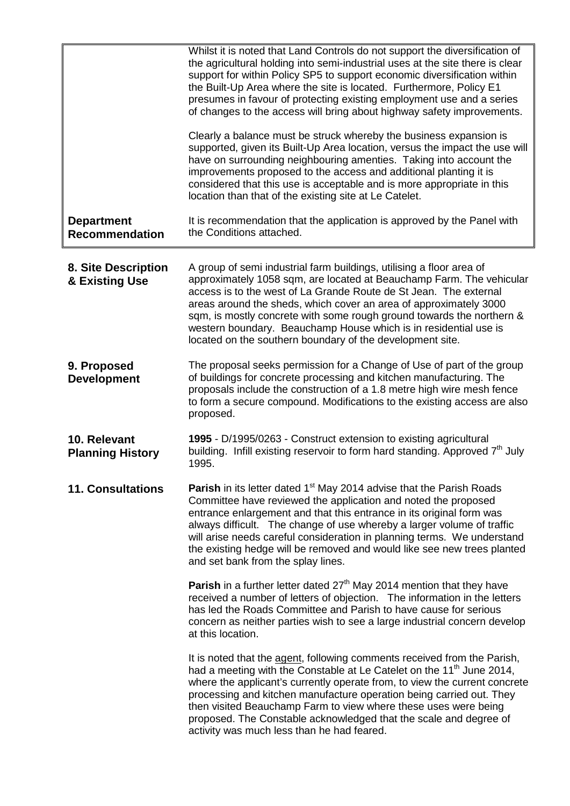|                                            | Whilst it is noted that Land Controls do not support the diversification of<br>the agricultural holding into semi-industrial uses at the site there is clear<br>support for within Policy SP5 to support economic diversification within<br>the Built-Up Area where the site is located. Furthermore, Policy E1<br>presumes in favour of protecting existing employment use and a series<br>of changes to the access will bring about highway safety improvements.                                        |
|--------------------------------------------|-----------------------------------------------------------------------------------------------------------------------------------------------------------------------------------------------------------------------------------------------------------------------------------------------------------------------------------------------------------------------------------------------------------------------------------------------------------------------------------------------------------|
|                                            | Clearly a balance must be struck whereby the business expansion is<br>supported, given its Built-Up Area location, versus the impact the use will<br>have on surrounding neighbouring amenties. Taking into account the<br>improvements proposed to the access and additional planting it is<br>considered that this use is acceptable and is more appropriate in this<br>location than that of the existing site at Le Catelet.                                                                          |
| <b>Department</b><br><b>Recommendation</b> | It is recommendation that the application is approved by the Panel with<br>the Conditions attached.                                                                                                                                                                                                                                                                                                                                                                                                       |
| 8. Site Description<br>& Existing Use      | A group of semi industrial farm buildings, utilising a floor area of<br>approximately 1058 sqm, are located at Beauchamp Farm. The vehicular<br>access is to the west of La Grande Route de St Jean. The external<br>areas around the sheds, which cover an area of approximately 3000<br>sqm, is mostly concrete with some rough ground towards the northern &<br>western boundary. Beauchamp House which is in residential use is<br>located on the southern boundary of the development site.          |
| 9. Proposed<br><b>Development</b>          | The proposal seeks permission for a Change of Use of part of the group<br>of buildings for concrete processing and kitchen manufacturing. The<br>proposals include the construction of a 1.8 metre high wire mesh fence<br>to form a secure compound. Modifications to the existing access are also<br>proposed.                                                                                                                                                                                          |
| 10. Relevant<br><b>Planning History</b>    | 1995 - D/1995/0263 - Construct extension to existing agricultural<br>building. Infill existing reservoir to form hard standing. Approved 7 <sup>th</sup> July<br>1995.                                                                                                                                                                                                                                                                                                                                    |
| <b>11. Consultations</b>                   | <b>Parish</b> in its letter dated 1 <sup>st</sup> May 2014 advise that the Parish Roads<br>Committee have reviewed the application and noted the proposed<br>entrance enlargement and that this entrance in its original form was<br>always difficult. The change of use whereby a larger volume of traffic<br>will arise needs careful consideration in planning terms. We understand<br>the existing hedge will be removed and would like see new trees planted<br>and set bank from the splay lines.   |
|                                            | Parish in a further letter dated 27 <sup>th</sup> May 2014 mention that they have<br>received a number of letters of objection. The information in the letters<br>has led the Roads Committee and Parish to have cause for serious<br>concern as neither parties wish to see a large industrial concern develop<br>at this location.                                                                                                                                                                      |
|                                            | It is noted that the agent, following comments received from the Parish,<br>had a meeting with the Constable at Le Catelet on the 11 <sup>th</sup> June 2014,<br>where the applicant's currently operate from, to view the current concrete<br>processing and kitchen manufacture operation being carried out. They<br>then visited Beauchamp Farm to view where these uses were being<br>proposed. The Constable acknowledged that the scale and degree of<br>activity was much less than he had feared. |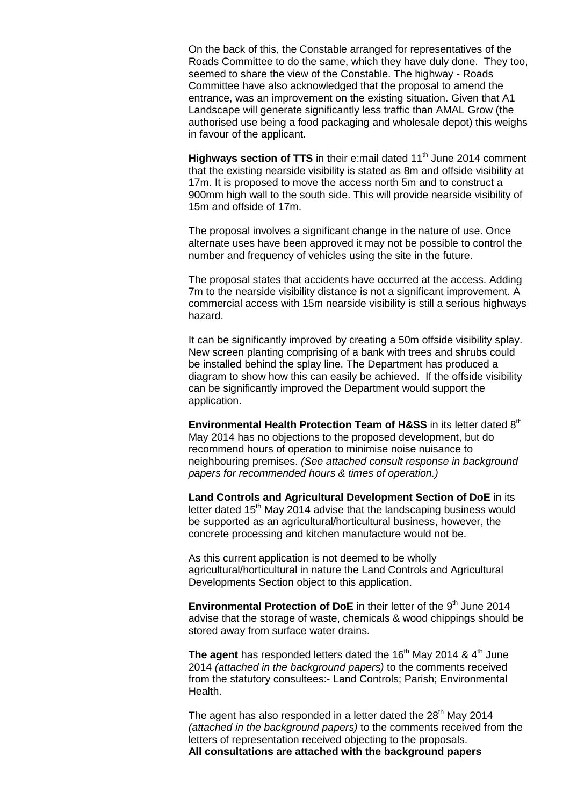On the back of this, the Constable arranged for representatives of the Roads Committee to do the same, which they have duly done. They too, seemed to share the view of the Constable. The highway - Roads Committee have also acknowledged that the proposal to amend the entrance, was an improvement on the existing situation. Given that A1 Landscape will generate significantly less traffic than AMAL Grow (the authorised use being a food packaging and wholesale depot) this weighs in favour of the applicant.

**Highways section of TTS** in their e:mail dated 11<sup>th</sup> June 2014 comment that the existing nearside visibility is stated as 8m and offside visibility at 17m. It is proposed to move the access north 5m and to construct a 900mm high wall to the south side. This will provide nearside visibility of 15m and offside of 17m.

The proposal involves a significant change in the nature of use. Once alternate uses have been approved it may not be possible to control the number and frequency of vehicles using the site in the future.

The proposal states that accidents have occurred at the access. Adding 7m to the nearside visibility distance is not a significant improvement. A commercial access with 15m nearside visibility is still a serious highways hazard.

It can be significantly improved by creating a 50m offside visibility splay. New screen planting comprising of a bank with trees and shrubs could be installed behind the splay line. The Department has produced a diagram to show how this can easily be achieved. If the offside visibility can be significantly improved the Department would support the application.

**Environmental Health Protection Team of H&SS** in its letter dated 8<sup>th</sup> May 2014 has no objections to the proposed development, but do recommend hours of operation to minimise noise nuisance to neighbouring premises. *(See attached consult response in background papers for recommended hours & times of operation.)*

**Land Controls and Agricultural Development Section of DoE** in its letter dated 15<sup>th</sup> May 2014 advise that the landscaping business would be supported as an agricultural/horticultural business, however, the concrete processing and kitchen manufacture would not be.

As this current application is not deemed to be wholly agricultural/horticultural in nature the Land Controls and Agricultural Developments Section object to this application.

**Environmental Protection of DoE** in their letter of the 9<sup>th</sup> June 2014 advise that the storage of waste, chemicals & wood chippings should be stored away from surface water drains.

**The agent** has responded letters dated the  $16<sup>th</sup>$  May 2014 &  $4<sup>th</sup>$  June 2014 *(attached in the background papers)* to the comments received from the statutory consultees:- Land Controls; Parish; Environmental Health.

The agent has also responded in a letter dated the  $28<sup>th</sup>$  May 2014 *(attached in the background papers)* to the comments received from the letters of representation received objecting to the proposals. **All consultations are attached with the background papers**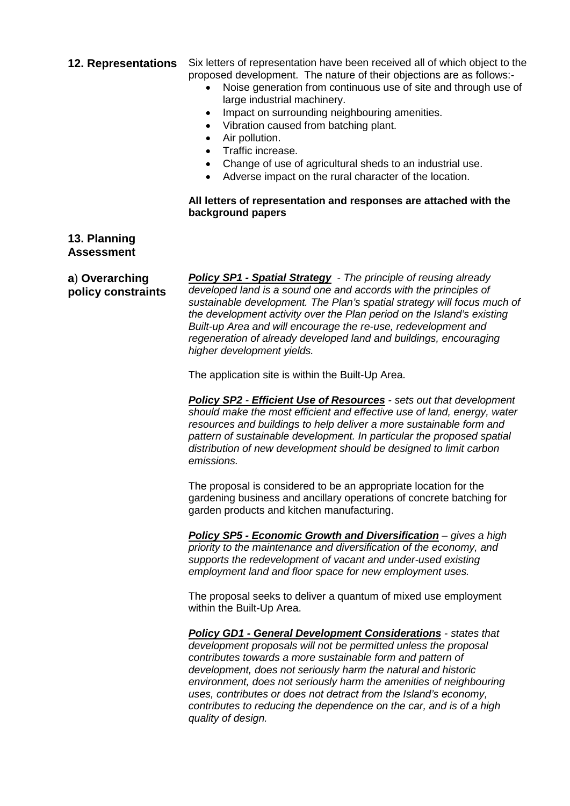| <b>12. Representations</b>           | Six letters of representation have been received all of which object to the<br>proposed development. The nature of their objections are as follows:-<br>Noise generation from continuous use of site and through use of<br>large industrial machinery.<br>Impact on surrounding neighbouring amenities.<br>Vibration caused from batching plant.<br>٠<br>Air pollution.<br>$\bullet$<br>Traffic increase.<br>$\bullet$<br>Change of use of agricultural sheds to an industrial use.<br>$\bullet$<br>Adverse impact on the rural character of the location.<br>All letters of representation and responses are attached with the<br>background papers                                                                                                                                                                                                                                                                                                                                                                                                                                                                                                                                                                                                                                                                                                                                                                                                                                                                                                                                                                                                                                                                                                                                                                                                                                                         |
|--------------------------------------|--------------------------------------------------------------------------------------------------------------------------------------------------------------------------------------------------------------------------------------------------------------------------------------------------------------------------------------------------------------------------------------------------------------------------------------------------------------------------------------------------------------------------------------------------------------------------------------------------------------------------------------------------------------------------------------------------------------------------------------------------------------------------------------------------------------------------------------------------------------------------------------------------------------------------------------------------------------------------------------------------------------------------------------------------------------------------------------------------------------------------------------------------------------------------------------------------------------------------------------------------------------------------------------------------------------------------------------------------------------------------------------------------------------------------------------------------------------------------------------------------------------------------------------------------------------------------------------------------------------------------------------------------------------------------------------------------------------------------------------------------------------------------------------------------------------------------------------------------------------------------------------------------------------|
| 13. Planning<br><b>Assessment</b>    |                                                                                                                                                                                                                                                                                                                                                                                                                                                                                                                                                                                                                                                                                                                                                                                                                                                                                                                                                                                                                                                                                                                                                                                                                                                                                                                                                                                                                                                                                                                                                                                                                                                                                                                                                                                                                                                                                                              |
| a) Overarching<br>policy constraints | <b>Policy SP1 - Spatial Strategy</b> - The principle of reusing already<br>developed land is a sound one and accords with the principles of<br>sustainable development. The Plan's spatial strategy will focus much of<br>the development activity over the Plan period on the Island's existing<br>Built-up Area and will encourage the re-use, redevelopment and<br>regeneration of already developed land and buildings, encouraging<br>higher development yields.<br>The application site is within the Built-Up Area.<br><b>Policy SP2 - Efficient Use of Resources - sets out that development</b><br>should make the most efficient and effective use of land, energy, water<br>resources and buildings to help deliver a more sustainable form and<br>pattern of sustainable development. In particular the proposed spatial<br>distribution of new development should be designed to limit carbon<br>emissions.<br>The proposal is considered to be an appropriate location for the<br>gardening business and ancillary operations of concrete batching for<br>garden products and kitchen manufacturing.<br>Policy SP5 - Economic Growth and Diversification - gives a high<br>priority to the maintenance and diversification of the economy, and<br>supports the redevelopment of vacant and under-used existing<br>employment land and floor space for new employment uses.<br>The proposal seeks to deliver a quantum of mixed use employment<br>within the Built-Up Area.<br><b>Policy GD1 - General Development Considerations - states that</b><br>development proposals will not be permitted unless the proposal<br>contributes towards a more sustainable form and pattern of<br>development, does not seriously harm the natural and historic<br>environment, does not seriously harm the amenities of neighbouring<br>uses, contributes or does not detract from the Island's economy, |
|                                      | contributes to reducing the dependence on the car, and is of a high<br>quality of design.                                                                                                                                                                                                                                                                                                                                                                                                                                                                                                                                                                                                                                                                                                                                                                                                                                                                                                                                                                                                                                                                                                                                                                                                                                                                                                                                                                                                                                                                                                                                                                                                                                                                                                                                                                                                                    |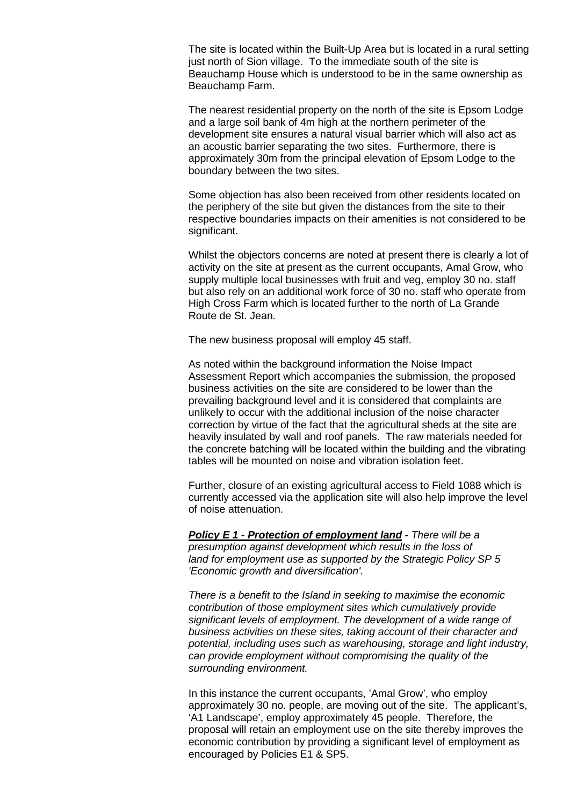The site is located within the Built-Up Area but is located in a rural setting just north of Sion village. To the immediate south of the site is Beauchamp House which is understood to be in the same ownership as Beauchamp Farm.

The nearest residential property on the north of the site is Epsom Lodge and a large soil bank of 4m high at the northern perimeter of the development site ensures a natural visual barrier which will also act as an acoustic barrier separating the two sites. Furthermore, there is approximately 30m from the principal elevation of Epsom Lodge to the boundary between the two sites.

Some objection has also been received from other residents located on the periphery of the site but given the distances from the site to their respective boundaries impacts on their amenities is not considered to be significant.

Whilst the objectors concerns are noted at present there is clearly a lot of activity on the site at present as the current occupants, Amal Grow, who supply multiple local businesses with fruit and veg, employ 30 no. staff but also rely on an additional work force of 30 no. staff who operate from High Cross Farm which is located further to the north of La Grande Route de St. Jean.

The new business proposal will employ 45 staff.

As noted within the background information the Noise Impact Assessment Report which accompanies the submission, the proposed business activities on the site are considered to be lower than the prevailing background level and it is considered that complaints are unlikely to occur with the additional inclusion of the noise character correction by virtue of the fact that the agricultural sheds at the site are heavily insulated by wall and roof panels. The raw materials needed for the concrete batching will be located within the building and the vibrating tables will be mounted on noise and vibration isolation feet.

Further, closure of an existing agricultural access to Field 1088 which is currently accessed via the application site will also help improve the level of noise attenuation.

*Policy E 1 - Protection of employment land - There will be a presumption against development which results in the loss of land for employment use as supported by the Strategic Policy SP 5 'Economic growth and diversification'.*

*There is a benefit to the Island in seeking to maximise the economic contribution of those employment sites which cumulatively provide significant levels of employment. The development of a wide range of business activities on these sites, taking account of their character and potential, including uses such as warehousing, storage and light industry, can provide employment without compromising the quality of the surrounding environment.*

In this instance the current occupants, 'Amal Grow', who employ approximately 30 no. people, are moving out of the site. The applicant's, 'A1 Landscape', employ approximately 45 people. Therefore, the proposal will retain an employment use on the site thereby improves the economic contribution by providing a significant level of employment as encouraged by Policies E1 & SP5.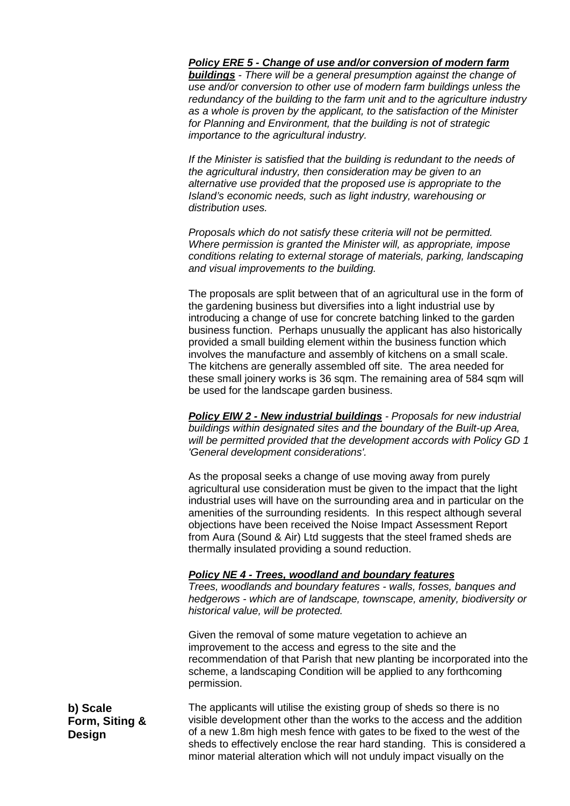# *Policy ERE 5 - Change of use and/or conversion of modern farm*

*buildings - There will be a general presumption against the change of use and/or conversion to other use of modern farm buildings unless the redundancy of the building to the farm unit and to the agriculture industry as a whole is proven by the applicant, to the satisfaction of the Minister for Planning and Environment, that the building is not of strategic importance to the agricultural industry.*

*If the Minister is satisfied that the building is redundant to the needs of the agricultural industry, then consideration may be given to an alternative use provided that the proposed use is appropriate to the Island's economic needs, such as light industry, warehousing or distribution uses.*

*Proposals which do not satisfy these criteria will not be permitted. Where permission is granted the Minister will, as appropriate, impose conditions relating to external storage of materials, parking, landscaping and visual improvements to the building.*

The proposals are split between that of an agricultural use in the form of the gardening business but diversifies into a light industrial use by introducing a change of use for concrete batching linked to the garden business function. Perhaps unusually the applicant has also historically provided a small building element within the business function which involves the manufacture and assembly of kitchens on a small scale. The kitchens are generally assembled off site. The area needed for these small joinery works is 36 sqm. The remaining area of 584 sqm will be used for the landscape garden business.

*Policy EIW 2 - New industrial buildings - Proposals for new industrial buildings within designated sites and the boundary of the Built-up Area, will be permitted provided that the development accords with Policy GD 1 'General development considerations'.*

As the proposal seeks a change of use moving away from purely agricultural use consideration must be given to the impact that the light industrial uses will have on the surrounding area and in particular on the amenities of the surrounding residents. In this respect although several objections have been received the Noise Impact Assessment Report from Aura (Sound & Air) Ltd suggests that the steel framed sheds are thermally insulated providing a sound reduction.

# *Policy NE 4 - Trees, woodland and boundary features*

*Trees, woodlands and boundary features - walls, fosses, banques and hedgerows - which are of landscape, townscape, amenity, biodiversity or historical value, will be protected.*

Given the removal of some mature vegetation to achieve an improvement to the access and egress to the site and the recommendation of that Parish that new planting be incorporated into the scheme, a landscaping Condition will be applied to any forthcoming permission.

The applicants will utilise the existing group of sheds so there is no visible development other than the works to the access and the addition of a new 1.8m high mesh fence with gates to be fixed to the west of the sheds to effectively enclose the rear hard standing. This is considered a minor material alteration which will not unduly impact visually on the

**b) Scale Form, Siting & Design**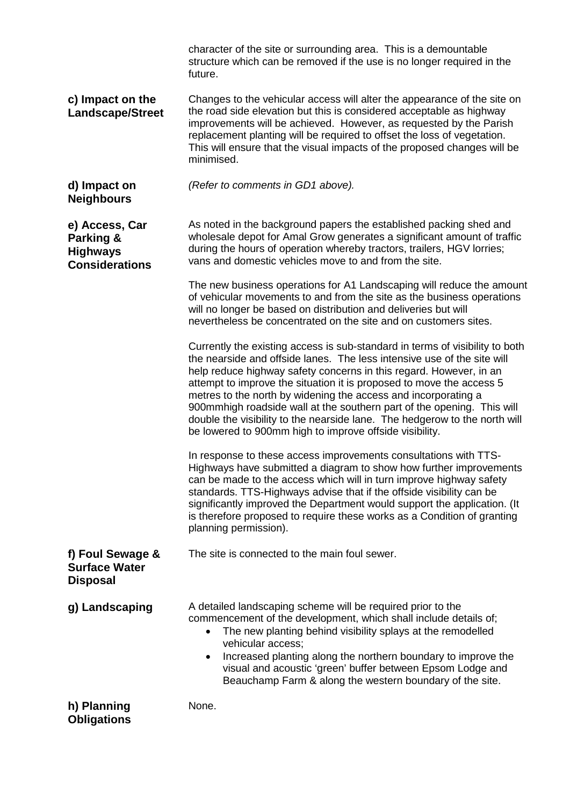|                                                                         | character of the site or surrounding area. This is a demountable<br>structure which can be removed if the use is no longer required in the<br>future.                                                                                                                                                                                                                                                                                                                                                                                                                                      |  |  |
|-------------------------------------------------------------------------|--------------------------------------------------------------------------------------------------------------------------------------------------------------------------------------------------------------------------------------------------------------------------------------------------------------------------------------------------------------------------------------------------------------------------------------------------------------------------------------------------------------------------------------------------------------------------------------------|--|--|
| c) Impact on the<br><b>Landscape/Street</b>                             | Changes to the vehicular access will alter the appearance of the site on<br>the road side elevation but this is considered acceptable as highway<br>improvements will be achieved. However, as requested by the Parish<br>replacement planting will be required to offset the loss of vegetation.<br>This will ensure that the visual impacts of the proposed changes will be<br>minimised.                                                                                                                                                                                                |  |  |
| d) Impact on<br><b>Neighbours</b>                                       | (Refer to comments in GD1 above).                                                                                                                                                                                                                                                                                                                                                                                                                                                                                                                                                          |  |  |
| e) Access, Car<br>Parking &<br><b>Highways</b><br><b>Considerations</b> | As noted in the background papers the established packing shed and<br>wholesale depot for Amal Grow generates a significant amount of traffic<br>during the hours of operation whereby tractors, trailers, HGV lorries;<br>vans and domestic vehicles move to and from the site.                                                                                                                                                                                                                                                                                                           |  |  |
|                                                                         | The new business operations for A1 Landscaping will reduce the amount<br>of vehicular movements to and from the site as the business operations<br>will no longer be based on distribution and deliveries but will<br>nevertheless be concentrated on the site and on customers sites.                                                                                                                                                                                                                                                                                                     |  |  |
|                                                                         | Currently the existing access is sub-standard in terms of visibility to both<br>the nearside and offside lanes. The less intensive use of the site will<br>help reduce highway safety concerns in this regard. However, in an<br>attempt to improve the situation it is proposed to move the access 5<br>metres to the north by widening the access and incorporating a<br>900mmhigh roadside wall at the southern part of the opening. This will<br>double the visibility to the nearside lane. The hedgerow to the north will<br>be lowered to 900mm high to improve offside visibility. |  |  |
|                                                                         | In response to these access improvements consultations with TTS-<br>Highways have submitted a diagram to show how further improvements<br>can be made to the access which will in turn improve highway safety<br>standards. TTS-Highways advise that if the offside visibility can be<br>significantly improved the Department would support the application. (It<br>is therefore proposed to require these works as a Condition of granting<br>planning permission).                                                                                                                      |  |  |
| f) Foul Sewage &<br><b>Surface Water</b><br><b>Disposal</b>             | The site is connected to the main foul sewer.                                                                                                                                                                                                                                                                                                                                                                                                                                                                                                                                              |  |  |
| g) Landscaping                                                          | A detailed landscaping scheme will be required prior to the<br>commencement of the development, which shall include details of;<br>The new planting behind visibility splays at the remodelled<br>$\bullet$<br>vehicular access;<br>Increased planting along the northern boundary to improve the<br>$\bullet$<br>visual and acoustic 'green' buffer between Epsom Lodge and<br>Beauchamp Farm & along the western boundary of the site.                                                                                                                                                   |  |  |
| h) Planning<br><b>Obligations</b>                                       | None.                                                                                                                                                                                                                                                                                                                                                                                                                                                                                                                                                                                      |  |  |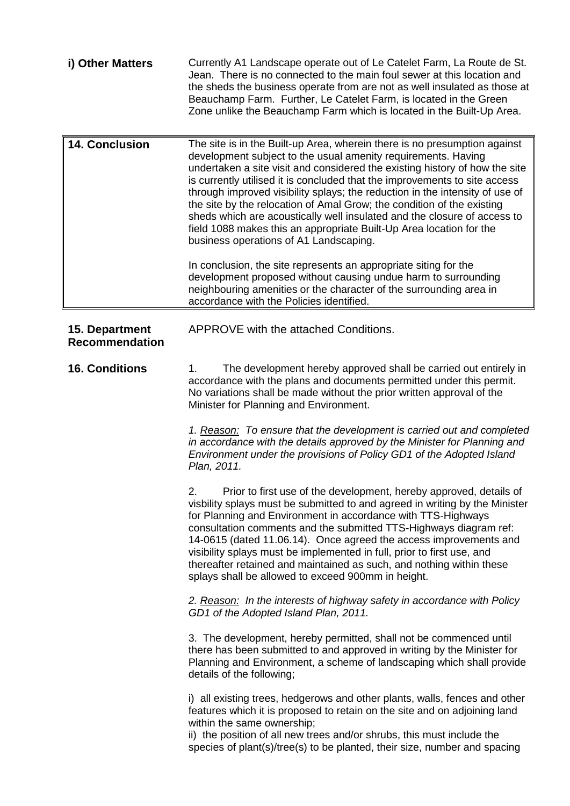| i) Other Matters                        | Currently A1 Landscape operate out of Le Catelet Farm, La Route de St.<br>Jean. There is no connected to the main foul sewer at this location and<br>the sheds the business operate from are not as well insulated as those at<br>Beauchamp Farm. Further, Le Catelet Farm, is located in the Green<br>Zone unlike the Beauchamp Farm which is located in the Built-Up Area.                                                                                                                                                                                                                                                                                                                                                                                                                                                                                                                                                                                                                                                                                                                                                                                                                                                                                                                                                                                                                                                                                                                                                                                                                                                                                    |  |
|-----------------------------------------|-----------------------------------------------------------------------------------------------------------------------------------------------------------------------------------------------------------------------------------------------------------------------------------------------------------------------------------------------------------------------------------------------------------------------------------------------------------------------------------------------------------------------------------------------------------------------------------------------------------------------------------------------------------------------------------------------------------------------------------------------------------------------------------------------------------------------------------------------------------------------------------------------------------------------------------------------------------------------------------------------------------------------------------------------------------------------------------------------------------------------------------------------------------------------------------------------------------------------------------------------------------------------------------------------------------------------------------------------------------------------------------------------------------------------------------------------------------------------------------------------------------------------------------------------------------------------------------------------------------------------------------------------------------------|--|
| <b>14. Conclusion</b>                   | The site is in the Built-up Area, wherein there is no presumption against<br>development subject to the usual amenity requirements. Having<br>undertaken a site visit and considered the existing history of how the site<br>is currently utilised it is concluded that the improvements to site access<br>through improved visibility splays; the reduction in the intensity of use of<br>the site by the relocation of Amal Grow; the condition of the existing<br>sheds which are acoustically well insulated and the closure of access to<br>field 1088 makes this an appropriate Built-Up Area location for the<br>business operations of A1 Landscaping.                                                                                                                                                                                                                                                                                                                                                                                                                                                                                                                                                                                                                                                                                                                                                                                                                                                                                                                                                                                                  |  |
|                                         | In conclusion, the site represents an appropriate siting for the<br>development proposed without causing undue harm to surrounding<br>neighbouring amenities or the character of the surrounding area in<br>accordance with the Policies identified.                                                                                                                                                                                                                                                                                                                                                                                                                                                                                                                                                                                                                                                                                                                                                                                                                                                                                                                                                                                                                                                                                                                                                                                                                                                                                                                                                                                                            |  |
| 15. Department<br><b>Recommendation</b> | APPROVE with the attached Conditions.                                                                                                                                                                                                                                                                                                                                                                                                                                                                                                                                                                                                                                                                                                                                                                                                                                                                                                                                                                                                                                                                                                                                                                                                                                                                                                                                                                                                                                                                                                                                                                                                                           |  |
| <b>16. Conditions</b>                   | The development hereby approved shall be carried out entirely in<br>1.<br>accordance with the plans and documents permitted under this permit.<br>No variations shall be made without the prior written approval of the<br>Minister for Planning and Environment.<br>1. Reason: To ensure that the development is carried out and completed<br>in accordance with the details approved by the Minister for Planning and<br>Environment under the provisions of Policy GD1 of the Adopted Island<br>Plan, 2011.<br>Prior to first use of the development, hereby approved, details of<br>2.<br>visbility splays must be submitted to and agreed in writing by the Minister<br>for Planning and Environment in accordance with TTS-Highways<br>consultation comments and the submitted TTS-Highways diagram ref:<br>14-0615 (dated 11.06.14). Once agreed the access improvements and<br>visibility splays must be implemented in full, prior to first use, and<br>thereafter retained and maintained as such, and nothing within these<br>splays shall be allowed to exceed 900mm in height.<br>2. Reason: In the interests of highway safety in accordance with Policy<br>GD1 of the Adopted Island Plan, 2011.<br>3. The development, hereby permitted, shall not be commenced until<br>there has been submitted to and approved in writing by the Minister for<br>Planning and Environment, a scheme of landscaping which shall provide<br>details of the following;<br>i) all existing trees, hedgerows and other plants, walls, fences and other<br>features which it is proposed to retain on the site and on adjoining land<br>within the same ownership; |  |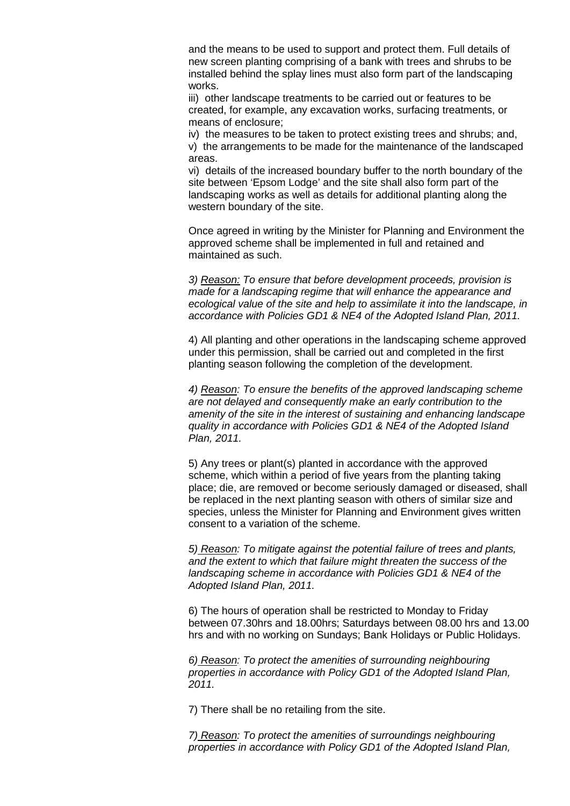and the means to be used to support and protect them. Full details of new screen planting comprising of a bank with trees and shrubs to be installed behind the splay lines must also form part of the landscaping works.

iii) other landscape treatments to be carried out or features to be created, for example, any excavation works, surfacing treatments, or means of enclosure;

iv) the measures to be taken to protect existing trees and shrubs; and, v) the arrangements to be made for the maintenance of the landscaped areas.

vi) details of the increased boundary buffer to the north boundary of the site between 'Epsom Lodge' and the site shall also form part of the landscaping works as well as details for additional planting along the western boundary of the site.

Once agreed in writing by the Minister for Planning and Environment the approved scheme shall be implemented in full and retained and maintained as such.

*3) Reason: To ensure that before development proceeds, provision is made for a landscaping regime that will enhance the appearance and ecological value of the site and help to assimilate it into the landscape, in accordance with Policies GD1 & NE4 of the Adopted Island Plan, 2011.*

4) All planting and other operations in the landscaping scheme approved under this permission, shall be carried out and completed in the first planting season following the completion of the development.

*4) Reason: To ensure the benefits of the approved landscaping scheme are not delayed and consequently make an early contribution to the amenity of the site in the interest of sustaining and enhancing landscape quality in accordance with Policies GD1 & NE4 of the Adopted Island Plan, 2011.*

5) Any trees or plant(s) planted in accordance with the approved scheme, which within a period of five years from the planting taking place; die, are removed or become seriously damaged or diseased, shall be replaced in the next planting season with others of similar size and species, unless the Minister for Planning and Environment gives written consent to a variation of the scheme.

*5) Reason: To mitigate against the potential failure of trees and plants, and the extent to which that failure might threaten the success of the landscaping scheme in accordance with Policies GD1 & NE4 of the Adopted Island Plan, 2011.*

6) The hours of operation shall be restricted to Monday to Friday between 07.30hrs and 18.00hrs; Saturdays between 08.00 hrs and 13.00 hrs and with no working on Sundays; Bank Holidays or Public Holidays.

*6) Reason: To protect the amenities of surrounding neighbouring properties in accordance with Policy GD1 of the Adopted Island Plan, 2011.*

7) There shall be no retailing from the site.

*7) Reason: To protect the amenities of surroundings neighbouring properties in accordance with Policy GD1 of the Adopted Island Plan,*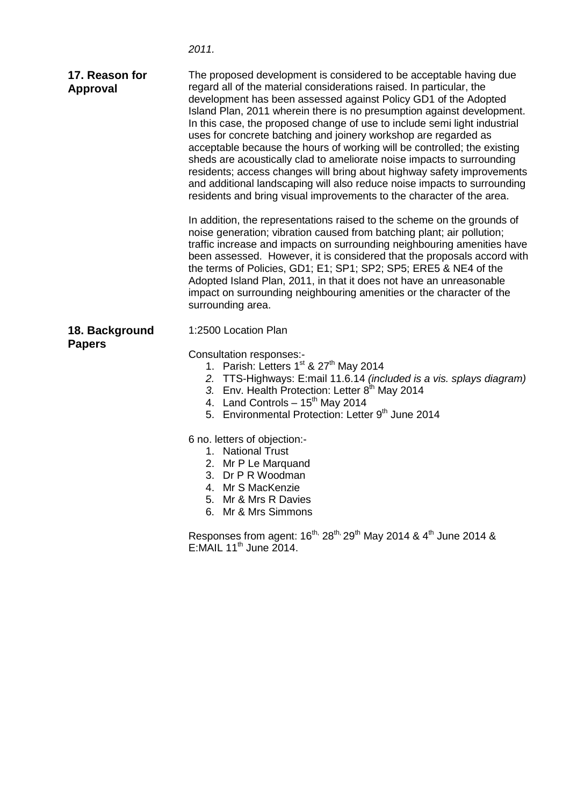|                                   | 2011.                                                                                                                                                                                                                                                                                                                                                                                                                                                                                                                                                                                                                                                                                                                                                                                                                        |
|-----------------------------------|------------------------------------------------------------------------------------------------------------------------------------------------------------------------------------------------------------------------------------------------------------------------------------------------------------------------------------------------------------------------------------------------------------------------------------------------------------------------------------------------------------------------------------------------------------------------------------------------------------------------------------------------------------------------------------------------------------------------------------------------------------------------------------------------------------------------------|
| 17. Reason for<br><b>Approval</b> | The proposed development is considered to be acceptable having due<br>regard all of the material considerations raised. In particular, the<br>development has been assessed against Policy GD1 of the Adopted<br>Island Plan, 2011 wherein there is no presumption against development.<br>In this case, the proposed change of use to include semi light industrial<br>uses for concrete batching and joinery workshop are regarded as<br>acceptable because the hours of working will be controlled; the existing<br>sheds are acoustically clad to ameliorate noise impacts to surrounding<br>residents; access changes will bring about highway safety improvements<br>and additional landscaping will also reduce noise impacts to surrounding<br>residents and bring visual improvements to the character of the area. |
|                                   | In addition, the representations raised to the scheme on the grounds of<br>noise generation; vibration caused from batching plant; air pollution;<br>traffic increase and impacts on surrounding neighbouring amenities have<br>been assessed. However, it is considered that the proposals accord with<br>the terms of Policies, GD1; E1; SP1; SP2; SP5; ERE5 & NE4 of the<br>Adopted Island Plan, 2011, in that it does not have an unreasonable<br>impact on surrounding neighbouring amenities or the character of the<br>surrounding area.                                                                                                                                                                                                                                                                              |
| 18. Background<br><b>Papers</b>   | 1:2500 Location Plan<br>Consultation responses:-<br>1. Parish: Letters 1 <sup>st</sup> & 27 <sup>th</sup> May 2014<br>2. TTS-Highways: E:mail 11.6.14 (included is a vis. splays diagram)<br>3. Env. Health Protection: Letter 8 <sup>th</sup> May 2014<br>4. Land Controls $-15^{th}$ May 2014<br>5. Environmental Protection: Letter 9th June 2014<br>6 no. letters of objection:-<br>1. National Trust<br>2. Mr P Le Marquand<br>3. Dr P R Woodman<br>4. Mr S MacKenzie<br>5. Mr & Mrs R Davies<br>6. Mr & Mrs Simmons<br>Responses from agent: $16^{th}$ , $28^{th}$ , $29^{th}$ May 2014 & $4^{th}$ June 2014 &<br>$E:$ MAIL 11 <sup>th</sup> June 2014.                                                                                                                                                                |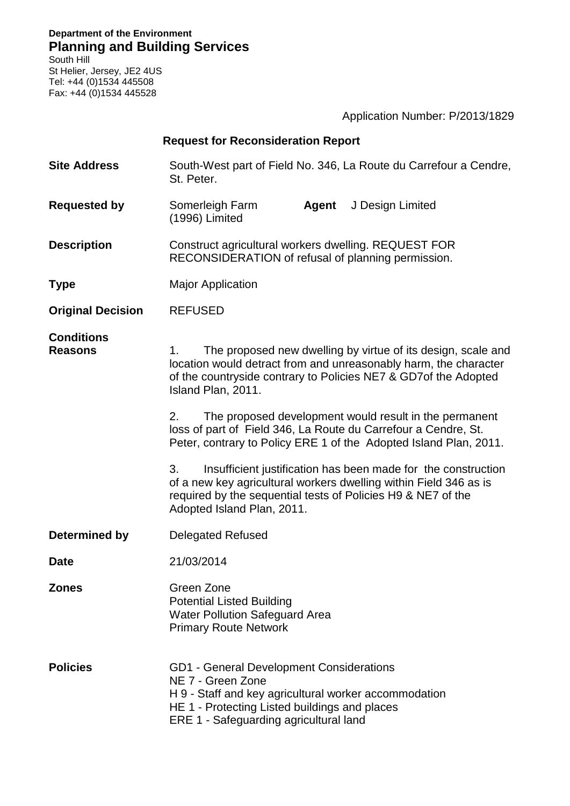**Department of the Environment Planning and Building Services**

South Hill St Helier, Jersey, JE2 4US Tel: +44 (0)1534 445508 Fax: +44 (0)1534 445528

|                                     |                                                                                                                                                                                                                                 | Application Number: P/2013/1829                                                                                                                                                                    |  |
|-------------------------------------|---------------------------------------------------------------------------------------------------------------------------------------------------------------------------------------------------------------------------------|----------------------------------------------------------------------------------------------------------------------------------------------------------------------------------------------------|--|
|                                     | <b>Request for Reconsideration Report</b>                                                                                                                                                                                       |                                                                                                                                                                                                    |  |
| <b>Site Address</b>                 | St. Peter.                                                                                                                                                                                                                      | South-West part of Field No. 346, La Route du Carrefour a Cendre,                                                                                                                                  |  |
| <b>Requested by</b>                 | Somerleigh Farm<br>(1996) Limited                                                                                                                                                                                               | J Design Limited<br>Agent                                                                                                                                                                          |  |
| <b>Description</b>                  | Construct agricultural workers dwelling. REQUEST FOR<br>RECONSIDERATION of refusal of planning permission.                                                                                                                      |                                                                                                                                                                                                    |  |
| <b>Type</b>                         | <b>Major Application</b>                                                                                                                                                                                                        |                                                                                                                                                                                                    |  |
| <b>Original Decision</b>            | <b>REFUSED</b>                                                                                                                                                                                                                  |                                                                                                                                                                                                    |  |
| <b>Conditions</b><br><b>Reasons</b> | The proposed new dwelling by virtue of its design, scale and<br>1.<br>location would detract from and unreasonably harm, the character<br>of the countryside contrary to Policies NE7 & GD7of the Adopted<br>Island Plan, 2011. |                                                                                                                                                                                                    |  |
|                                     | 2.                                                                                                                                                                                                                              | The proposed development would result in the permanent<br>loss of part of Field 346, La Route du Carrefour a Cendre, St.<br>Peter, contrary to Policy ERE 1 of the Adopted Island Plan, 2011.      |  |
|                                     | 3.<br>Adopted Island Plan, 2011.                                                                                                                                                                                                | Insufficient justification has been made for the construction<br>of a new key agricultural workers dwelling within Field 346 as is<br>required by the sequential tests of Policies H9 & NE7 of the |  |
| Determined by                       | Delegated Refused                                                                                                                                                                                                               |                                                                                                                                                                                                    |  |
| <b>Date</b>                         | 21/03/2014                                                                                                                                                                                                                      |                                                                                                                                                                                                    |  |
| <b>Zones</b>                        | Green Zone<br><b>Potential Listed Building</b><br><b>Water Pollution Safeguard Area</b><br><b>Primary Route Network</b>                                                                                                         |                                                                                                                                                                                                    |  |
| <b>Policies</b>                     | <b>GD1 - General Development Considerations</b><br>NE 7 - Green Zone<br>HE 1 - Protecting Listed buildings and places<br>ERE 1 - Safeguarding agricultural land                                                                 | H 9 - Staff and key agricultural worker accommodation                                                                                                                                              |  |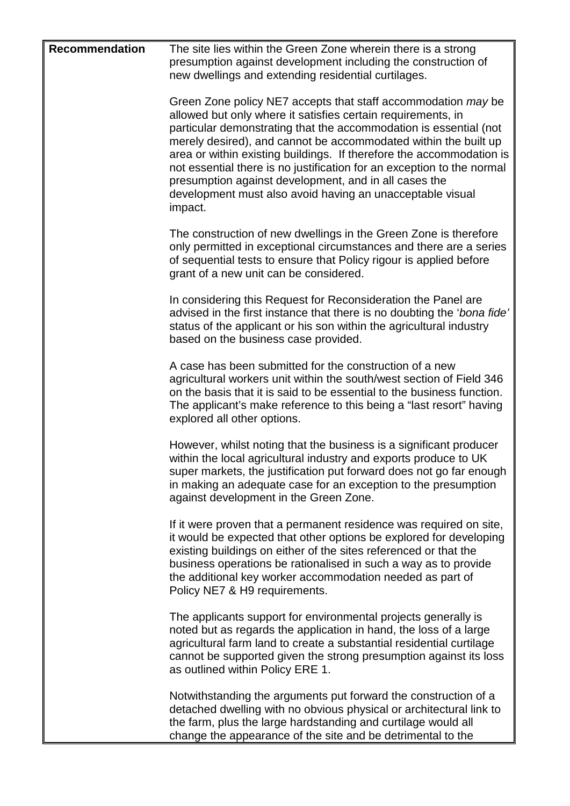| <b>Recommendation</b> | The site lies within the Green Zone wherein there is a strong<br>presumption against development including the construction of<br>new dwellings and extending residential curtilages.                                                                                                                                                                                                                                                                                                                                                                    |
|-----------------------|----------------------------------------------------------------------------------------------------------------------------------------------------------------------------------------------------------------------------------------------------------------------------------------------------------------------------------------------------------------------------------------------------------------------------------------------------------------------------------------------------------------------------------------------------------|
|                       | Green Zone policy NE7 accepts that staff accommodation may be<br>allowed but only where it satisfies certain requirements, in<br>particular demonstrating that the accommodation is essential (not<br>merely desired), and cannot be accommodated within the built up<br>area or within existing buildings. If therefore the accommodation is<br>not essential there is no justification for an exception to the normal<br>presumption against development, and in all cases the<br>development must also avoid having an unacceptable visual<br>impact. |
|                       | The construction of new dwellings in the Green Zone is therefore<br>only permitted in exceptional circumstances and there are a series<br>of sequential tests to ensure that Policy rigour is applied before<br>grant of a new unit can be considered.                                                                                                                                                                                                                                                                                                   |
|                       | In considering this Request for Reconsideration the Panel are<br>advised in the first instance that there is no doubting the 'bona fide'<br>status of the applicant or his son within the agricultural industry<br>based on the business case provided.                                                                                                                                                                                                                                                                                                  |
|                       | A case has been submitted for the construction of a new<br>agricultural workers unit within the south/west section of Field 346<br>on the basis that it is said to be essential to the business function.<br>The applicant's make reference to this being a "last resort" having<br>explored all other options.                                                                                                                                                                                                                                          |
|                       | However, whilst noting that the business is a significant producer<br>within the local agricultural industry and exports produce to UK<br>super markets, the justification put forward does not go far enough<br>in making an adequate case for an exception to the presumption<br>against development in the Green Zone.                                                                                                                                                                                                                                |
|                       | If it were proven that a permanent residence was required on site,<br>it would be expected that other options be explored for developing<br>existing buildings on either of the sites referenced or that the<br>business operations be rationalised in such a way as to provide<br>the additional key worker accommodation needed as part of<br>Policy NE7 & H9 requirements.                                                                                                                                                                            |
|                       | The applicants support for environmental projects generally is<br>noted but as regards the application in hand, the loss of a large<br>agricultural farm land to create a substantial residential curtilage<br>cannot be supported given the strong presumption against its loss<br>as outlined within Policy ERE 1.                                                                                                                                                                                                                                     |
|                       | Notwithstanding the arguments put forward the construction of a<br>detached dwelling with no obvious physical or architectural link to<br>the farm, plus the large hardstanding and curtilage would all<br>change the appearance of the site and be detrimental to the                                                                                                                                                                                                                                                                                   |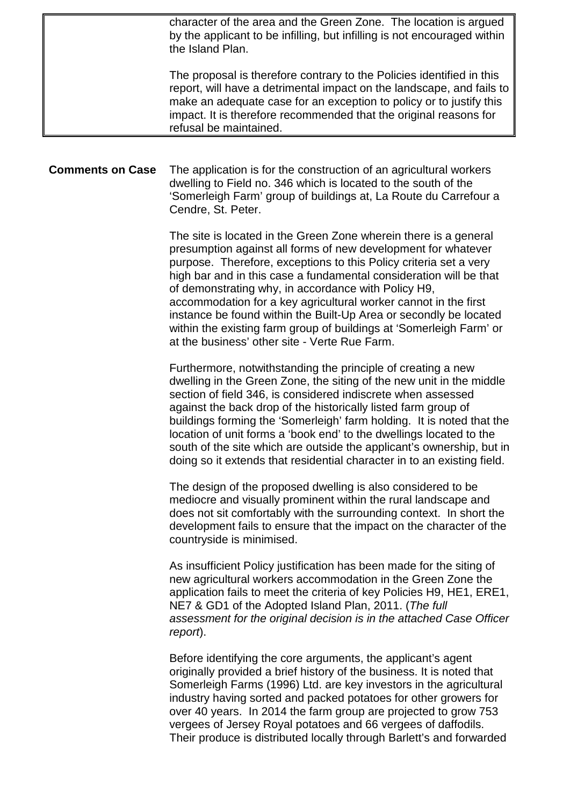|                         | character of the area and the Green Zone. The location is argued<br>by the applicant to be infilling, but infilling is not encouraged within<br>the Island Plan.                                                                                                                                                                                                                                                                                                                                                                                                                                    |
|-------------------------|-----------------------------------------------------------------------------------------------------------------------------------------------------------------------------------------------------------------------------------------------------------------------------------------------------------------------------------------------------------------------------------------------------------------------------------------------------------------------------------------------------------------------------------------------------------------------------------------------------|
|                         | The proposal is therefore contrary to the Policies identified in this<br>report, will have a detrimental impact on the landscape, and fails to<br>make an adequate case for an exception to policy or to justify this<br>impact. It is therefore recommended that the original reasons for<br>refusal be maintained.                                                                                                                                                                                                                                                                                |
|                         |                                                                                                                                                                                                                                                                                                                                                                                                                                                                                                                                                                                                     |
| <b>Comments on Case</b> | The application is for the construction of an agricultural workers<br>dwelling to Field no. 346 which is located to the south of the<br>'Somerleigh Farm' group of buildings at, La Route du Carrefour a<br>Cendre, St. Peter.                                                                                                                                                                                                                                                                                                                                                                      |
|                         | The site is located in the Green Zone wherein there is a general<br>presumption against all forms of new development for whatever<br>purpose. Therefore, exceptions to this Policy criteria set a very<br>high bar and in this case a fundamental consideration will be that<br>of demonstrating why, in accordance with Policy H9,<br>accommodation for a key agricultural worker cannot in the first<br>instance be found within the Built-Up Area or secondly be located<br>within the existing farm group of buildings at 'Somerleigh Farm' or<br>at the business' other site - Verte Rue Farm. |
|                         | Furthermore, notwithstanding the principle of creating a new<br>dwelling in the Green Zone, the siting of the new unit in the middle<br>section of field 346, is considered indiscrete when assessed<br>against the back drop of the historically listed farm group of<br>buildings forming the 'Somerleigh' farm holding. It is noted that the<br>location of unit forms a 'book end' to the dwellings located to the<br>south of the site which are outside the applicant's ownership, but in<br>doing so it extends that residential character in to an existing field.                          |
|                         | The design of the proposed dwelling is also considered to be<br>mediocre and visually prominent within the rural landscape and<br>does not sit comfortably with the surrounding context. In short the<br>development fails to ensure that the impact on the character of the<br>countryside is minimised.                                                                                                                                                                                                                                                                                           |
|                         | As insufficient Policy justification has been made for the siting of<br>new agricultural workers accommodation in the Green Zone the<br>application fails to meet the criteria of key Policies H9, HE1, ERE1,<br>NE7 & GD1 of the Adopted Island Plan, 2011. (The full<br>assessment for the original decision is in the attached Case Officer<br>report).                                                                                                                                                                                                                                          |
|                         | Before identifying the core arguments, the applicant's agent<br>originally provided a brief history of the business. It is noted that<br>Somerleigh Farms (1996) Ltd. are key investors in the agricultural<br>industry having sorted and packed potatoes for other growers for<br>over 40 years. In 2014 the farm group are projected to grow 753                                                                                                                                                                                                                                                  |

vergees of Jersey Royal potatoes and 66 vergees of daffodils. Their produce is distributed locally through Barlett's and forwarded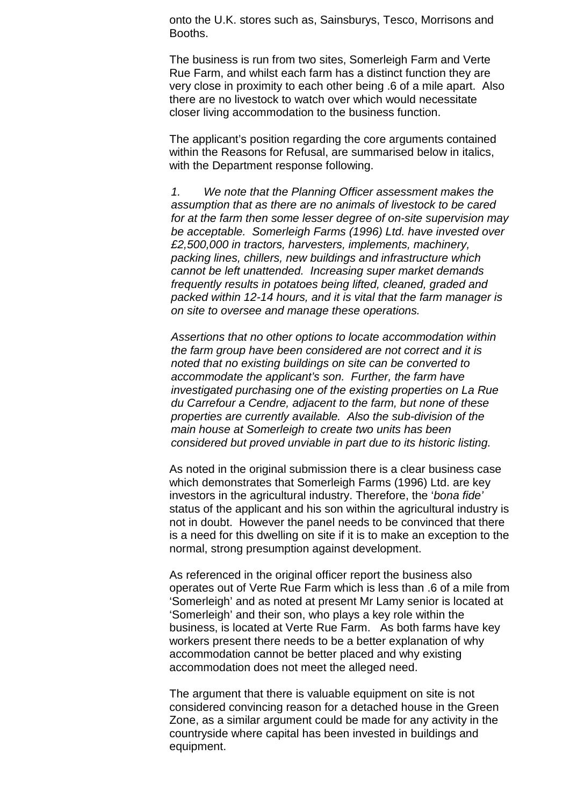onto the U.K. stores such as, Sainsburys, Tesco, Morrisons and Booths.

The business is run from two sites, Somerleigh Farm and Verte Rue Farm, and whilst each farm has a distinct function they are very close in proximity to each other being .6 of a mile apart. Also there are no livestock to watch over which would necessitate closer living accommodation to the business function.

The applicant's position regarding the core arguments contained within the Reasons for Refusal, are summarised below in italics, with the Department response following.

*1. We note that the Planning Officer assessment makes the assumption that as there are no animals of livestock to be cared for at the farm then some lesser degree of on-site supervision may be acceptable. Somerleigh Farms (1996) Ltd. have invested over £2,500,000 in tractors, harvesters, implements, machinery, packing lines, chillers, new buildings and infrastructure which cannot be left unattended. Increasing super market demands frequently results in potatoes being lifted, cleaned, graded and packed within 12-14 hours, and it is vital that the farm manager is on site to oversee and manage these operations.*

*Assertions that no other options to locate accommodation within the farm group have been considered are not correct and it is noted that no existing buildings on site can be converted to accommodate the applicant's son. Further, the farm have investigated purchasing one of the existing properties on La Rue du Carrefour a Cendre, adjacent to the farm, but none of these properties are currently available. Also the sub-division of the main house at Somerleigh to create two units has been considered but proved unviable in part due to its historic listing.* 

As noted in the original submission there is a clear business case which demonstrates that Somerleigh Farms (1996) Ltd. are key investors in the agricultural industry. Therefore, the '*bona fide'* status of the applicant and his son within the agricultural industry is not in doubt. However the panel needs to be convinced that there is a need for this dwelling on site if it is to make an exception to the normal, strong presumption against development.

As referenced in the original officer report the business also operates out of Verte Rue Farm which is less than .6 of a mile from 'Somerleigh' and as noted at present Mr Lamy senior is located at 'Somerleigh' and their son, who plays a key role within the business, is located at Verte Rue Farm. As both farms have key workers present there needs to be a better explanation of why accommodation cannot be better placed and why existing accommodation does not meet the alleged need.

The argument that there is valuable equipment on site is not considered convincing reason for a detached house in the Green Zone, as a similar argument could be made for any activity in the countryside where capital has been invested in buildings and equipment.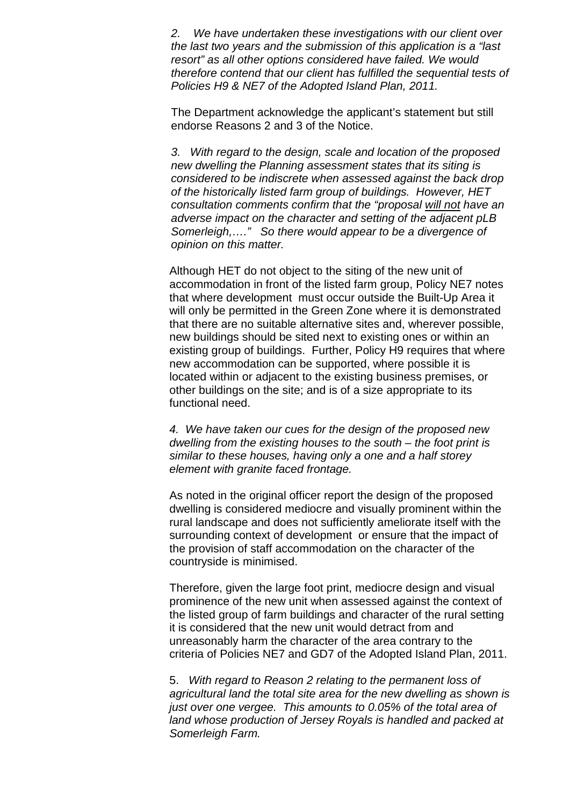*2. We have undertaken these investigations with our client over the last two years and the submission of this application is a "last resort" as all other options considered have failed. We would therefore contend that our client has fulfilled the sequential tests of Policies H9 & NE7 of the Adopted Island Plan, 2011.*

The Department acknowledge the applicant's statement but still endorse Reasons 2 and 3 of the Notice.

*3. With regard to the design, scale and location of the proposed new dwelling the Planning assessment states that its siting is considered to be indiscrete when assessed against the back drop of the historically listed farm group of buildings. However, HET consultation comments confirm that the "proposal will not have an adverse impact on the character and setting of the adjacent pLB Somerleigh,…." So there would appear to be a divergence of opinion on this matter.*

Although HET do not object to the siting of the new unit of accommodation in front of the listed farm group, Policy NE7 notes that where development must occur outside the Built-Up Area it will only be permitted in the Green Zone where it is demonstrated that there are no suitable alternative sites and, wherever possible, new buildings should be sited next to existing ones or within an existing group of buildings. Further, Policy H9 requires that where new accommodation can be supported, where possible it is located within or adjacent to the existing business premises, or other buildings on the site; and is of a size appropriate to its functional need.

*4. We have taken our cues for the design of the proposed new dwelling from the existing houses to the south – the foot print is similar to these houses, having only a one and a half storey element with granite faced frontage.*

As noted in the original officer report the design of the proposed dwelling is considered mediocre and visually prominent within the rural landscape and does not sufficiently ameliorate itself with the surrounding context of development or ensure that the impact of the provision of staff accommodation on the character of the countryside is minimised.

Therefore, given the large foot print, mediocre design and visual prominence of the new unit when assessed against the context of the listed group of farm buildings and character of the rural setting it is considered that the new unit would detract from and unreasonably harm the character of the area contrary to the criteria of Policies NE7 and GD7 of the Adopted Island Plan, 2011.

5. *With regard to Reason 2 relating to the permanent loss of agricultural land the total site area for the new dwelling as shown is just over one vergee. This amounts to 0.05% of the total area of land whose production of Jersey Royals is handled and packed at Somerleigh Farm.*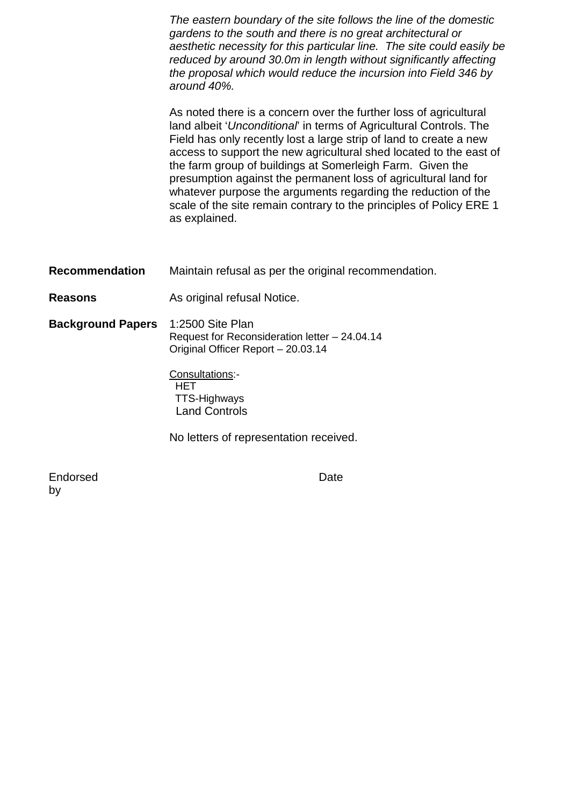*The eastern boundary of the site follows the line of the domestic gardens to the south and there is no great architectural or aesthetic necessity for this particular line. The site could easily be reduced by around 30.0m in length without significantly affecting the proposal which would reduce the incursion into Field 346 by around 40%.*

As noted there is a concern over the further loss of agricultural land albeit '*Unconditional*' in terms of Agricultural Controls. The Field has only recently lost a large strip of land to create a new access to support the new agricultural shed located to the east of the farm group of buildings at Somerleigh Farm. Given the presumption against the permanent loss of agricultural land for whatever purpose the arguments regarding the reduction of the scale of the site remain contrary to the principles of Policy ERE 1 as explained.

- **Recommendation** Maintain refusal as per the original recommendation.
- **Reasons As original refusal Notice.**
- **Background Papers** 1:2500 Site Plan Request for Reconsideration letter – 24.04.14 Original Officer Report – 20.03.14

Consultations:- **HET**  TTS-Highways Land Controls

No letters of representation received.

Endorsed by

Date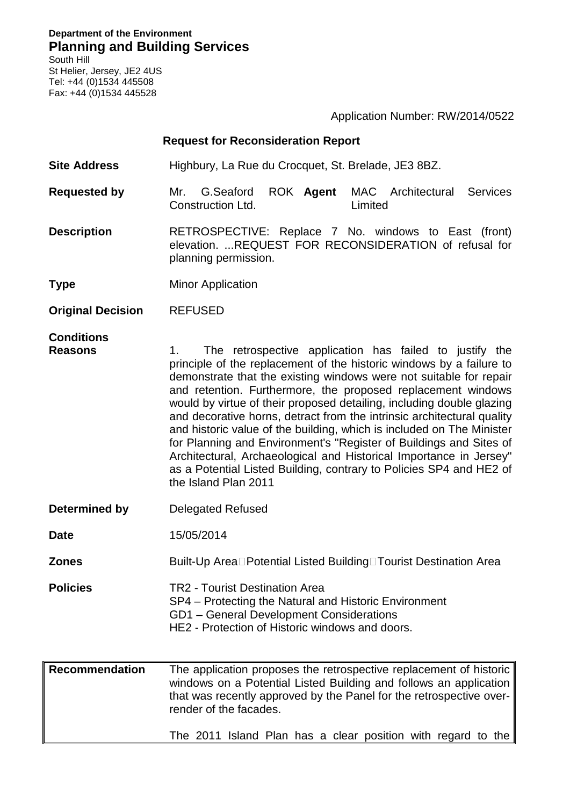#### **Department of the Environment Planning and Building Services** South Hill

St Helier, Jersey, JE2 4US Tel: +44 (0)1534 445508 Fax: +44 (0)1534 445528

Application Number: RW/2014/0522

### **Request for Reconsideration Report**

**Site Address** Highbury, La Rue du Crocquet, St. Brelade, JE3 8BZ.

- **Requested by** Mr. G.Seaford ROK Construction Ltd. **MAC** Architectural Services Limited
- **Description** RETROSPECTIVE: Replace 7 No. windows to East (front) elevation. ...REQUEST FOR RECONSIDERATION of refusal for planning permission.

**Type** Minor Application

**Original Decision** REFUSED

# **Conditions**

- 1. The retrospective application has failed to justify the principle of the replacement of the historic windows by a failure to demonstrate that the existing windows were not suitable for repair and retention. Furthermore, the proposed replacement windows would by virtue of their proposed detailing, including double glazing and decorative horns, detract from the intrinsic architectural quality and historic value of the building, which is included on The Minister for Planning and Environment's "Register of Buildings and Sites of Architectural, Archaeological and Historical Importance in Jersey" as a Potential Listed Building, contrary to Policies SP4 and HE2 of the Island Plan 2011
- **Determined by Delegated Refused**
- **Date** 15/05/2014
- **Zones** Built-Up Area□Potential Listed Building□Tourist Destination Area
- **Policies** TR2 Tourist Destination Area SP4 – Protecting the Natural and Historic Environment GD1 – General Development Considerations HE2 - Protection of Historic windows and doors.
- **Recommendation** The application proposes the retrospective replacement of historic windows on a Potential Listed Building and follows an application that was recently approved by the Panel for the retrospective overrender of the facades.

The 2011 Island Plan has a clear position with regard to the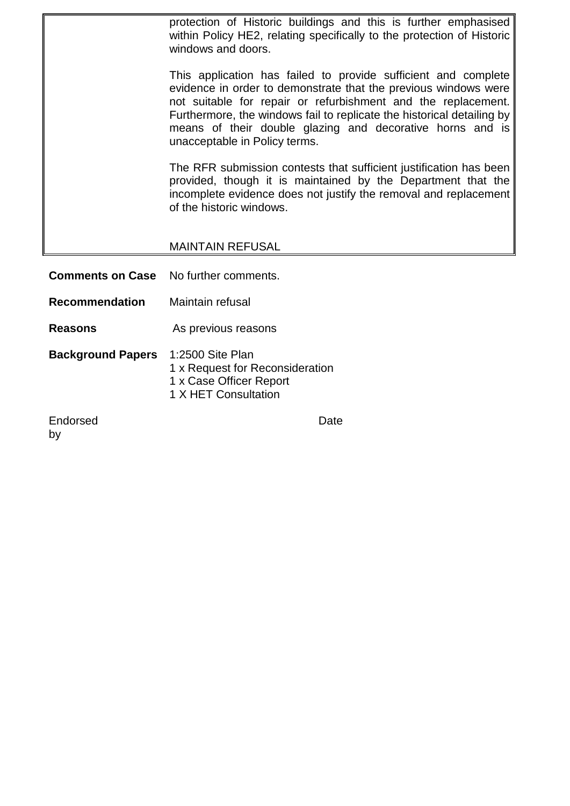protection of Historic buildings and this is further emphasised within Policy HE2, relating specifically to the protection of Historic windows and doors.

This application has failed to provide sufficient and complete evidence in order to demonstrate that the previous windows were not suitable for repair or refurbishment and the replacement. Furthermore, the windows fail to replicate the historical detailing by means of their double glazing and decorative horns and is unacceptable in Policy terms.

The RFR submission contests that sufficient justification has been provided, though it is maintained by the Department that the incomplete evidence does not justify the removal and replacement of the historic windows.

# MAINTAIN REFUSAL

**Comments on Case** No further comments. **Recommendation** Maintain refusal **Reasons** As previous reasons **Background Papers** 1:2500 Site Plan 1 x Request for Reconsideration 1 x Case Officer Report 1 X HET Consultation Endorsed

by

Date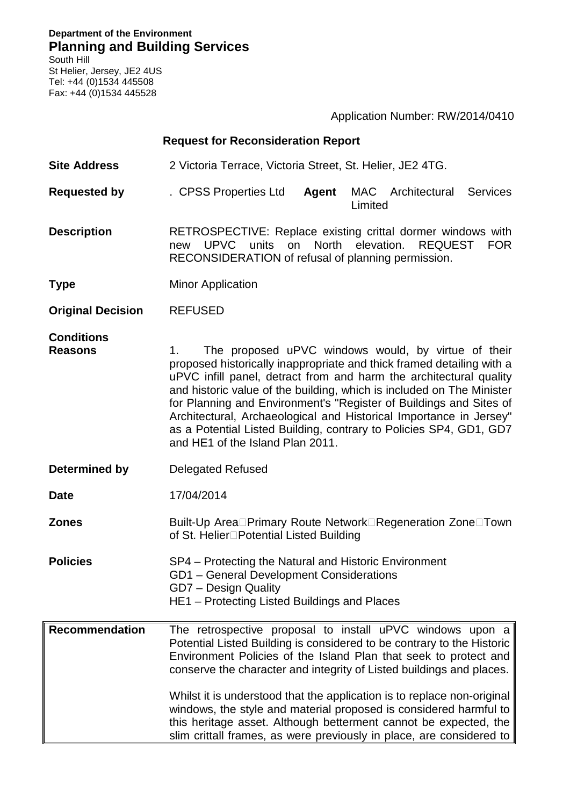**Department of the Environment Planning and Building Services**

South Hill St Helier, Jersey, JE2 4US Tel: +44 (0)1534 445508 Fax: +44 (0)1534 445528

Application Number: RW/2014/0410

|                                     | <b>Request for Reconsideration Report</b>                                                                                                                                                                                                                                                                                                                                                                                                                                                                                                                                   |  |  |
|-------------------------------------|-----------------------------------------------------------------------------------------------------------------------------------------------------------------------------------------------------------------------------------------------------------------------------------------------------------------------------------------------------------------------------------------------------------------------------------------------------------------------------------------------------------------------------------------------------------------------------|--|--|
| <b>Site Address</b>                 | 2 Victoria Terrace, Victoria Street, St. Helier, JE2 4TG.                                                                                                                                                                                                                                                                                                                                                                                                                                                                                                                   |  |  |
| <b>Requested by</b>                 | MAC Architectural<br>Services<br>. CPSS Properties Ltd<br>Agent<br>Limited                                                                                                                                                                                                                                                                                                                                                                                                                                                                                                  |  |  |
| <b>Description</b>                  | RETROSPECTIVE: Replace existing crittal dormer windows with<br>units<br>North<br>elevation.<br>UPVC<br>on<br><b>REQUEST</b><br><b>FOR</b><br>new<br>RECONSIDERATION of refusal of planning permission.                                                                                                                                                                                                                                                                                                                                                                      |  |  |
| <b>Type</b>                         | <b>Minor Application</b>                                                                                                                                                                                                                                                                                                                                                                                                                                                                                                                                                    |  |  |
| <b>Original Decision</b>            | <b>REFUSED</b>                                                                                                                                                                                                                                                                                                                                                                                                                                                                                                                                                              |  |  |
| <b>Conditions</b><br><b>Reasons</b> | The proposed uPVC windows would, by virtue of their<br>1.<br>proposed historically inappropriate and thick framed detailing with a<br>uPVC infill panel, detract from and harm the architectural quality<br>and historic value of the building, which is included on The Minister<br>for Planning and Environment's "Register of Buildings and Sites of<br>Architectural, Archaeological and Historical Importance in Jersey"<br>as a Potential Listed Building, contrary to Policies SP4, GD1, GD7<br>and HE1 of the Island Plan 2011.                                     |  |  |
| Determined by                       | <b>Delegated Refused</b>                                                                                                                                                                                                                                                                                                                                                                                                                                                                                                                                                    |  |  |
| <b>Date</b>                         | 17/04/2014                                                                                                                                                                                                                                                                                                                                                                                                                                                                                                                                                                  |  |  |
| <b>Zones</b>                        | Built-Up Area□Primary Route Network□Regeneration Zone□Town<br>of St. Helier□Potential Listed Building                                                                                                                                                                                                                                                                                                                                                                                                                                                                       |  |  |
| <b>Policies</b>                     | SP4 – Protecting the Natural and Historic Environment<br>GD1 - General Development Considerations<br>GD7 - Design Quality<br>HE1 - Protecting Listed Buildings and Places                                                                                                                                                                                                                                                                                                                                                                                                   |  |  |
| <b>Recommendation</b>               | The retrospective proposal to install uPVC windows upon a<br>Potential Listed Building is considered to be contrary to the Historic<br>Environment Policies of the Island Plan that seek to protect and<br>conserve the character and integrity of Listed buildings and places.<br>Whilst it is understood that the application is to replace non-original<br>windows, the style and material proposed is considered harmful to<br>this heritage asset. Although betterment cannot be expected, the<br>slim crittall frames, as were previously in place, are considered to |  |  |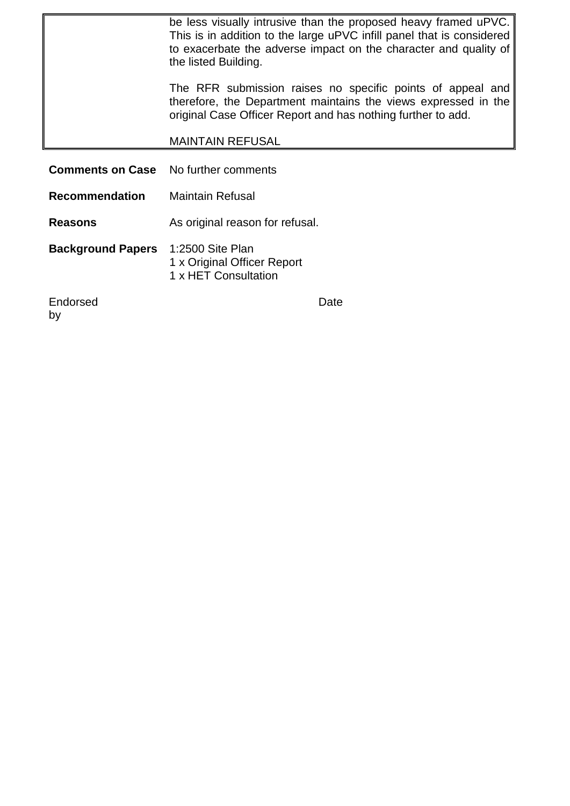|                          | be less visually intrusive than the proposed heavy framed uPVC.<br>This is in addition to the large uPVC infill panel that is considered<br>to exacerbate the adverse impact on the character and quality of<br>the listed Building. |  |  |
|--------------------------|--------------------------------------------------------------------------------------------------------------------------------------------------------------------------------------------------------------------------------------|--|--|
|                          | The RFR submission raises no specific points of appeal and<br>therefore, the Department maintains the views expressed in the<br>original Case Officer Report and has nothing further to add.                                         |  |  |
|                          | <b>MAINTAIN REFUSAL</b>                                                                                                                                                                                                              |  |  |
| <b>Comments on Case</b>  | No further comments                                                                                                                                                                                                                  |  |  |
| <b>Recommendation</b>    | <b>Maintain Refusal</b>                                                                                                                                                                                                              |  |  |
| <b>Reasons</b>           | As original reason for refusal.                                                                                                                                                                                                      |  |  |
| <b>Background Papers</b> | 1:2500 Site Plan<br>1 x Original Officer Report<br>1 x HET Consultation                                                                                                                                                              |  |  |
| Endorsed<br>by           | Date                                                                                                                                                                                                                                 |  |  |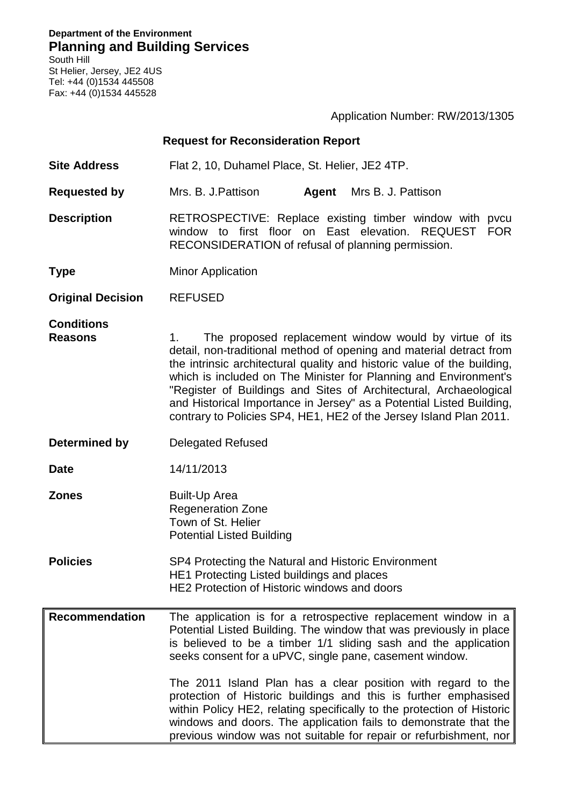**Department of the Environment Planning and Building Services**

South Hill St Helier, Jersey, JE2 4US Tel: +44 (0)1534 445508 Fax: +44 (0)1534 445528

|                                     |                                                                                                                                                                                                                                                                                                                                                                                                                                                                                                       | Application Number: RW/2013/1305                                                                                                                                                                                                                                                                                                                                                                                                                                                                                                                              |
|-------------------------------------|-------------------------------------------------------------------------------------------------------------------------------------------------------------------------------------------------------------------------------------------------------------------------------------------------------------------------------------------------------------------------------------------------------------------------------------------------------------------------------------------------------|---------------------------------------------------------------------------------------------------------------------------------------------------------------------------------------------------------------------------------------------------------------------------------------------------------------------------------------------------------------------------------------------------------------------------------------------------------------------------------------------------------------------------------------------------------------|
|                                     | <b>Request for Reconsideration Report</b>                                                                                                                                                                                                                                                                                                                                                                                                                                                             |                                                                                                                                                                                                                                                                                                                                                                                                                                                                                                                                                               |
| <b>Site Address</b>                 | Flat 2, 10, Duhamel Place, St. Helier, JE2 4TP.                                                                                                                                                                                                                                                                                                                                                                                                                                                       |                                                                                                                                                                                                                                                                                                                                                                                                                                                                                                                                                               |
| <b>Requested by</b>                 | Mrs. B. J. Pattison<br>Agent                                                                                                                                                                                                                                                                                                                                                                                                                                                                          | Mrs B. J. Pattison                                                                                                                                                                                                                                                                                                                                                                                                                                                                                                                                            |
| <b>Description</b>                  | RECONSIDERATION of refusal of planning permission.                                                                                                                                                                                                                                                                                                                                                                                                                                                    | RETROSPECTIVE: Replace existing timber window with pvcu<br>window to first floor on East elevation. REQUEST FOR                                                                                                                                                                                                                                                                                                                                                                                                                                               |
| <b>Type</b>                         | <b>Minor Application</b>                                                                                                                                                                                                                                                                                                                                                                                                                                                                              |                                                                                                                                                                                                                                                                                                                                                                                                                                                                                                                                                               |
| <b>Original Decision</b>            | <b>REFUSED</b>                                                                                                                                                                                                                                                                                                                                                                                                                                                                                        |                                                                                                                                                                                                                                                                                                                                                                                                                                                                                                                                                               |
| <b>Conditions</b><br><b>Reasons</b> | The proposed replacement window would by virtue of its<br>1.<br>detail, non-traditional method of opening and material detract from<br>the intrinsic architectural quality and historic value of the building,<br>which is included on The Minister for Planning and Environment's<br>"Register of Buildings and Sites of Architectural, Archaeological<br>and Historical Importance in Jersey" as a Potential Listed Building,<br>contrary to Policies SP4, HE1, HE2 of the Jersey Island Plan 2011. |                                                                                                                                                                                                                                                                                                                                                                                                                                                                                                                                                               |
| Determined by                       | <b>Delegated Refused</b>                                                                                                                                                                                                                                                                                                                                                                                                                                                                              |                                                                                                                                                                                                                                                                                                                                                                                                                                                                                                                                                               |
| <b>Date</b>                         | 14/11/2013                                                                                                                                                                                                                                                                                                                                                                                                                                                                                            |                                                                                                                                                                                                                                                                                                                                                                                                                                                                                                                                                               |
| <b>Zones</b>                        | <b>Built-Up Area</b><br><b>Regeneration Zone</b><br>Town of St. Helier<br><b>Potential Listed Building</b>                                                                                                                                                                                                                                                                                                                                                                                            |                                                                                                                                                                                                                                                                                                                                                                                                                                                                                                                                                               |
| <b>Policies</b>                     | SP4 Protecting the Natural and Historic Environment<br>HE1 Protecting Listed buildings and places<br>HE2 Protection of Historic windows and doors                                                                                                                                                                                                                                                                                                                                                     |                                                                                                                                                                                                                                                                                                                                                                                                                                                                                                                                                               |
| <b>Recommendation</b>               | seeks consent for a uPVC, single pane, casement window.                                                                                                                                                                                                                                                                                                                                                                                                                                               | The application is for a retrospective replacement window in a<br>Potential Listed Building. The window that was previously in place<br>is believed to be a timber 1/1 sliding sash and the application<br>The 2011 Island Plan has a clear position with regard to the<br>protection of Historic buildings and this is further emphasised<br>within Policy HE2, relating specifically to the protection of Historic<br>windows and doors. The application fails to demonstrate that the<br>previous window was not suitable for repair or refurbishment, nor |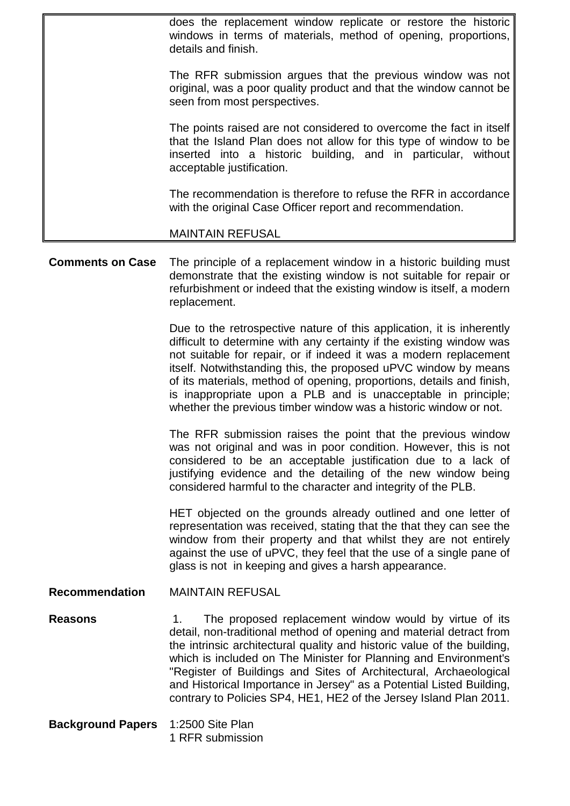does the replacement window replicate or restore the historic windows in terms of materials, method of opening, proportions, details and finish.

The RFR submission argues that the previous window was not original, was a poor quality product and that the window cannot be seen from most perspectives.

The points raised are not considered to overcome the fact in itself that the Island Plan does not allow for this type of window to be inserted into a historic building, and in particular, without acceptable justification.

The recommendation is therefore to refuse the RFR in accordance with the original Case Officer report and recommendation.

### MAINTAIN REFUSAL

**Comments on Case** The principle of a replacement window in a historic building must demonstrate that the existing window is not suitable for repair or refurbishment or indeed that the existing window is itself, a modern replacement.

> Due to the retrospective nature of this application, it is inherently difficult to determine with any certainty if the existing window was not suitable for repair, or if indeed it was a modern replacement itself. Notwithstanding this, the proposed uPVC window by means of its materials, method of opening, proportions, details and finish, is inappropriate upon a PLB and is unacceptable in principle; whether the previous timber window was a historic window or not.

> The RFR submission raises the point that the previous window was not original and was in poor condition. However, this is not considered to be an acceptable justification due to a lack of justifying evidence and the detailing of the new window being considered harmful to the character and integrity of the PLB.

> HET objected on the grounds already outlined and one letter of representation was received, stating that the that they can see the window from their property and that whilst they are not entirely against the use of uPVC, they feel that the use of a single pane of glass is not in keeping and gives a harsh appearance.

**Recommendation** MAINTAIN REFUSAL

- **Reasons** 1. The proposed replacement window would by virtue of its detail, non-traditional method of opening and material detract from the intrinsic architectural quality and historic value of the building, which is included on The Minister for Planning and Environment's "Register of Buildings and Sites of Architectural, Archaeological and Historical Importance in Jersey" as a Potential Listed Building, contrary to Policies SP4, HE1, HE2 of the Jersey Island Plan 2011.
- **Background Papers** 1:2500 Site Plan 1 RFR submission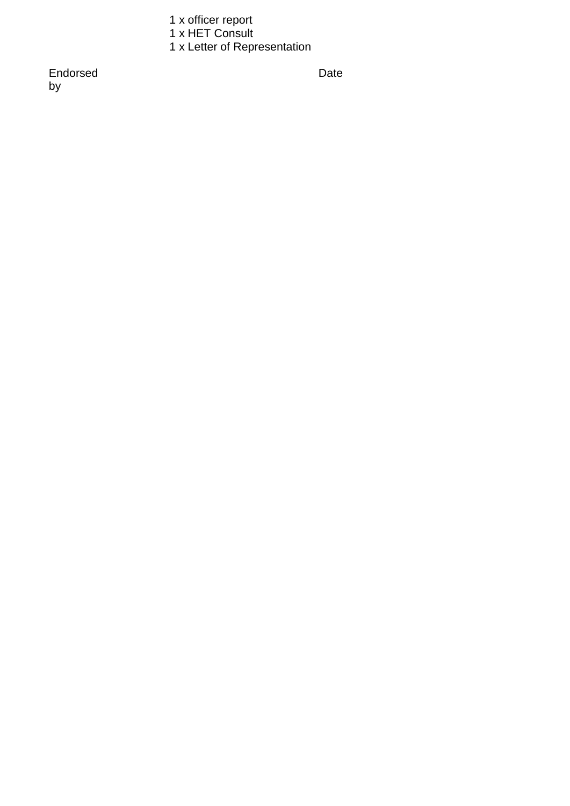1 x officer report

1 x HET Consult

1 x Letter of Representation

Endorsed by

Date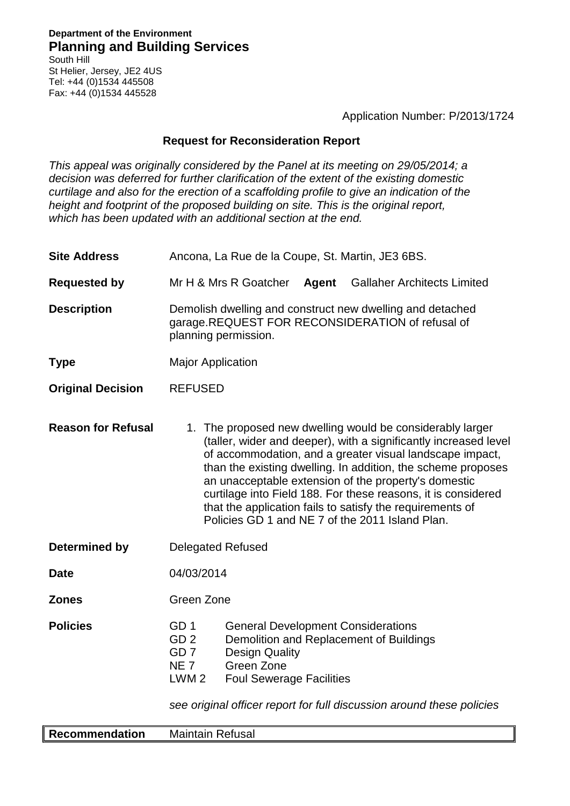Application Number: P/2013/1724

## **Request for Reconsideration Report**

*This appeal was originally considered by the Panel at its meeting on 29/05/2014; a decision was deferred for further clarification of the extent of the existing domestic curtilage and also for the erection of a scaffolding profile to give an indication of the height and footprint of the proposed building on site. This is the original report, which has been updated with an additional section at the end.*

- **Site Address** Ancona, La Rue de la Coupe, St. Martin, JE3 6BS.
- **Requested by** Mr H & Mrs R Goatcher **Agent** Gallaher Architects Limited
- **Description** Demolish dwelling and construct new dwelling and detached garage.REQUEST FOR RECONSIDERATION of refusal of planning permission.
- **Type** Major Application
- **Original Decision** REFUSED
- **Reason for Refusal** 1. The proposed new dwelling would be considerably larger (taller, wider and deeper), with a significantly increased level of accommodation, and a greater visual landscape impact, than the existing dwelling. In addition, the scheme proposes an unacceptable extension of the property's domestic curtilage into Field 188. For these reasons, it is considered that the application fails to satisfy the requirements of Policies GD 1 and NE 7 of the 2011 Island Plan.
- **Determined by Delegated Refused**
- **Date** 04/03/2014

**Zones** Green Zone

| <b>Policies</b> | GD 1            | <b>General Development Considerations</b> |
|-----------------|-----------------|-------------------------------------------|
|                 | GD <sub>2</sub> | Demolition and Replacement of Buildings   |
|                 | GD 7            | <b>Design Quality</b>                     |
|                 | NF 7            | Green Zone                                |
|                 | LWM 2           | <b>Foul Sewerage Facilities</b>           |
|                 |                 |                                           |

*see original officer report for full discussion around these policies*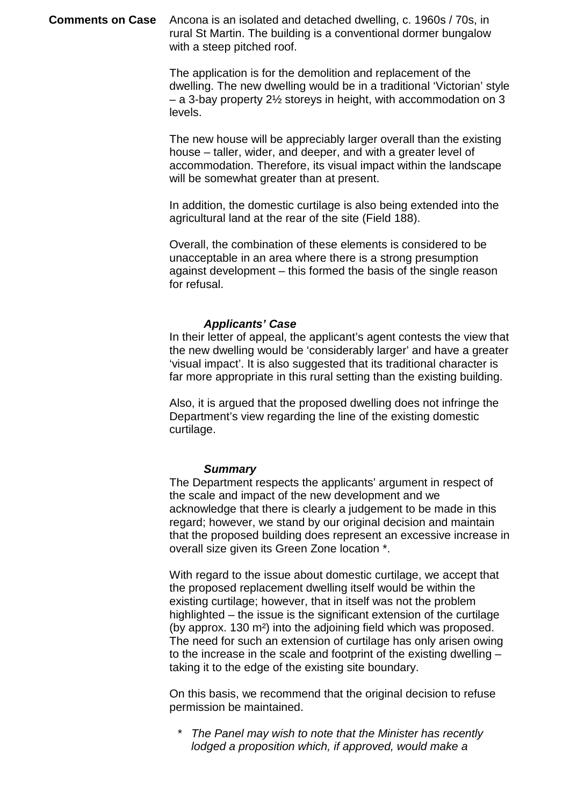**Comments on Case** Ancona is an isolated and detached dwelling, c. 1960s / 70s, in rural St Martin. The building is a conventional dormer bungalow with a steep pitched roof.

> The application is for the demolition and replacement of the dwelling. The new dwelling would be in a traditional 'Victorian' style – a 3-bay property 2½ storeys in height, with accommodation on 3 levels.

The new house will be appreciably larger overall than the existing house – taller, wider, and deeper, and with a greater level of accommodation. Therefore, its visual impact within the landscape will be somewhat greater than at present.

In addition, the domestic curtilage is also being extended into the agricultural land at the rear of the site (Field 188).

Overall, the combination of these elements is considered to be unacceptable in an area where there is a strong presumption against development – this formed the basis of the single reason for refusal.

#### *Applicants' Case*

In their letter of appeal, the applicant's agent contests the view that the new dwelling would be 'considerably larger' and have a greater 'visual impact'. It is also suggested that its traditional character is far more appropriate in this rural setting than the existing building.

Also, it is argued that the proposed dwelling does not infringe the Department's view regarding the line of the existing domestic curtilage.

#### *Summary*

The Department respects the applicants' argument in respect of the scale and impact of the new development and we acknowledge that there is clearly a judgement to be made in this regard; however, we stand by our original decision and maintain that the proposed building does represent an excessive increase in overall size given its Green Zone location \*.

With regard to the issue about domestic curtilage, we accept that the proposed replacement dwelling itself would be within the existing curtilage; however, that in itself was not the problem highlighted – the issue is the significant extension of the curtilage (by approx. 130 m²) into the adjoining field which was proposed. The need for such an extension of curtilage has only arisen owing to the increase in the scale and footprint of the existing dwelling – taking it to the edge of the existing site boundary.

On this basis, we recommend that the original decision to refuse permission be maintained.

\* *The Panel may wish to note that the Minister has recently lodged a proposition which, if approved, would make a*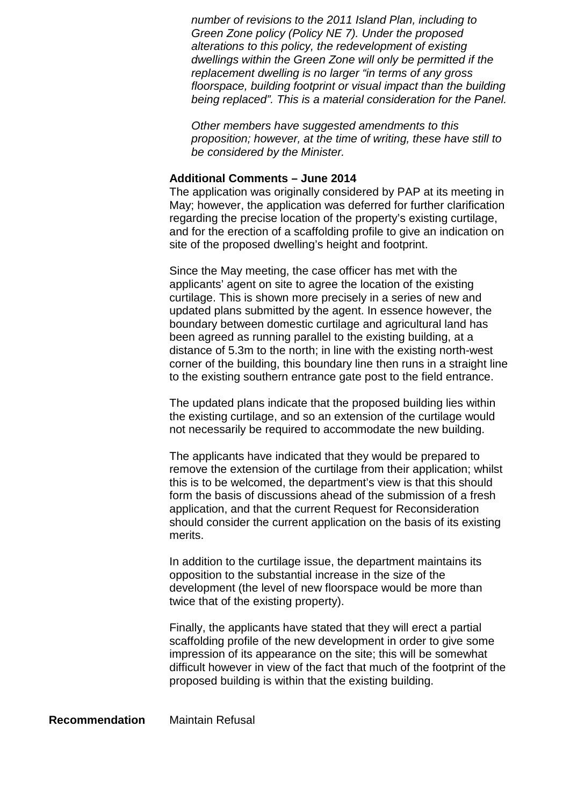*number of revisions to the 2011 Island Plan, including to Green Zone policy (Policy NE 7). Under the proposed alterations to this policy, the redevelopment of existing dwellings within the Green Zone will only be permitted if the replacement dwelling is no larger "in terms of any gross floorspace, building footprint or visual impact than the building being replaced". This is a material consideration for the Panel.*

*Other members have suggested amendments to this proposition; however, at the time of writing, these have still to be considered by the Minister.*

### **Additional Comments – June 2014**

The application was originally considered by PAP at its meeting in May; however, the application was deferred for further clarification regarding the precise location of the property's existing curtilage, and for the erection of a scaffolding profile to give an indication on site of the proposed dwelling's height and footprint.

Since the May meeting, the case officer has met with the applicants' agent on site to agree the location of the existing curtilage. This is shown more precisely in a series of new and updated plans submitted by the agent. In essence however, the boundary between domestic curtilage and agricultural land has been agreed as running parallel to the existing building, at a distance of 5.3m to the north; in line with the existing north-west corner of the building, this boundary line then runs in a straight line to the existing southern entrance gate post to the field entrance.

The updated plans indicate that the proposed building lies within the existing curtilage, and so an extension of the curtilage would not necessarily be required to accommodate the new building.

The applicants have indicated that they would be prepared to remove the extension of the curtilage from their application; whilst this is to be welcomed, the department's view is that this should form the basis of discussions ahead of the submission of a fresh application, and that the current Request for Reconsideration should consider the current application on the basis of its existing merits.

In addition to the curtilage issue, the department maintains its opposition to the substantial increase in the size of the development (the level of new floorspace would be more than twice that of the existing property).

Finally, the applicants have stated that they will erect a partial scaffolding profile of the new development in order to give some impression of its appearance on the site; this will be somewhat difficult however in view of the fact that much of the footprint of the proposed building is within that the existing building.

**Recommendation** Maintain Refusal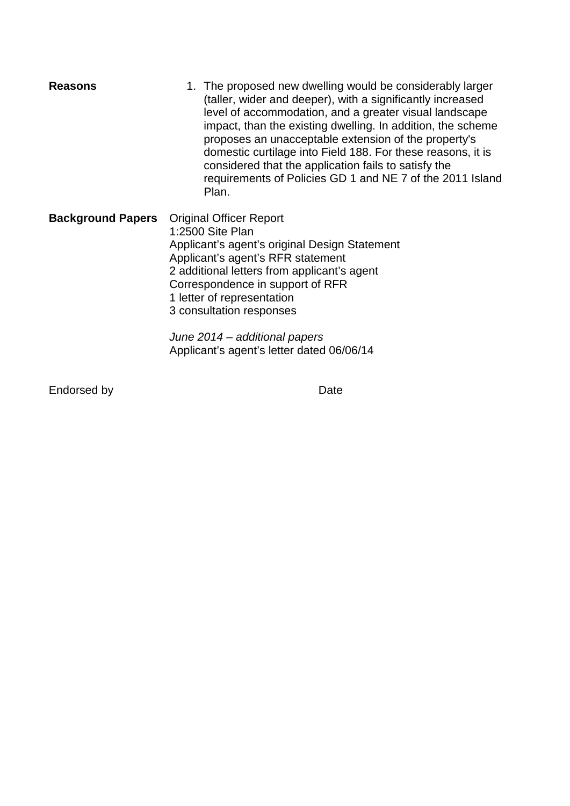| <b>Reasons</b>           | 1. The proposed new dwelling would be considerably larger<br>(taller, wider and deeper), with a significantly increased<br>level of accommodation, and a greater visual landscape<br>impact, than the existing dwelling. In addition, the scheme<br>proposes an unacceptable extension of the property's<br>domestic curtilage into Field 188. For these reasons, it is<br>considered that the application fails to satisfy the<br>requirements of Policies GD 1 and NE 7 of the 2011 Island<br>Plan. |
|--------------------------|-------------------------------------------------------------------------------------------------------------------------------------------------------------------------------------------------------------------------------------------------------------------------------------------------------------------------------------------------------------------------------------------------------------------------------------------------------------------------------------------------------|
| <b>Background Papers</b> | <b>Original Officer Report</b><br>1:2500 Site Plan<br>Applicant's agent's original Design Statement<br>Applicant's agent's RFR statement<br>2 additional letters from applicant's agent<br>Correspondence in support of RFR<br>1 letter of representation<br>3 consultation responses                                                                                                                                                                                                                 |

*June 2014 – additional papers* Applicant's agent's letter dated 06/06/14

Endorsed by Date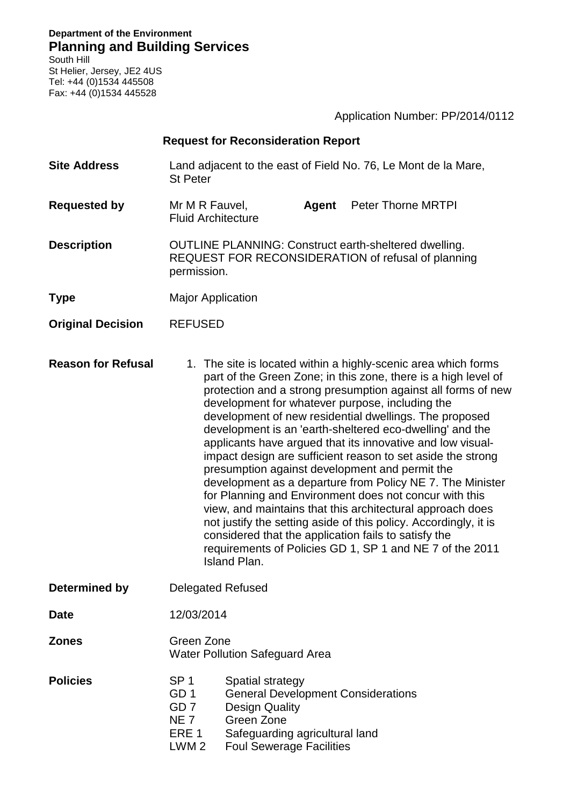**Department of the Environment Planning and Building Services** South Hill

St Helier, Jersey, JE2 4US Tel: +44 (0)1534 445508 Fax: +44 (0)1534 445528

| <b>Request for Reconsideration Report</b> |                                                                                                                                                                                                                                                                                                                                                                                                                                                                                                                                                                                                                                                                                                                                                                                                                                                                                                                                                             |
|-------------------------------------------|-------------------------------------------------------------------------------------------------------------------------------------------------------------------------------------------------------------------------------------------------------------------------------------------------------------------------------------------------------------------------------------------------------------------------------------------------------------------------------------------------------------------------------------------------------------------------------------------------------------------------------------------------------------------------------------------------------------------------------------------------------------------------------------------------------------------------------------------------------------------------------------------------------------------------------------------------------------|
| <b>Site Address</b>                       | Land adjacent to the east of Field No. 76, Le Mont de la Mare,<br><b>St Peter</b>                                                                                                                                                                                                                                                                                                                                                                                                                                                                                                                                                                                                                                                                                                                                                                                                                                                                           |
| <b>Requested by</b>                       | Mr M R Fauvel,<br>Agent<br><b>Peter Thorne MRTPI</b><br><b>Fluid Architecture</b>                                                                                                                                                                                                                                                                                                                                                                                                                                                                                                                                                                                                                                                                                                                                                                                                                                                                           |
| <b>Description</b>                        | <b>OUTLINE PLANNING: Construct earth-sheltered dwelling.</b><br>REQUEST FOR RECONSIDERATION of refusal of planning<br>permission.                                                                                                                                                                                                                                                                                                                                                                                                                                                                                                                                                                                                                                                                                                                                                                                                                           |
| <b>Type</b>                               | <b>Major Application</b>                                                                                                                                                                                                                                                                                                                                                                                                                                                                                                                                                                                                                                                                                                                                                                                                                                                                                                                                    |
| <b>Original Decision</b>                  | <b>REFUSED</b>                                                                                                                                                                                                                                                                                                                                                                                                                                                                                                                                                                                                                                                                                                                                                                                                                                                                                                                                              |
| <b>Reason for Refusal</b>                 | 1. The site is located within a highly-scenic area which forms<br>part of the Green Zone; in this zone, there is a high level of<br>protection and a strong presumption against all forms of new<br>development for whatever purpose, including the<br>development of new residential dwellings. The proposed<br>development is an 'earth-sheltered eco-dwelling' and the<br>applicants have argued that its innovative and low visual-<br>impact design are sufficient reason to set aside the strong<br>presumption against development and permit the<br>development as a departure from Policy NE 7. The Minister<br>for Planning and Environment does not concur with this<br>view, and maintains that this architectural approach does<br>not justify the setting aside of this policy. Accordingly, it is<br>considered that the application fails to satisfy the<br>requirements of Policies GD 1, SP 1 and NE 7 of the 2011<br><b>Island Plan.</b> |
| <b>Determined by</b>                      | <b>Delegated Refused</b>                                                                                                                                                                                                                                                                                                                                                                                                                                                                                                                                                                                                                                                                                                                                                                                                                                                                                                                                    |
| <b>Date</b>                               | 12/03/2014                                                                                                                                                                                                                                                                                                                                                                                                                                                                                                                                                                                                                                                                                                                                                                                                                                                                                                                                                  |

Application Number: PP/2014/0112

**Zones** Green Zone Water Pollution Safeguard Area

**Policies** SP 1 Spatial strategy GD 1 General Development Considerations GD 7 Design Quality<br>
NE 7 Green Zone NE 7 Green Zone<br>ERE 1 Safequardine Safeguarding agricultural land LWM 2 Foul Sewerage Facilities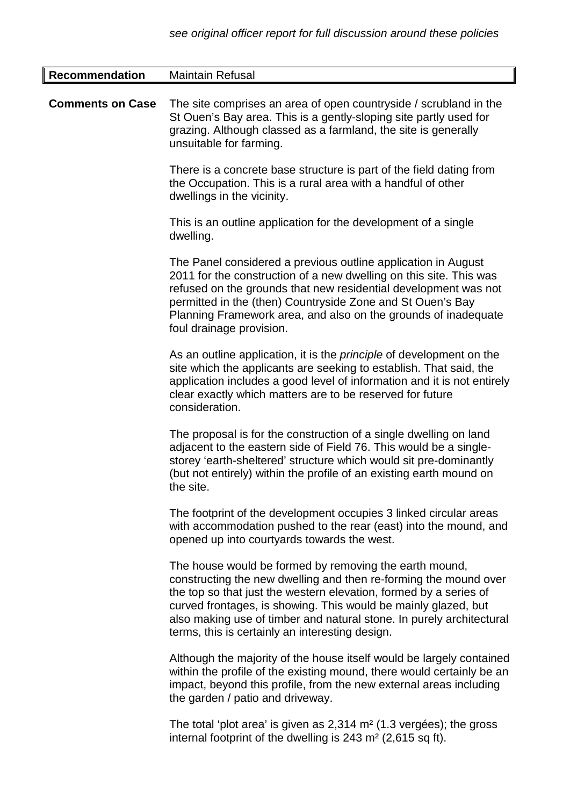| <b>Recommendation</b>   | <b>Maintain Refusal</b>                                                                                                                                                                                                                                                                                                                                                                      |
|-------------------------|----------------------------------------------------------------------------------------------------------------------------------------------------------------------------------------------------------------------------------------------------------------------------------------------------------------------------------------------------------------------------------------------|
| <b>Comments on Case</b> | The site comprises an area of open countryside / scrubland in the<br>St Ouen's Bay area. This is a gently-sloping site partly used for<br>grazing. Although classed as a farmland, the site is generally<br>unsuitable for farming.                                                                                                                                                          |
|                         | There is a concrete base structure is part of the field dating from<br>the Occupation. This is a rural area with a handful of other<br>dwellings in the vicinity.                                                                                                                                                                                                                            |
|                         | This is an outline application for the development of a single<br>dwelling.                                                                                                                                                                                                                                                                                                                  |
|                         | The Panel considered a previous outline application in August<br>2011 for the construction of a new dwelling on this site. This was<br>refused on the grounds that new residential development was not<br>permitted in the (then) Countryside Zone and St Ouen's Bay<br>Planning Framework area, and also on the grounds of inadequate<br>foul drainage provision.                           |
|                         | As an outline application, it is the <i>principle</i> of development on the<br>site which the applicants are seeking to establish. That said, the<br>application includes a good level of information and it is not entirely<br>clear exactly which matters are to be reserved for future<br>consideration.                                                                                  |
|                         | The proposal is for the construction of a single dwelling on land<br>adjacent to the eastern side of Field 76. This would be a single-<br>storey 'earth-sheltered' structure which would sit pre-dominantly<br>(but not entirely) within the profile of an existing earth mound on<br>the site.                                                                                              |
|                         | The footprint of the development occupies 3 linked circular areas<br>with accommodation pushed to the rear (east) into the mound, and<br>opened up into courtyards towards the west.                                                                                                                                                                                                         |
|                         | The house would be formed by removing the earth mound,<br>constructing the new dwelling and then re-forming the mound over<br>the top so that just the western elevation, formed by a series of<br>curved frontages, is showing. This would be mainly glazed, but<br>also making use of timber and natural stone. In purely architectural<br>terms, this is certainly an interesting design. |
|                         | Although the majority of the house itself would be largely contained<br>within the profile of the existing mound, there would certainly be an<br>impact, beyond this profile, from the new external areas including<br>the garden / patio and driveway.                                                                                                                                      |

The total 'plot area' is given as 2,314 m² (1.3 vergées); the gross internal footprint of the dwelling is 243 m² (2,615 sq ft).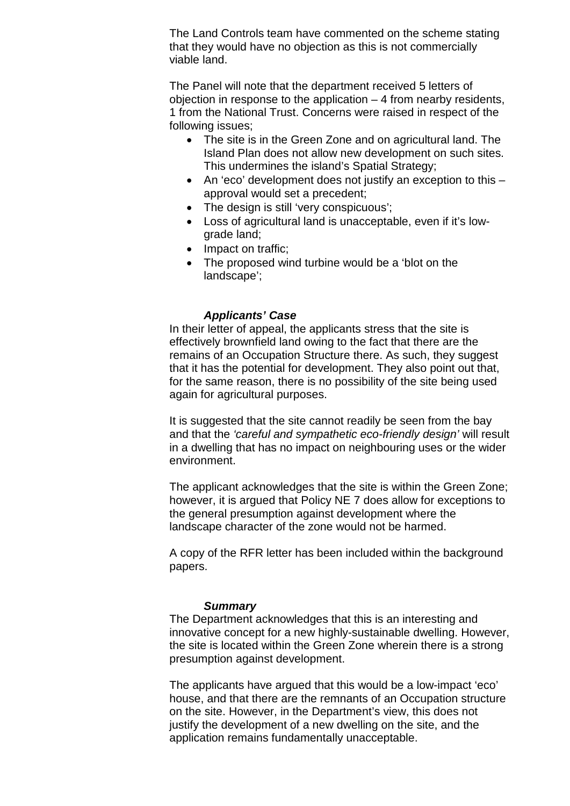The Land Controls team have commented on the scheme stating that they would have no objection as this is not commercially viable land.

The Panel will note that the department received 5 letters of objection in response to the application – 4 from nearby residents, 1 from the National Trust. Concerns were raised in respect of the following issues;

- The site is in the Green Zone and on agricultural land. The Island Plan does not allow new development on such sites. This undermines the island's Spatial Strategy;
- An 'eco' development does not justify an exception to this approval would set a precedent;
- The design is still 'very conspicuous';
- Loss of agricultural land is unacceptable, even if it's lowgrade land;
- Impact on traffic;
- The proposed wind turbine would be a 'blot on the landscape';

# *Applicants' Case*

In their letter of appeal, the applicants stress that the site is effectively brownfield land owing to the fact that there are the remains of an Occupation Structure there. As such, they suggest that it has the potential for development. They also point out that, for the same reason, there is no possibility of the site being used again for agricultural purposes.

It is suggested that the site cannot readily be seen from the bay and that the *'careful and sympathetic eco-friendly design'* will result in a dwelling that has no impact on neighbouring uses or the wider environment.

The applicant acknowledges that the site is within the Green Zone; however, it is argued that Policy NE 7 does allow for exceptions to the general presumption against development where the landscape character of the zone would not be harmed.

A copy of the RFR letter has been included within the background papers.

# *Summary*

The Department acknowledges that this is an interesting and innovative concept for a new highly-sustainable dwelling. However, the site is located within the Green Zone wherein there is a strong presumption against development.

The applicants have argued that this would be a low-impact 'eco' house, and that there are the remnants of an Occupation structure on the site. However, in the Department's view, this does not justify the development of a new dwelling on the site, and the application remains fundamentally unacceptable.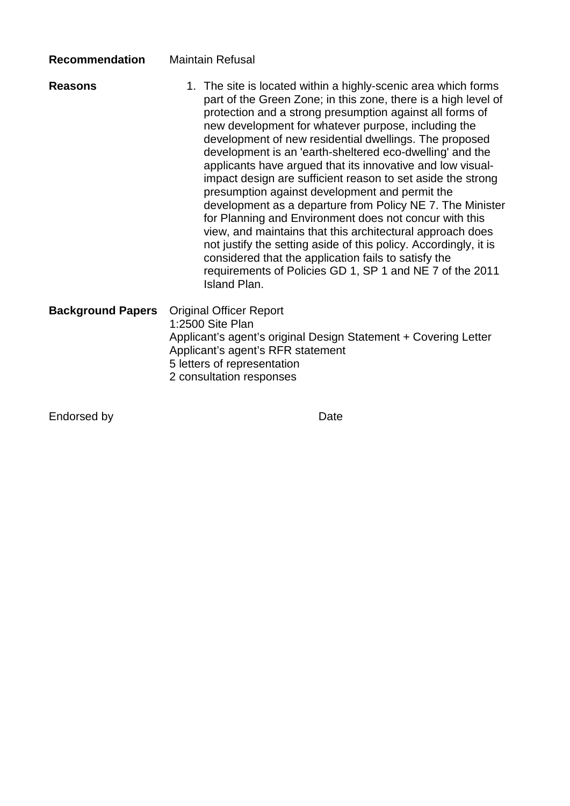| <b>Recommendation</b>    | <b>Maintain Refusal</b>                                                                                                                                                                                                                                                                                                                                                                                                                                                                                                                                                                                                                                                                                                                                                                                                                                                                                                                                     |
|--------------------------|-------------------------------------------------------------------------------------------------------------------------------------------------------------------------------------------------------------------------------------------------------------------------------------------------------------------------------------------------------------------------------------------------------------------------------------------------------------------------------------------------------------------------------------------------------------------------------------------------------------------------------------------------------------------------------------------------------------------------------------------------------------------------------------------------------------------------------------------------------------------------------------------------------------------------------------------------------------|
| <b>Reasons</b>           | 1. The site is located within a highly-scenic area which forms<br>part of the Green Zone; in this zone, there is a high level of<br>protection and a strong presumption against all forms of<br>new development for whatever purpose, including the<br>development of new residential dwellings. The proposed<br>development is an 'earth-sheltered eco-dwelling' and the<br>applicants have argued that its innovative and low visual-<br>impact design are sufficient reason to set aside the strong<br>presumption against development and permit the<br>development as a departure from Policy NE 7. The Minister<br>for Planning and Environment does not concur with this<br>view, and maintains that this architectural approach does<br>not justify the setting aside of this policy. Accordingly, it is<br>considered that the application fails to satisfy the<br>requirements of Policies GD 1, SP 1 and NE 7 of the 2011<br><b>Island Plan.</b> |
| <b>Background Papers</b> | <b>Original Officer Report</b><br>1:2500 Site Plan<br>Applicant's agent's original Design Statement + Covering Letter<br>Applicant's agent's RFR statement<br>5 letters of representation<br>2 consultation responses                                                                                                                                                                                                                                                                                                                                                                                                                                                                                                                                                                                                                                                                                                                                       |

Endorsed by **Date**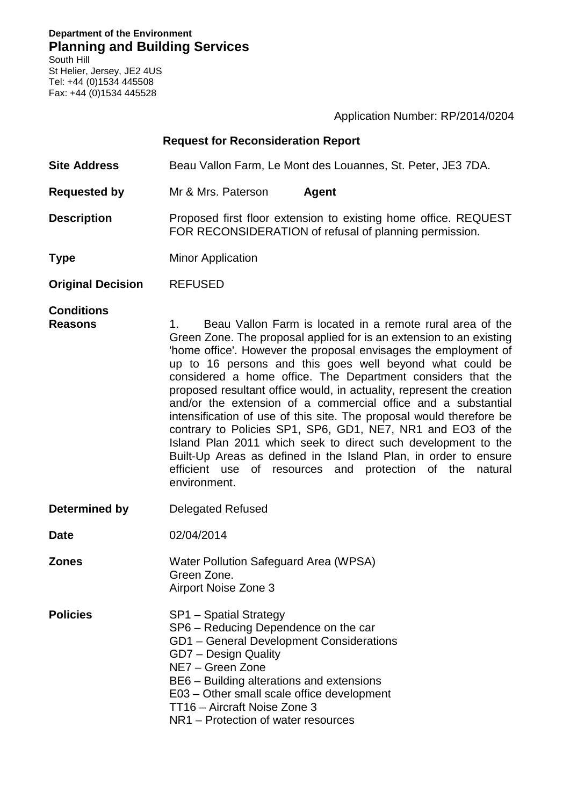**Department of the Environment Planning and Building Services**

South Hill St Helier, Jersey, JE2 4US Tel: +44 (0)1534 445508 Fax: +44 (0)1534 445528

Application Number: RP/2014/0204

| <b>Request for Reconsideration Report</b> |                                                                                                                                                                                                                                                                                                                                                                                                                                                                                                                                                                                                                                                                                                                                                                                                                                                 |
|-------------------------------------------|-------------------------------------------------------------------------------------------------------------------------------------------------------------------------------------------------------------------------------------------------------------------------------------------------------------------------------------------------------------------------------------------------------------------------------------------------------------------------------------------------------------------------------------------------------------------------------------------------------------------------------------------------------------------------------------------------------------------------------------------------------------------------------------------------------------------------------------------------|
| <b>Site Address</b>                       | Beau Vallon Farm, Le Mont des Louannes, St. Peter, JE3 7DA.                                                                                                                                                                                                                                                                                                                                                                                                                                                                                                                                                                                                                                                                                                                                                                                     |
| <b>Requested by</b>                       | Mr & Mrs. Paterson<br><b>Agent</b>                                                                                                                                                                                                                                                                                                                                                                                                                                                                                                                                                                                                                                                                                                                                                                                                              |
| <b>Description</b>                        | Proposed first floor extension to existing home office. REQUEST<br>FOR RECONSIDERATION of refusal of planning permission.                                                                                                                                                                                                                                                                                                                                                                                                                                                                                                                                                                                                                                                                                                                       |
| <b>Type</b>                               | <b>Minor Application</b>                                                                                                                                                                                                                                                                                                                                                                                                                                                                                                                                                                                                                                                                                                                                                                                                                        |
| <b>Original Decision</b>                  | <b>REFUSED</b>                                                                                                                                                                                                                                                                                                                                                                                                                                                                                                                                                                                                                                                                                                                                                                                                                                  |
| <b>Conditions</b><br><b>Reasons</b>       | Beau Vallon Farm is located in a remote rural area of the<br>1.<br>Green Zone. The proposal applied for is an extension to an existing<br>'home office'. However the proposal envisages the employment of<br>up to 16 persons and this goes well beyond what could be<br>considered a home office. The Department considers that the<br>proposed resultant office would, in actuality, represent the creation<br>and/or the extension of a commercial office and a substantial<br>intensification of use of this site. The proposal would therefore be<br>contrary to Policies SP1, SP6, GD1, NE7, NR1 and EO3 of the<br>Island Plan 2011 which seek to direct such development to the<br>Built-Up Areas as defined in the Island Plan, in order to ensure<br>efficient use<br>of<br>resources and protection of the<br>natural<br>environment. |
| Determined by                             | <b>Delegated Refused</b>                                                                                                                                                                                                                                                                                                                                                                                                                                                                                                                                                                                                                                                                                                                                                                                                                        |
| <b>Date</b>                               | 02/04/2014                                                                                                                                                                                                                                                                                                                                                                                                                                                                                                                                                                                                                                                                                                                                                                                                                                      |
| <b>Zones</b>                              | Water Pollution Safeguard Area (WPSA)<br>Green Zone.<br>Airport Noise Zone 3                                                                                                                                                                                                                                                                                                                                                                                                                                                                                                                                                                                                                                                                                                                                                                    |
| <b>Policies</b>                           | SP1 - Spatial Strategy<br>SP6 - Reducing Dependence on the car<br>GD1 - General Development Considerations<br>GD7 - Design Quality<br>NE7 - Green Zone<br>BE6 - Building alterations and extensions<br>E03 – Other small scale office development<br>TT16 - Aircraft Noise Zone 3<br>NR1 – Protection of water resources                                                                                                                                                                                                                                                                                                                                                                                                                                                                                                                        |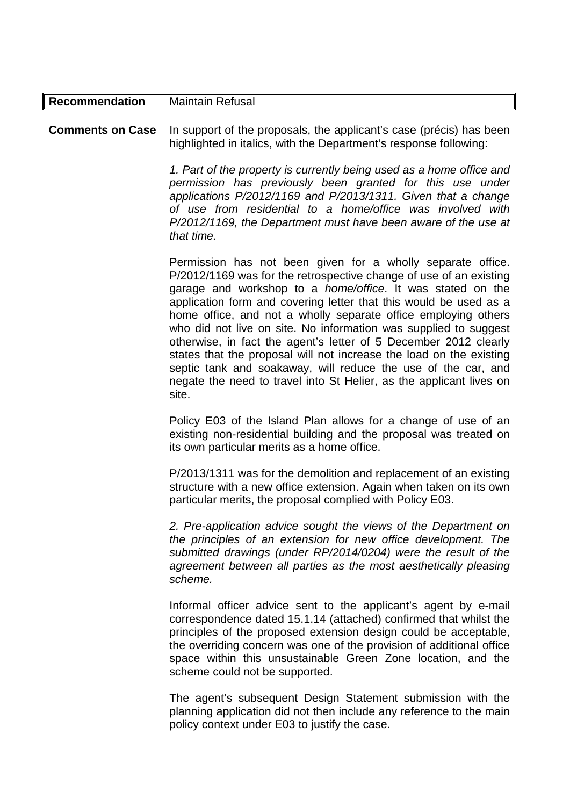| <b>Recommendation</b>   | <b>Maintain Refusal</b>                                                                                                                                                                                                                                                                                                                                                                                                                                                                                                                                                                                                                                                                                        |
|-------------------------|----------------------------------------------------------------------------------------------------------------------------------------------------------------------------------------------------------------------------------------------------------------------------------------------------------------------------------------------------------------------------------------------------------------------------------------------------------------------------------------------------------------------------------------------------------------------------------------------------------------------------------------------------------------------------------------------------------------|
| <b>Comments on Case</b> | In support of the proposals, the applicant's case (précis) has been<br>highlighted in italics, with the Department's response following:<br>1. Part of the property is currently being used as a home office and<br>permission has previously been granted for this use under<br>applications P/2012/1169 and P/2013/1311. Given that a change<br>of use from residential to a home/office was involved with<br>P/2012/1169, the Department must have been aware of the use at<br>that time.                                                                                                                                                                                                                   |
|                         | Permission has not been given for a wholly separate office.<br>P/2012/1169 was for the retrospective change of use of an existing<br>garage and workshop to a <i>home/office</i> . It was stated on the<br>application form and covering letter that this would be used as a<br>home office, and not a wholly separate office employing others<br>who did not live on site. No information was supplied to suggest<br>otherwise, in fact the agent's letter of 5 December 2012 clearly<br>states that the proposal will not increase the load on the existing<br>septic tank and soakaway, will reduce the use of the car, and<br>negate the need to travel into St Helier, as the applicant lives on<br>site. |
|                         | Policy E03 of the Island Plan allows for a change of use of an<br>existing non-residential building and the proposal was treated on<br>its own particular merits as a home office.                                                                                                                                                                                                                                                                                                                                                                                                                                                                                                                             |
|                         | P/2013/1311 was for the demolition and replacement of an existing<br>structure with a new office extension. Again when taken on its own<br>particular merits, the proposal complied with Policy E03.                                                                                                                                                                                                                                                                                                                                                                                                                                                                                                           |
|                         | 2. Pre-application advice sought the views of the Department on<br>the principles of an extension for new office development. The<br>submitted drawings (under RP/2014/0204) were the result of the<br>agreement between all parties as the most aesthetically pleasing<br>scheme.                                                                                                                                                                                                                                                                                                                                                                                                                             |
|                         | Informal officer advice sent to the applicant's agent by e-mail<br>correspondence dated 15.1.14 (attached) confirmed that whilst the<br>principles of the proposed extension design could be acceptable,<br>the overriding concern was one of the provision of additional office<br>space within this unsustainable Green Zone location, and the<br>scheme could not be supported.                                                                                                                                                                                                                                                                                                                             |
|                         | The agent's subsequent Design Statement submission with the                                                                                                                                                                                                                                                                                                                                                                                                                                                                                                                                                                                                                                                    |

The agent's subsequent Design Statement submission with the planning application did not then include any reference to the main policy context under E03 to justify the case.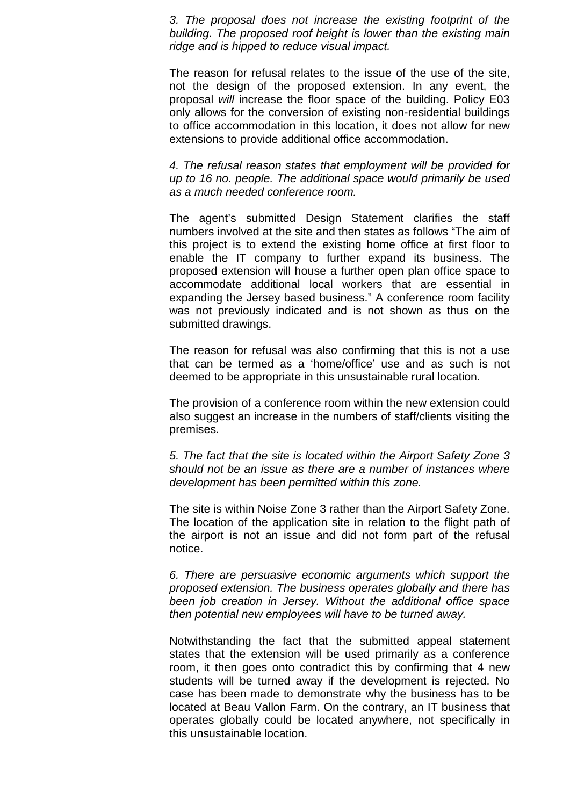*3. The proposal does not increase the existing footprint of the building. The proposed roof height is lower than the existing main ridge and is hipped to reduce visual impact.* 

The reason for refusal relates to the issue of the use of the site, not the design of the proposed extension. In any event, the proposal *will* increase the floor space of the building. Policy E03 only allows for the conversion of existing non-residential buildings to office accommodation in this location, it does not allow for new extensions to provide additional office accommodation.

*4. The refusal reason states that employment will be provided for up to 16 no. people. The additional space would primarily be used as a much needed conference room.* 

The agent's submitted Design Statement clarifies the staff numbers involved at the site and then states as follows "The aim of this project is to extend the existing home office at first floor to enable the IT company to further expand its business. The proposed extension will house a further open plan office space to accommodate additional local workers that are essential in expanding the Jersey based business." A conference room facility was not previously indicated and is not shown as thus on the submitted drawings.

The reason for refusal was also confirming that this is not a use that can be termed as a 'home/office' use and as such is not deemed to be appropriate in this unsustainable rural location.

The provision of a conference room within the new extension could also suggest an increase in the numbers of staff/clients visiting the premises.

*5. The fact that the site is located within the Airport Safety Zone 3 should not be an issue as there are a number of instances where development has been permitted within this zone.* 

The site is within Noise Zone 3 rather than the Airport Safety Zone. The location of the application site in relation to the flight path of the airport is not an issue and did not form part of the refusal notice.

*6. There are persuasive economic arguments which support the proposed extension. The business operates globally and there has been job creation in Jersey. Without the additional office space then potential new employees will have to be turned away.* 

Notwithstanding the fact that the submitted appeal statement states that the extension will be used primarily as a conference room, it then goes onto contradict this by confirming that 4 new students will be turned away if the development is rejected. No case has been made to demonstrate why the business has to be located at Beau Vallon Farm. On the contrary, an IT business that operates globally could be located anywhere, not specifically in this unsustainable location.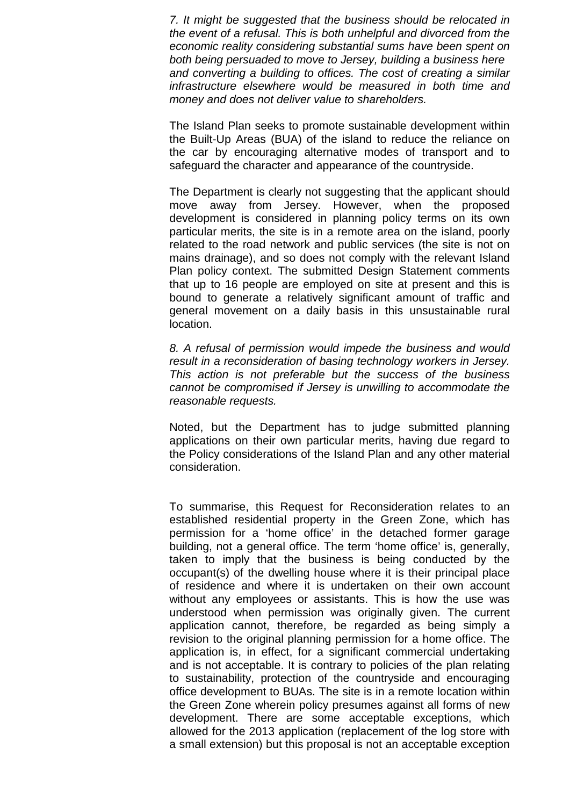*7. It might be suggested that the business should be relocated in the event of a refusal. This is both unhelpful and divorced from the economic reality considering substantial sums have been spent on both being persuaded to move to Jersey, building a business here and converting a building to offices. The cost of creating a similar infrastructure elsewhere would be measured in both time and money and does not deliver value to shareholders.*

The Island Plan seeks to promote sustainable development within the Built-Up Areas (BUA) of the island to reduce the reliance on the car by encouraging alternative modes of transport and to safeguard the character and appearance of the countryside.

The Department is clearly not suggesting that the applicant should move away from Jersey. However, when the proposed development is considered in planning policy terms on its own particular merits, the site is in a remote area on the island, poorly related to the road network and public services (the site is not on mains drainage), and so does not comply with the relevant Island Plan policy context. The submitted Design Statement comments that up to 16 people are employed on site at present and this is bound to generate a relatively significant amount of traffic and general movement on a daily basis in this unsustainable rural location.

*8. A refusal of permission would impede the business and would result in a reconsideration of basing technology workers in Jersey. This action is not preferable but the success of the business cannot be compromised if Jersey is unwilling to accommodate the reasonable requests.* 

Noted, but the Department has to judge submitted planning applications on their own particular merits, having due regard to the Policy considerations of the Island Plan and any other material consideration.

To summarise, this Request for Reconsideration relates to an established residential property in the Green Zone, which has permission for a 'home office' in the detached former garage building, not a general office. The term 'home office' is, generally, taken to imply that the business is being conducted by the occupant(s) of the dwelling house where it is their principal place of residence and where it is undertaken on their own account without any employees or assistants. This is how the use was understood when permission was originally given. The current application cannot, therefore, be regarded as being simply a revision to the original planning permission for a home office. The application is, in effect, for a significant commercial undertaking and is not acceptable. It is contrary to policies of the plan relating to sustainability, protection of the countryside and encouraging office development to BUAs. The site is in a remote location within the Green Zone wherein policy presumes against all forms of new development. There are some acceptable exceptions, which allowed for the 2013 application (replacement of the log store with a small extension) but this proposal is not an acceptable exception